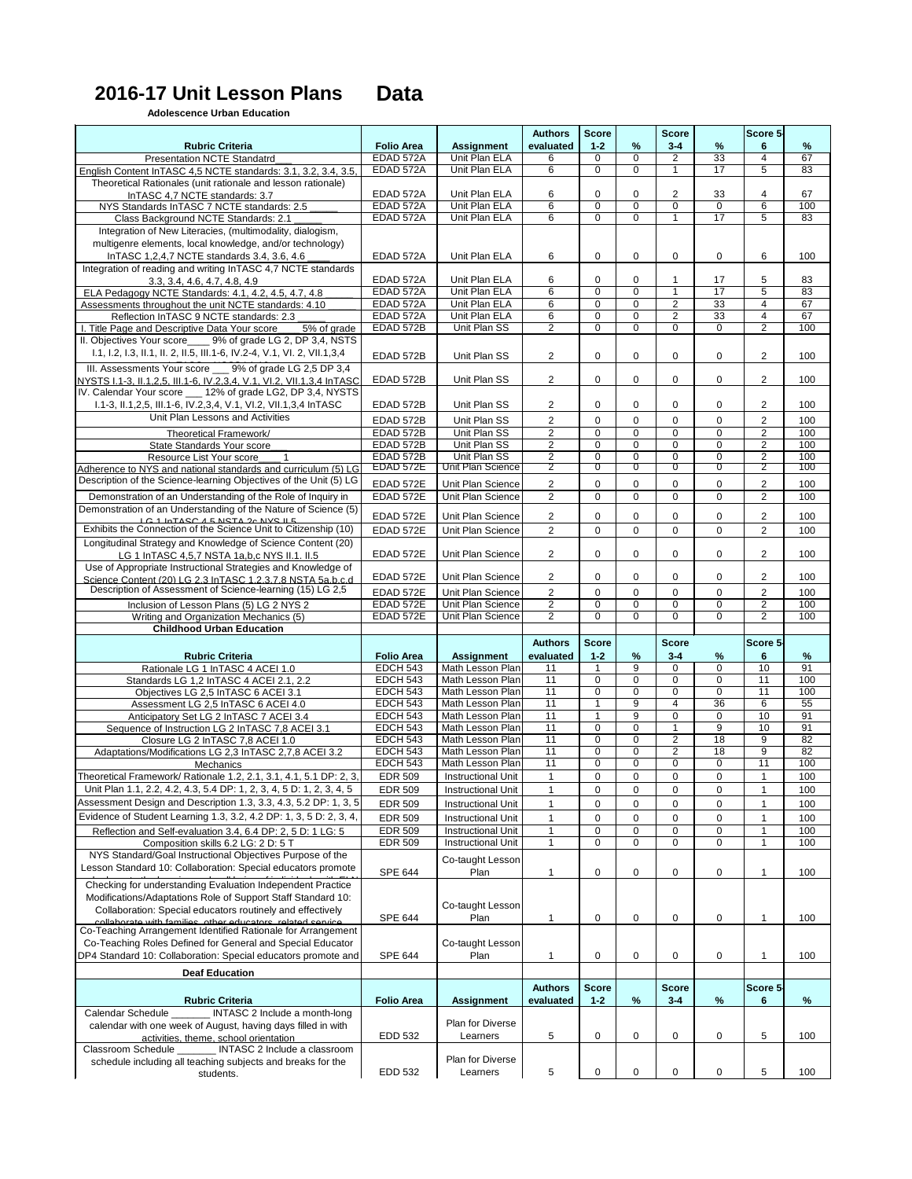## **2016-17 Unit Lesson Plans Data**

## **Adolescence Urban Education**

| $\%$<br>$\frac{9}{6}$<br>evaluated<br>$1 - 2$<br>$3 - 4$<br><b>Rubric Criteria</b><br><b>Folio Area</b><br><b>Assignment</b><br>6<br>67<br>EDAD 572A<br>Unit Plan ELA<br>$\overline{0}$<br>33<br>$\mathbf 0$<br>$\overline{2}$<br>$\overline{4}$<br>6<br><b>Presentation NCTE Standatrd</b><br>$\overline{0}$<br>17<br><b>EDAD 572A</b><br>Unit Plan ELA<br>$\overline{6}$<br>$\overline{5}$<br>$\mathbf 0$<br>$\overline{1}$<br>English Content InTASC 4,5 NCTE standards: 3.1, 3.2, 3.4, 3.5,<br>Theoretical Rationales (unit rationale and lesson rationale)<br>EDAD 572A<br>Unit Plan ELA<br>$\mathbf 0$<br>$\mathbf 0$<br>$\overline{2}$<br>33<br>$\overline{4}$<br>6<br>InTASC 4,7 NCTE standards: 3.7<br>$\overline{6}$<br>$\overline{0}$<br>$\overline{0}$<br>6<br>EDAD 572A<br><b>Unit Plan ELA</b><br>$\overline{0}$<br>$\Omega$<br>NYS Standards InTASC 7 NCTE standards: 2.5<br>$\overline{6}$<br>17<br>$\overline{0}$<br>$\overline{5}$<br>EDAD 572A<br>$\overline{0}$<br>Unit Plan ELA<br>Class Background NCTE Standards: 2.1<br>Integration of New Literacies, (multimodality, dialogism,<br>multigenre elements, local knowledge, and/or technology)<br>InTASC 1,2,4,7 NCTE standards 3.4, 3.6, 4.6<br>6<br>$\mathbf 0$<br>6<br>EDAD 572A<br>Unit Plan ELA<br>0<br>0<br>$\mathsf{O}$<br>Integration of reading and writing InTASC 4,7 NCTE standards<br>EDAD 572A<br>Unit Plan ELA<br>6<br>$\Omega$<br>0<br>5<br>17<br>3.3, 3.4, 4.6, 4.7, 4.8, 4.9<br>$\overline{6}$<br>$\overline{0}$<br>17<br>$\overline{5}$<br>ELA Pedagogy NCTE Standards: 4.1, 4.2, 4.5, 4.7, 4.8<br>EDAD 572A<br>Unit Plan ELA<br>$\mathbf 0$<br>-1<br>$\overline{6}$<br>$\overline{0}$<br>EDAD 572A<br>Unit Plan ELA<br>$\mathbf 0$<br>$\overline{2}$<br>33<br>$\overline{4}$<br>Assessments throughout the unit NCTE standards: 4.10<br>$\overline{6}$<br>$\overline{0}$<br>$\overline{2}$<br>33<br>EDAD 572A<br>Unit Plan ELA<br>$\mathbf 0$<br>$\overline{4}$<br>Reflection InTASC 9 NCTE standards: 2.3<br>$\overline{2}$<br>$\overline{0}$<br>$\overline{2}$<br><b>EDAD 572B</b><br>Unit Plan SS<br>$\mathbf 0$<br>$\overline{0}$<br>$\overline{0}$<br>I. Title Page and Descriptive Data Your score<br>5% of grade<br>II. Objectives Your score_____ 9% of grade LG 2, DP 3,4, NSTS<br>I.1, I.2, I.3, II.1, II. 2, II.5, III.1-6, IV.2-4, V.1, VI. 2, VII.1,3,4<br>$\mathbf 0$<br>$\overline{2}$<br>EDAD 572B<br>Unit Plan SS<br>$\overline{2}$<br>0<br>$\Omega$<br>0<br>III. Assessments Your score 9% of grade LG 2,5 DP 3,4<br>$\overline{2}$<br>$\overline{2}$<br>$\mathbf 0$<br>$\mathbf 0$<br>0<br>EDAD 572B<br>Unit Plan SS<br>$\Omega$<br>NYSTS 1.1-3, 11.1.2.5, 111.1-6, IV.2.3.4, V.1, VI.2, VII.1.3.4 InTASC<br>IV. Calendar Your score ___ 12% of grade LG2, DP 3,4, NYSTS<br>0<br>$\overline{2}$<br>I.1-3, II.1,2,5, III.1-6, IV.2,3,4, V.1, VI.2, VII.1,3,4 InTASC<br>EDAD 572B<br>Unit Plan SS<br>$\overline{2}$<br>0<br>0<br>0<br>Unit Plan Lessons and Activities<br>$\overline{2}$<br>Unit Plan SS<br>$\overline{2}$<br>$\mathbf 0$<br>$\mathbf 0$<br>0<br>EDAD 572B<br>$\Omega$<br>$\overline{2}$<br>$\overline{0}$<br>$\overline{0}$<br>$\overline{2}$<br><b>EDAD 572B</b><br>Unit Plan SS<br>$\mathbf 0$<br>$\Omega$<br>Theoretical Framework/<br>$\overline{2}$<br>$\overline{0}$<br>$\overline{0}$<br>$\overline{2}$<br>$\overline{0}$<br><b>EDAD 572B</b><br>Unit Plan SS<br>0<br>State Standards Your score<br>$\overline{2}$<br>$\overline{0}$<br>$\overline{2}$<br>$\overline{0}$<br>$\overline{0}$<br>EDAD 572B<br>Unit Plan SS<br>$\mathbf 0$<br>Resource List Your score<br>$\overline{2}$<br>$\overline{0}$<br>EDAD 572E<br>$\overline{0}$<br>$\overline{0}$<br>$\overline{2}$<br>Unit Plan Science<br>$\overline{0}$<br>Adherence to NYS and national standards and curriculum (5) LG<br>Description of the Science-learning Objectives of the Unit (5) LG<br>$\overline{2}$<br><b>EDAD 572E</b><br>$\mathbf 0$<br>0<br>0<br>$\overline{2}$<br>Unit Plan Science<br>0<br>$\overline{2}$<br>$\overline{2}$<br>Demonstration of an Understanding of the Role of Inquiry in<br>$\mathbf 0$<br>EDAD 572E<br>Unit Plan Science<br>$\mathbf 0$<br>$\overline{0}$<br>$\mathbf 0$<br>Demonstration of an Understanding of the Nature of Science (5)<br>$\overline{2}$<br>$\overline{2}$<br>EDAD 572E<br>Unit Plan Science<br>$\mathbf 0$<br>0<br>0<br>0<br>IC1 In TASC 4 E NSTA 20 NVS ILE<br>Exhibits the Connection of the Science Unit to Citizenship (10)<br>$\overline{2}$<br>$\overline{0}$<br>$\overline{2}$<br>$\mathbf 0$<br>$\overline{0}$<br>EDAD 572E<br>Unit Plan Science<br>$\Omega$<br>Longitudinal Strategy and Knowledge of Science Content (20)<br>$\overline{2}$<br>Unit Plan Science<br>$\mathbf 0$<br>0<br>$\overline{2}$<br><b>EDAD 572E</b><br>0<br>0<br>LG 1 InTASC 4,5,7 NSTA 1a,b,c NYS II.1. II.5<br>Use of Appropriate Instructional Strategies and Knowledge of<br>EDAD 572E<br>$\overline{2}$<br>$\mathbf 0$<br>0<br>$\overline{2}$<br>Unit Plan Science<br>0<br>0<br>Science Content (20) LG 2.3 InTASC 1.2.3.7.8 NSTA 5a.b.c.d<br>Description of Assessment of Science-learning (15) LG 2,5<br>$\overline{2}$<br>$\overline{2}$<br>EDAD 572E<br>Unit Plan Science<br>$\mathbf 0$<br>$\mathbf 0$<br>0<br>$\Omega$<br>$\overline{2}$<br>$\overline{0}$<br>$\overline{2}$<br><b>EDAD 572E</b><br>Unit Plan Science<br>$\mathbf 0$<br>0<br>$\Omega$<br>Inclusion of Lesson Plans (5) LG 2 NYS 2<br>$\overline{2}$<br>$\overline{0}$<br>$\overline{0}$<br>$\overline{2}$<br><b>EDAD 572E</b><br>$\mathbf 0$<br>0<br>Unit Plan Science<br>Writing and Organization Mechanics (5)<br><b>Childhood Urban Education</b><br><b>Authors</b><br><b>Score</b><br><b>Score</b><br>Score 5-<br>evaluated<br>$\%$<br>$3 - 4$<br>$\%$<br><b>Rubric Criteria</b><br><b>Folio Area</b><br>$1 - 2$<br><b>Assignment</b><br>6<br>$\overline{9}$<br>10<br><b>EDCH 543</b><br>Math Lesson Plan<br>$\mathbf 0$<br>11<br>$\overline{1}$<br>$\Omega$<br>Rationale LG 1 InTASC 4 ACEI 1.0<br>$\overline{0}$<br>$\overline{0}$<br>11<br><b>EDCH 543</b><br>$\overline{11}$<br>$\mathbf 0$<br>$\mathbf 0$<br>Math Lesson Plan<br>Standards LG 1,2 InTASC 4 ACEI 2.1, 2.2<br>11<br>$\overline{0}$<br>$\overline{0}$<br><b>EDCH 543</b><br>$\mathbf 0$<br>$\overline{0}$<br>$\overline{11}$<br>Math Lesson Plan<br>Objectives LG 2,5 InTASC 6 ACEI 3.1<br>$\overline{9}$<br>11<br>36<br><b>EDCH 543</b><br>Math Lesson Plan<br>6<br>$\overline{1}$<br>4<br>Assessment LG 2,5 In TASC 6 ACEI 4.0<br>$\overline{9}$<br>11<br>10<br><b>EDCH 543</b><br>Math Lesson Plan<br>$\overline{0}$<br>$\mathbf 0$<br>$\overline{1}$<br>Anticipatory Set LG 2 InTASC 7 ACEI 3.4<br>11<br>$\overline{0}$<br>$\overline{9}$<br>$\overline{0}$<br>10<br><b>EDCH 543</b><br>Math Lesson Plan<br>Sequence of Instruction LG 2 InTASC 7,8 ACEI 3.1<br>11<br>$\overline{0}$<br>18<br>$\overline{0}$<br>$\overline{2}$<br>$\overline{9}$<br><b>EDCH 543</b><br>Math Lesson Plan<br>Closure LG 2 InTASC 7,8 ACEI 1.0<br>11<br>$\overline{0}$<br>$\overline{9}$<br>$\overline{0}$<br>$\overline{2}$<br>18<br><b>EDCH 543</b><br>Math Lesson Plan<br>Adaptations/Modifications LG 2,3 InTASC 2,7,8 ACEI 3.2<br>11<br>$\overline{0}$<br>11<br><b>EDCH 543</b><br>Math Lesson Plan<br>$\mathbf 0$<br>$\mathbf 0$<br>0<br>Mechanics<br>0<br>0<br>Theoretical Framework/ Rationale 1.2, 2.1, 3.1, 4.1, 5.1 DP: 2, 3,<br><b>EDR 509</b><br><b>Instructional Unit</b><br>$\mathbf{1}$<br>$\mathbf 0$<br>0<br>$\mathbf{1}$<br>Unit Plan 1.1, 2.2, 4.2, 4.3, 5.4 DP: 1, 2, 3, 4, 5 D: 1, 2, 3, 4, 5<br>$\mathbf 0$<br>$\mathbf 0$<br>$\Omega$<br>0<br>$\mathbf{1}$<br>$\mathbf{1}$<br><b>EDR 509</b><br><b>Instructional Unit</b><br>Assessment Design and Description 1.3, 3.3, 4.3, 5.2 DP: 1, 3, 5<br>$\mathbf 0$<br>0<br><b>EDR 509</b><br>1<br>$\mathbf 0$<br>0<br>$\mathbf{1}$<br><b>Instructional Unit</b><br>Evidence of Student Learning 1.3, 3.2, 4.2 DP: 1, 3, 5 D: 2, 3, 4,<br><b>EDR 509</b><br>0<br>0<br>1<br>$\mathbf 0$<br>0<br>$\mathbf{1}$<br><b>Instructional Unit</b><br>$\overline{0}$<br><b>EDR 509</b><br>$\mathbf{1}$<br>$\overline{0}$<br>$\overline{1}$<br><b>Instructional Unit</b><br>$\mathbf 0$<br>0<br>Reflection and Self-evaluation 3.4, 6.4 DP: 2, 5 D: 1 LG: 5<br>$\overline{0}$<br>$\overline{0}$<br>$\mathbf{1}$<br>$\mathbf 0$<br>$\overline{0}$<br>$\mathbf{1}$<br><b>EDR 509</b><br><b>Instructional Unit</b><br>Composition skills 6.2 LG: 2 D: 5 T<br>NYS Standard/Goal Instructional Objectives Purpose of the<br>Co-taught Lesson<br>Lesson Standard 10: Collaboration: Special educators promote<br>0<br><b>SPE 644</b><br>Plan<br>$\mathbf 0$<br>$\mathbf 0$<br>0<br>1<br>Checking for understanding Evaluation Independent Practice<br>Modifications/Adaptations Role of Support Staff Standard 10:<br>Co-taught Lesson<br>Collaboration: Special educators routinely and effectively<br><b>SPE 644</b><br>Plan<br>0<br>$\mathbf 0$<br>0<br>0<br>$\mathbf{1}$<br>1<br>enllaborate with families other educators related service<br>Co-Teaching Arrangement Identified Rationale for Arrangement<br>Co-Teaching Roles Defined for General and Special Educator<br>Co-taught Lesson<br>DP4 Standard 10: Collaboration: Special educators promote and<br><b>SPE 644</b><br>Plan<br>0<br>0<br>0<br>0<br>1<br>1<br><b>Deaf Education</b><br><b>Authors</b><br><b>Score</b><br><b>Score</b><br>Score 5-<br>$\%$<br>$3 - 4$<br>%<br><b>Rubric Criteria</b><br><b>Folio Area</b><br><b>Assignment</b><br>$1 - 2$<br>6<br>evaluated<br>Calendar Schedule _______ INTASC 2 Include a month-long<br>Plan for Diverse<br>calendar with one week of August, having days filled in with<br>$\sqrt{5}$<br>EDD 532<br>5<br>$\mathbf 0$<br>$\mathbf 0$<br>$\mathbf 0$<br>0<br>Learners<br>activities, theme, school orientation<br><b>Classroom Schedule</b><br>_ INTASC 2 Include a classroom<br>Plan for Diverse |                                                             |  | <b>Authors</b> | <b>Score</b> | <b>Score</b> | Score 5- |            |
|------------------------------------------------------------------------------------------------------------------------------------------------------------------------------------------------------------------------------------------------------------------------------------------------------------------------------------------------------------------------------------------------------------------------------------------------------------------------------------------------------------------------------------------------------------------------------------------------------------------------------------------------------------------------------------------------------------------------------------------------------------------------------------------------------------------------------------------------------------------------------------------------------------------------------------------------------------------------------------------------------------------------------------------------------------------------------------------------------------------------------------------------------------------------------------------------------------------------------------------------------------------------------------------------------------------------------------------------------------------------------------------------------------------------------------------------------------------------------------------------------------------------------------------------------------------------------------------------------------------------------------------------------------------------------------------------------------------------------------------------------------------------------------------------------------------------------------------------------------------------------------------------------------------------------------------------------------------------------------------------------------------------------------------------------------------------------------------------------------------------------------------------------------------------------------------------------------------------------------------------------------------------------------------------------------------------------------------------------------------------------------------------------------------------------------------------------------------------------------------------------------------------------------------------------------------------------------------------------------------------------------------------------------------------------------------------------------------------------------------------------------------------------------------------------------------------------------------------------------------------------------------------------------------------------------------------------------------------------------------------------------------------------------------------------------------------------------------------------------------------------------------------------------------------------------------------------------------------------------------------------------------------------------------------------------------------------------------------------------------------------------------------------------------------------------------------------------------------------------------------------------------------------------------------------------------------------------------------------------------------------------------------------------------------------------------------------------------------------------------------------------------------------------------------------------------------------------------------------------------------------------------------------------------------------------------------------------------------------------------------------------------------------------------------------------------------------------------------------------------------------------------------------------------------------------------------------------------------------------------------------------------------------------------------------------------------------------------------------------------------------------------------------------------------------------------------------------------------------------------------------------------------------------------------------------------------------------------------------------------------------------------------------------------------------------------------------------------------------------------------------------------------------------------------------------------------------------------------------------------------------------------------------------------------------------------------------------------------------------------------------------------------------------------------------------------------------------------------------------------------------------------------------------------------------------------------------------------------------------------------------------------------------------------------------------------------------------------------------------------------------------------------------------------------------------------------------------------------------------------------------------------------------------------------------------------------------------------------------------------------------------------------------------------------------------------------------------------------------------------------------------------------------------------------------------------------------------------------------------------------------------------------------------------------------------------------------------------------------------------------------------------------------------------------------------------------------------------------------------------------------------------------------------------------------------------------------------------------------------------------------------------------------------------------------------------------------------------------------------------------------------------------------------------------------------------------------------------------------------------------------------------------------------------------------------------------------------------------------------------------------------------------------------------------------------------------------------------------------------------------------------------------------------------------------------------------------------------------------------------------------------------------------------------------------------------------------------------------------------------------------------------------------------------------------------------------------------------------------------------------------------------------------------------------------------------------------------------------------------------------------------------------------------------------------------------------------------------------------------------------------------------------------------------------------------------------------------------------------------------------------------------------------------------------------------------------------------------------------------------------------------------------------------------------------------------------------------------------------------------------------------------------------------------------------------------------------------------------------------------------------------------------------------------------------------------------------------------------------------------------------------------------------------------------------------------------------------------------------------------------------------------------------------------------------------------------------------------------------------------------------------------------------------------------------------------------------------------------------------------------------------------------------------------------------------------------------------------------------------------------------------------------------------------------------------------------------------------------------------------------------------------------------------------------------------------------------------------------------------------------------------------------------------------------------------------------------------------------------------------------------------------------------------------------------------------------------------------------------------------------------------------------------------------------------------------------------------------------------------------------------------------------------------------------------------------------------------------------------------------------------------------------------------------------------------------------------------------------------------------------------------------------------------------------------------------------------------------------------------------------------------------------------------------------------------------------------------------------------------------------------------------------------------------------------------------------------------------------------------------------------------------------------------------------------------------------------------------------------------------------------------------------------------------------------------------|-------------------------------------------------------------|--|----------------|--------------|--------------|----------|------------|
|                                                                                                                                                                                                                                                                                                                                                                                                                                                                                                                                                                                                                                                                                                                                                                                                                                                                                                                                                                                                                                                                                                                                                                                                                                                                                                                                                                                                                                                                                                                                                                                                                                                                                                                                                                                                                                                                                                                                                                                                                                                                                                                                                                                                                                                                                                                                                                                                                                                                                                                                                                                                                                                                                                                                                                                                                                                                                                                                                                                                                                                                                                                                                                                                                                                                                                                                                                                                                                                                                                                                                                                                                                                                                                                                                                                                                                                                                                                                                                                                                                                                                                                                                                                                                                                                                                                                                                                                                                                                                                                                                                                                                                                                                                                                                                                                                                                                                                                                                                                                                                                                                                                                                                                                                                                                                                                                                                                                                                                                                                                                                                                                                                                                                                                                                                                                                                                                                                                                                                                                                                                                                                                                                                                                                                                                                                                                                                                                                                                                                                                                                                                                                                                                                                                                                                                                                                                                                                                                                                                                                                                                                                                                                                                                                                                                                                                                                                                                                                                                                                                                                                                                                                                                                                                                                                                                                                                                                                                                                                                                                                                                                                                                                                                                                                                                                                                                                                                                                                                                                                                                                                                                                                                                                                                                                                                                                                                                                                                                                                                                                                                                                                                                                                                                                                                                                                                                                                                                                                                                                                                                                                                                                                                                                                                                                                                                                                                                                                                                          |                                                             |  |                |              |              |          | $\%$       |
|                                                                                                                                                                                                                                                                                                                                                                                                                                                                                                                                                                                                                                                                                                                                                                                                                                                                                                                                                                                                                                                                                                                                                                                                                                                                                                                                                                                                                                                                                                                                                                                                                                                                                                                                                                                                                                                                                                                                                                                                                                                                                                                                                                                                                                                                                                                                                                                                                                                                                                                                                                                                                                                                                                                                                                                                                                                                                                                                                                                                                                                                                                                                                                                                                                                                                                                                                                                                                                                                                                                                                                                                                                                                                                                                                                                                                                                                                                                                                                                                                                                                                                                                                                                                                                                                                                                                                                                                                                                                                                                                                                                                                                                                                                                                                                                                                                                                                                                                                                                                                                                                                                                                                                                                                                                                                                                                                                                                                                                                                                                                                                                                                                                                                                                                                                                                                                                                                                                                                                                                                                                                                                                                                                                                                                                                                                                                                                                                                                                                                                                                                                                                                                                                                                                                                                                                                                                                                                                                                                                                                                                                                                                                                                                                                                                                                                                                                                                                                                                                                                                                                                                                                                                                                                                                                                                                                                                                                                                                                                                                                                                                                                                                                                                                                                                                                                                                                                                                                                                                                                                                                                                                                                                                                                                                                                                                                                                                                                                                                                                                                                                                                                                                                                                                                                                                                                                                                                                                                                                                                                                                                                                                                                                                                                                                                                                                                                                                                                                                          |                                                             |  |                |              |              |          | 83         |
|                                                                                                                                                                                                                                                                                                                                                                                                                                                                                                                                                                                                                                                                                                                                                                                                                                                                                                                                                                                                                                                                                                                                                                                                                                                                                                                                                                                                                                                                                                                                                                                                                                                                                                                                                                                                                                                                                                                                                                                                                                                                                                                                                                                                                                                                                                                                                                                                                                                                                                                                                                                                                                                                                                                                                                                                                                                                                                                                                                                                                                                                                                                                                                                                                                                                                                                                                                                                                                                                                                                                                                                                                                                                                                                                                                                                                                                                                                                                                                                                                                                                                                                                                                                                                                                                                                                                                                                                                                                                                                                                                                                                                                                                                                                                                                                                                                                                                                                                                                                                                                                                                                                                                                                                                                                                                                                                                                                                                                                                                                                                                                                                                                                                                                                                                                                                                                                                                                                                                                                                                                                                                                                                                                                                                                                                                                                                                                                                                                                                                                                                                                                                                                                                                                                                                                                                                                                                                                                                                                                                                                                                                                                                                                                                                                                                                                                                                                                                                                                                                                                                                                                                                                                                                                                                                                                                                                                                                                                                                                                                                                                                                                                                                                                                                                                                                                                                                                                                                                                                                                                                                                                                                                                                                                                                                                                                                                                                                                                                                                                                                                                                                                                                                                                                                                                                                                                                                                                                                                                                                                                                                                                                                                                                                                                                                                                                                                                                                                                                          |                                                             |  |                |              |              |          |            |
|                                                                                                                                                                                                                                                                                                                                                                                                                                                                                                                                                                                                                                                                                                                                                                                                                                                                                                                                                                                                                                                                                                                                                                                                                                                                                                                                                                                                                                                                                                                                                                                                                                                                                                                                                                                                                                                                                                                                                                                                                                                                                                                                                                                                                                                                                                                                                                                                                                                                                                                                                                                                                                                                                                                                                                                                                                                                                                                                                                                                                                                                                                                                                                                                                                                                                                                                                                                                                                                                                                                                                                                                                                                                                                                                                                                                                                                                                                                                                                                                                                                                                                                                                                                                                                                                                                                                                                                                                                                                                                                                                                                                                                                                                                                                                                                                                                                                                                                                                                                                                                                                                                                                                                                                                                                                                                                                                                                                                                                                                                                                                                                                                                                                                                                                                                                                                                                                                                                                                                                                                                                                                                                                                                                                                                                                                                                                                                                                                                                                                                                                                                                                                                                                                                                                                                                                                                                                                                                                                                                                                                                                                                                                                                                                                                                                                                                                                                                                                                                                                                                                                                                                                                                                                                                                                                                                                                                                                                                                                                                                                                                                                                                                                                                                                                                                                                                                                                                                                                                                                                                                                                                                                                                                                                                                                                                                                                                                                                                                                                                                                                                                                                                                                                                                                                                                                                                                                                                                                                                                                                                                                                                                                                                                                                                                                                                                                                                                                                                                          |                                                             |  |                |              |              |          | 67         |
|                                                                                                                                                                                                                                                                                                                                                                                                                                                                                                                                                                                                                                                                                                                                                                                                                                                                                                                                                                                                                                                                                                                                                                                                                                                                                                                                                                                                                                                                                                                                                                                                                                                                                                                                                                                                                                                                                                                                                                                                                                                                                                                                                                                                                                                                                                                                                                                                                                                                                                                                                                                                                                                                                                                                                                                                                                                                                                                                                                                                                                                                                                                                                                                                                                                                                                                                                                                                                                                                                                                                                                                                                                                                                                                                                                                                                                                                                                                                                                                                                                                                                                                                                                                                                                                                                                                                                                                                                                                                                                                                                                                                                                                                                                                                                                                                                                                                                                                                                                                                                                                                                                                                                                                                                                                                                                                                                                                                                                                                                                                                                                                                                                                                                                                                                                                                                                                                                                                                                                                                                                                                                                                                                                                                                                                                                                                                                                                                                                                                                                                                                                                                                                                                                                                                                                                                                                                                                                                                                                                                                                                                                                                                                                                                                                                                                                                                                                                                                                                                                                                                                                                                                                                                                                                                                                                                                                                                                                                                                                                                                                                                                                                                                                                                                                                                                                                                                                                                                                                                                                                                                                                                                                                                                                                                                                                                                                                                                                                                                                                                                                                                                                                                                                                                                                                                                                                                                                                                                                                                                                                                                                                                                                                                                                                                                                                                                                                                                                                                          |                                                             |  |                |              |              |          | 100        |
|                                                                                                                                                                                                                                                                                                                                                                                                                                                                                                                                                                                                                                                                                                                                                                                                                                                                                                                                                                                                                                                                                                                                                                                                                                                                                                                                                                                                                                                                                                                                                                                                                                                                                                                                                                                                                                                                                                                                                                                                                                                                                                                                                                                                                                                                                                                                                                                                                                                                                                                                                                                                                                                                                                                                                                                                                                                                                                                                                                                                                                                                                                                                                                                                                                                                                                                                                                                                                                                                                                                                                                                                                                                                                                                                                                                                                                                                                                                                                                                                                                                                                                                                                                                                                                                                                                                                                                                                                                                                                                                                                                                                                                                                                                                                                                                                                                                                                                                                                                                                                                                                                                                                                                                                                                                                                                                                                                                                                                                                                                                                                                                                                                                                                                                                                                                                                                                                                                                                                                                                                                                                                                                                                                                                                                                                                                                                                                                                                                                                                                                                                                                                                                                                                                                                                                                                                                                                                                                                                                                                                                                                                                                                                                                                                                                                                                                                                                                                                                                                                                                                                                                                                                                                                                                                                                                                                                                                                                                                                                                                                                                                                                                                                                                                                                                                                                                                                                                                                                                                                                                                                                                                                                                                                                                                                                                                                                                                                                                                                                                                                                                                                                                                                                                                                                                                                                                                                                                                                                                                                                                                                                                                                                                                                                                                                                                                                                                                                                                                          |                                                             |  |                |              |              |          | 83         |
|                                                                                                                                                                                                                                                                                                                                                                                                                                                                                                                                                                                                                                                                                                                                                                                                                                                                                                                                                                                                                                                                                                                                                                                                                                                                                                                                                                                                                                                                                                                                                                                                                                                                                                                                                                                                                                                                                                                                                                                                                                                                                                                                                                                                                                                                                                                                                                                                                                                                                                                                                                                                                                                                                                                                                                                                                                                                                                                                                                                                                                                                                                                                                                                                                                                                                                                                                                                                                                                                                                                                                                                                                                                                                                                                                                                                                                                                                                                                                                                                                                                                                                                                                                                                                                                                                                                                                                                                                                                                                                                                                                                                                                                                                                                                                                                                                                                                                                                                                                                                                                                                                                                                                                                                                                                                                                                                                                                                                                                                                                                                                                                                                                                                                                                                                                                                                                                                                                                                                                                                                                                                                                                                                                                                                                                                                                                                                                                                                                                                                                                                                                                                                                                                                                                                                                                                                                                                                                                                                                                                                                                                                                                                                                                                                                                                                                                                                                                                                                                                                                                                                                                                                                                                                                                                                                                                                                                                                                                                                                                                                                                                                                                                                                                                                                                                                                                                                                                                                                                                                                                                                                                                                                                                                                                                                                                                                                                                                                                                                                                                                                                                                                                                                                                                                                                                                                                                                                                                                                                                                                                                                                                                                                                                                                                                                                                                                                                                                                                                          |                                                             |  |                |              |              |          |            |
|                                                                                                                                                                                                                                                                                                                                                                                                                                                                                                                                                                                                                                                                                                                                                                                                                                                                                                                                                                                                                                                                                                                                                                                                                                                                                                                                                                                                                                                                                                                                                                                                                                                                                                                                                                                                                                                                                                                                                                                                                                                                                                                                                                                                                                                                                                                                                                                                                                                                                                                                                                                                                                                                                                                                                                                                                                                                                                                                                                                                                                                                                                                                                                                                                                                                                                                                                                                                                                                                                                                                                                                                                                                                                                                                                                                                                                                                                                                                                                                                                                                                                                                                                                                                                                                                                                                                                                                                                                                                                                                                                                                                                                                                                                                                                                                                                                                                                                                                                                                                                                                                                                                                                                                                                                                                                                                                                                                                                                                                                                                                                                                                                                                                                                                                                                                                                                                                                                                                                                                                                                                                                                                                                                                                                                                                                                                                                                                                                                                                                                                                                                                                                                                                                                                                                                                                                                                                                                                                                                                                                                                                                                                                                                                                                                                                                                                                                                                                                                                                                                                                                                                                                                                                                                                                                                                                                                                                                                                                                                                                                                                                                                                                                                                                                                                                                                                                                                                                                                                                                                                                                                                                                                                                                                                                                                                                                                                                                                                                                                                                                                                                                                                                                                                                                                                                                                                                                                                                                                                                                                                                                                                                                                                                                                                                                                                                                                                                                                                                          |                                                             |  |                |              |              |          |            |
|                                                                                                                                                                                                                                                                                                                                                                                                                                                                                                                                                                                                                                                                                                                                                                                                                                                                                                                                                                                                                                                                                                                                                                                                                                                                                                                                                                                                                                                                                                                                                                                                                                                                                                                                                                                                                                                                                                                                                                                                                                                                                                                                                                                                                                                                                                                                                                                                                                                                                                                                                                                                                                                                                                                                                                                                                                                                                                                                                                                                                                                                                                                                                                                                                                                                                                                                                                                                                                                                                                                                                                                                                                                                                                                                                                                                                                                                                                                                                                                                                                                                                                                                                                                                                                                                                                                                                                                                                                                                                                                                                                                                                                                                                                                                                                                                                                                                                                                                                                                                                                                                                                                                                                                                                                                                                                                                                                                                                                                                                                                                                                                                                                                                                                                                                                                                                                                                                                                                                                                                                                                                                                                                                                                                                                                                                                                                                                                                                                                                                                                                                                                                                                                                                                                                                                                                                                                                                                                                                                                                                                                                                                                                                                                                                                                                                                                                                                                                                                                                                                                                                                                                                                                                                                                                                                                                                                                                                                                                                                                                                                                                                                                                                                                                                                                                                                                                                                                                                                                                                                                                                                                                                                                                                                                                                                                                                                                                                                                                                                                                                                                                                                                                                                                                                                                                                                                                                                                                                                                                                                                                                                                                                                                                                                                                                                                                                                                                                                                                          |                                                             |  |                |              |              |          | 100        |
|                                                                                                                                                                                                                                                                                                                                                                                                                                                                                                                                                                                                                                                                                                                                                                                                                                                                                                                                                                                                                                                                                                                                                                                                                                                                                                                                                                                                                                                                                                                                                                                                                                                                                                                                                                                                                                                                                                                                                                                                                                                                                                                                                                                                                                                                                                                                                                                                                                                                                                                                                                                                                                                                                                                                                                                                                                                                                                                                                                                                                                                                                                                                                                                                                                                                                                                                                                                                                                                                                                                                                                                                                                                                                                                                                                                                                                                                                                                                                                                                                                                                                                                                                                                                                                                                                                                                                                                                                                                                                                                                                                                                                                                                                                                                                                                                                                                                                                                                                                                                                                                                                                                                                                                                                                                                                                                                                                                                                                                                                                                                                                                                                                                                                                                                                                                                                                                                                                                                                                                                                                                                                                                                                                                                                                                                                                                                                                                                                                                                                                                                                                                                                                                                                                                                                                                                                                                                                                                                                                                                                                                                                                                                                                                                                                                                                                                                                                                                                                                                                                                                                                                                                                                                                                                                                                                                                                                                                                                                                                                                                                                                                                                                                                                                                                                                                                                                                                                                                                                                                                                                                                                                                                                                                                                                                                                                                                                                                                                                                                                                                                                                                                                                                                                                                                                                                                                                                                                                                                                                                                                                                                                                                                                                                                                                                                                                                                                                                                                                          |                                                             |  |                |              |              |          | 83         |
|                                                                                                                                                                                                                                                                                                                                                                                                                                                                                                                                                                                                                                                                                                                                                                                                                                                                                                                                                                                                                                                                                                                                                                                                                                                                                                                                                                                                                                                                                                                                                                                                                                                                                                                                                                                                                                                                                                                                                                                                                                                                                                                                                                                                                                                                                                                                                                                                                                                                                                                                                                                                                                                                                                                                                                                                                                                                                                                                                                                                                                                                                                                                                                                                                                                                                                                                                                                                                                                                                                                                                                                                                                                                                                                                                                                                                                                                                                                                                                                                                                                                                                                                                                                                                                                                                                                                                                                                                                                                                                                                                                                                                                                                                                                                                                                                                                                                                                                                                                                                                                                                                                                                                                                                                                                                                                                                                                                                                                                                                                                                                                                                                                                                                                                                                                                                                                                                                                                                                                                                                                                                                                                                                                                                                                                                                                                                                                                                                                                                                                                                                                                                                                                                                                                                                                                                                                                                                                                                                                                                                                                                                                                                                                                                                                                                                                                                                                                                                                                                                                                                                                                                                                                                                                                                                                                                                                                                                                                                                                                                                                                                                                                                                                                                                                                                                                                                                                                                                                                                                                                                                                                                                                                                                                                                                                                                                                                                                                                                                                                                                                                                                                                                                                                                                                                                                                                                                                                                                                                                                                                                                                                                                                                                                                                                                                                                                                                                                                                                          |                                                             |  |                |              |              |          | 83         |
|                                                                                                                                                                                                                                                                                                                                                                                                                                                                                                                                                                                                                                                                                                                                                                                                                                                                                                                                                                                                                                                                                                                                                                                                                                                                                                                                                                                                                                                                                                                                                                                                                                                                                                                                                                                                                                                                                                                                                                                                                                                                                                                                                                                                                                                                                                                                                                                                                                                                                                                                                                                                                                                                                                                                                                                                                                                                                                                                                                                                                                                                                                                                                                                                                                                                                                                                                                                                                                                                                                                                                                                                                                                                                                                                                                                                                                                                                                                                                                                                                                                                                                                                                                                                                                                                                                                                                                                                                                                                                                                                                                                                                                                                                                                                                                                                                                                                                                                                                                                                                                                                                                                                                                                                                                                                                                                                                                                                                                                                                                                                                                                                                                                                                                                                                                                                                                                                                                                                                                                                                                                                                                                                                                                                                                                                                                                                                                                                                                                                                                                                                                                                                                                                                                                                                                                                                                                                                                                                                                                                                                                                                                                                                                                                                                                                                                                                                                                                                                                                                                                                                                                                                                                                                                                                                                                                                                                                                                                                                                                                                                                                                                                                                                                                                                                                                                                                                                                                                                                                                                                                                                                                                                                                                                                                                                                                                                                                                                                                                                                                                                                                                                                                                                                                                                                                                                                                                                                                                                                                                                                                                                                                                                                                                                                                                                                                                                                                                                                                          |                                                             |  |                |              |              |          | 67         |
|                                                                                                                                                                                                                                                                                                                                                                                                                                                                                                                                                                                                                                                                                                                                                                                                                                                                                                                                                                                                                                                                                                                                                                                                                                                                                                                                                                                                                                                                                                                                                                                                                                                                                                                                                                                                                                                                                                                                                                                                                                                                                                                                                                                                                                                                                                                                                                                                                                                                                                                                                                                                                                                                                                                                                                                                                                                                                                                                                                                                                                                                                                                                                                                                                                                                                                                                                                                                                                                                                                                                                                                                                                                                                                                                                                                                                                                                                                                                                                                                                                                                                                                                                                                                                                                                                                                                                                                                                                                                                                                                                                                                                                                                                                                                                                                                                                                                                                                                                                                                                                                                                                                                                                                                                                                                                                                                                                                                                                                                                                                                                                                                                                                                                                                                                                                                                                                                                                                                                                                                                                                                                                                                                                                                                                                                                                                                                                                                                                                                                                                                                                                                                                                                                                                                                                                                                                                                                                                                                                                                                                                                                                                                                                                                                                                                                                                                                                                                                                                                                                                                                                                                                                                                                                                                                                                                                                                                                                                                                                                                                                                                                                                                                                                                                                                                                                                                                                                                                                                                                                                                                                                                                                                                                                                                                                                                                                                                                                                                                                                                                                                                                                                                                                                                                                                                                                                                                                                                                                                                                                                                                                                                                                                                                                                                                                                                                                                                                                                                          |                                                             |  |                |              |              |          | 67         |
|                                                                                                                                                                                                                                                                                                                                                                                                                                                                                                                                                                                                                                                                                                                                                                                                                                                                                                                                                                                                                                                                                                                                                                                                                                                                                                                                                                                                                                                                                                                                                                                                                                                                                                                                                                                                                                                                                                                                                                                                                                                                                                                                                                                                                                                                                                                                                                                                                                                                                                                                                                                                                                                                                                                                                                                                                                                                                                                                                                                                                                                                                                                                                                                                                                                                                                                                                                                                                                                                                                                                                                                                                                                                                                                                                                                                                                                                                                                                                                                                                                                                                                                                                                                                                                                                                                                                                                                                                                                                                                                                                                                                                                                                                                                                                                                                                                                                                                                                                                                                                                                                                                                                                                                                                                                                                                                                                                                                                                                                                                                                                                                                                                                                                                                                                                                                                                                                                                                                                                                                                                                                                                                                                                                                                                                                                                                                                                                                                                                                                                                                                                                                                                                                                                                                                                                                                                                                                                                                                                                                                                                                                                                                                                                                                                                                                                                                                                                                                                                                                                                                                                                                                                                                                                                                                                                                                                                                                                                                                                                                                                                                                                                                                                                                                                                                                                                                                                                                                                                                                                                                                                                                                                                                                                                                                                                                                                                                                                                                                                                                                                                                                                                                                                                                                                                                                                                                                                                                                                                                                                                                                                                                                                                                                                                                                                                                                                                                                                                                          |                                                             |  |                |              |              |          | 100        |
|                                                                                                                                                                                                                                                                                                                                                                                                                                                                                                                                                                                                                                                                                                                                                                                                                                                                                                                                                                                                                                                                                                                                                                                                                                                                                                                                                                                                                                                                                                                                                                                                                                                                                                                                                                                                                                                                                                                                                                                                                                                                                                                                                                                                                                                                                                                                                                                                                                                                                                                                                                                                                                                                                                                                                                                                                                                                                                                                                                                                                                                                                                                                                                                                                                                                                                                                                                                                                                                                                                                                                                                                                                                                                                                                                                                                                                                                                                                                                                                                                                                                                                                                                                                                                                                                                                                                                                                                                                                                                                                                                                                                                                                                                                                                                                                                                                                                                                                                                                                                                                                                                                                                                                                                                                                                                                                                                                                                                                                                                                                                                                                                                                                                                                                                                                                                                                                                                                                                                                                                                                                                                                                                                                                                                                                                                                                                                                                                                                                                                                                                                                                                                                                                                                                                                                                                                                                                                                                                                                                                                                                                                                                                                                                                                                                                                                                                                                                                                                                                                                                                                                                                                                                                                                                                                                                                                                                                                                                                                                                                                                                                                                                                                                                                                                                                                                                                                                                                                                                                                                                                                                                                                                                                                                                                                                                                                                                                                                                                                                                                                                                                                                                                                                                                                                                                                                                                                                                                                                                                                                                                                                                                                                                                                                                                                                                                                                                                                                                                          |                                                             |  |                |              |              |          |            |
|                                                                                                                                                                                                                                                                                                                                                                                                                                                                                                                                                                                                                                                                                                                                                                                                                                                                                                                                                                                                                                                                                                                                                                                                                                                                                                                                                                                                                                                                                                                                                                                                                                                                                                                                                                                                                                                                                                                                                                                                                                                                                                                                                                                                                                                                                                                                                                                                                                                                                                                                                                                                                                                                                                                                                                                                                                                                                                                                                                                                                                                                                                                                                                                                                                                                                                                                                                                                                                                                                                                                                                                                                                                                                                                                                                                                                                                                                                                                                                                                                                                                                                                                                                                                                                                                                                                                                                                                                                                                                                                                                                                                                                                                                                                                                                                                                                                                                                                                                                                                                                                                                                                                                                                                                                                                                                                                                                                                                                                                                                                                                                                                                                                                                                                                                                                                                                                                                                                                                                                                                                                                                                                                                                                                                                                                                                                                                                                                                                                                                                                                                                                                                                                                                                                                                                                                                                                                                                                                                                                                                                                                                                                                                                                                                                                                                                                                                                                                                                                                                                                                                                                                                                                                                                                                                                                                                                                                                                                                                                                                                                                                                                                                                                                                                                                                                                                                                                                                                                                                                                                                                                                                                                                                                                                                                                                                                                                                                                                                                                                                                                                                                                                                                                                                                                                                                                                                                                                                                                                                                                                                                                                                                                                                                                                                                                                                                                                                                                                                          |                                                             |  |                |              |              |          | 100        |
|                                                                                                                                                                                                                                                                                                                                                                                                                                                                                                                                                                                                                                                                                                                                                                                                                                                                                                                                                                                                                                                                                                                                                                                                                                                                                                                                                                                                                                                                                                                                                                                                                                                                                                                                                                                                                                                                                                                                                                                                                                                                                                                                                                                                                                                                                                                                                                                                                                                                                                                                                                                                                                                                                                                                                                                                                                                                                                                                                                                                                                                                                                                                                                                                                                                                                                                                                                                                                                                                                                                                                                                                                                                                                                                                                                                                                                                                                                                                                                                                                                                                                                                                                                                                                                                                                                                                                                                                                                                                                                                                                                                                                                                                                                                                                                                                                                                                                                                                                                                                                                                                                                                                                                                                                                                                                                                                                                                                                                                                                                                                                                                                                                                                                                                                                                                                                                                                                                                                                                                                                                                                                                                                                                                                                                                                                                                                                                                                                                                                                                                                                                                                                                                                                                                                                                                                                                                                                                                                                                                                                                                                                                                                                                                                                                                                                                                                                                                                                                                                                                                                                                                                                                                                                                                                                                                                                                                                                                                                                                                                                                                                                                                                                                                                                                                                                                                                                                                                                                                                                                                                                                                                                                                                                                                                                                                                                                                                                                                                                                                                                                                                                                                                                                                                                                                                                                                                                                                                                                                                                                                                                                                                                                                                                                                                                                                                                                                                                                                                          |                                                             |  |                |              |              |          |            |
|                                                                                                                                                                                                                                                                                                                                                                                                                                                                                                                                                                                                                                                                                                                                                                                                                                                                                                                                                                                                                                                                                                                                                                                                                                                                                                                                                                                                                                                                                                                                                                                                                                                                                                                                                                                                                                                                                                                                                                                                                                                                                                                                                                                                                                                                                                                                                                                                                                                                                                                                                                                                                                                                                                                                                                                                                                                                                                                                                                                                                                                                                                                                                                                                                                                                                                                                                                                                                                                                                                                                                                                                                                                                                                                                                                                                                                                                                                                                                                                                                                                                                                                                                                                                                                                                                                                                                                                                                                                                                                                                                                                                                                                                                                                                                                                                                                                                                                                                                                                                                                                                                                                                                                                                                                                                                                                                                                                                                                                                                                                                                                                                                                                                                                                                                                                                                                                                                                                                                                                                                                                                                                                                                                                                                                                                                                                                                                                                                                                                                                                                                                                                                                                                                                                                                                                                                                                                                                                                                                                                                                                                                                                                                                                                                                                                                                                                                                                                                                                                                                                                                                                                                                                                                                                                                                                                                                                                                                                                                                                                                                                                                                                                                                                                                                                                                                                                                                                                                                                                                                                                                                                                                                                                                                                                                                                                                                                                                                                                                                                                                                                                                                                                                                                                                                                                                                                                                                                                                                                                                                                                                                                                                                                                                                                                                                                                                                                                                                                                          |                                                             |  |                |              |              |          | 100        |
|                                                                                                                                                                                                                                                                                                                                                                                                                                                                                                                                                                                                                                                                                                                                                                                                                                                                                                                                                                                                                                                                                                                                                                                                                                                                                                                                                                                                                                                                                                                                                                                                                                                                                                                                                                                                                                                                                                                                                                                                                                                                                                                                                                                                                                                                                                                                                                                                                                                                                                                                                                                                                                                                                                                                                                                                                                                                                                                                                                                                                                                                                                                                                                                                                                                                                                                                                                                                                                                                                                                                                                                                                                                                                                                                                                                                                                                                                                                                                                                                                                                                                                                                                                                                                                                                                                                                                                                                                                                                                                                                                                                                                                                                                                                                                                                                                                                                                                                                                                                                                                                                                                                                                                                                                                                                                                                                                                                                                                                                                                                                                                                                                                                                                                                                                                                                                                                                                                                                                                                                                                                                                                                                                                                                                                                                                                                                                                                                                                                                                                                                                                                                                                                                                                                                                                                                                                                                                                                                                                                                                                                                                                                                                                                                                                                                                                                                                                                                                                                                                                                                                                                                                                                                                                                                                                                                                                                                                                                                                                                                                                                                                                                                                                                                                                                                                                                                                                                                                                                                                                                                                                                                                                                                                                                                                                                                                                                                                                                                                                                                                                                                                                                                                                                                                                                                                                                                                                                                                                                                                                                                                                                                                                                                                                                                                                                                                                                                                                                                          |                                                             |  |                |              |              |          |            |
|                                                                                                                                                                                                                                                                                                                                                                                                                                                                                                                                                                                                                                                                                                                                                                                                                                                                                                                                                                                                                                                                                                                                                                                                                                                                                                                                                                                                                                                                                                                                                                                                                                                                                                                                                                                                                                                                                                                                                                                                                                                                                                                                                                                                                                                                                                                                                                                                                                                                                                                                                                                                                                                                                                                                                                                                                                                                                                                                                                                                                                                                                                                                                                                                                                                                                                                                                                                                                                                                                                                                                                                                                                                                                                                                                                                                                                                                                                                                                                                                                                                                                                                                                                                                                                                                                                                                                                                                                                                                                                                                                                                                                                                                                                                                                                                                                                                                                                                                                                                                                                                                                                                                                                                                                                                                                                                                                                                                                                                                                                                                                                                                                                                                                                                                                                                                                                                                                                                                                                                                                                                                                                                                                                                                                                                                                                                                                                                                                                                                                                                                                                                                                                                                                                                                                                                                                                                                                                                                                                                                                                                                                                                                                                                                                                                                                                                                                                                                                                                                                                                                                                                                                                                                                                                                                                                                                                                                                                                                                                                                                                                                                                                                                                                                                                                                                                                                                                                                                                                                                                                                                                                                                                                                                                                                                                                                                                                                                                                                                                                                                                                                                                                                                                                                                                                                                                                                                                                                                                                                                                                                                                                                                                                                                                                                                                                                                                                                                                                                          |                                                             |  |                |              |              |          | 100        |
|                                                                                                                                                                                                                                                                                                                                                                                                                                                                                                                                                                                                                                                                                                                                                                                                                                                                                                                                                                                                                                                                                                                                                                                                                                                                                                                                                                                                                                                                                                                                                                                                                                                                                                                                                                                                                                                                                                                                                                                                                                                                                                                                                                                                                                                                                                                                                                                                                                                                                                                                                                                                                                                                                                                                                                                                                                                                                                                                                                                                                                                                                                                                                                                                                                                                                                                                                                                                                                                                                                                                                                                                                                                                                                                                                                                                                                                                                                                                                                                                                                                                                                                                                                                                                                                                                                                                                                                                                                                                                                                                                                                                                                                                                                                                                                                                                                                                                                                                                                                                                                                                                                                                                                                                                                                                                                                                                                                                                                                                                                                                                                                                                                                                                                                                                                                                                                                                                                                                                                                                                                                                                                                                                                                                                                                                                                                                                                                                                                                                                                                                                                                                                                                                                                                                                                                                                                                                                                                                                                                                                                                                                                                                                                                                                                                                                                                                                                                                                                                                                                                                                                                                                                                                                                                                                                                                                                                                                                                                                                                                                                                                                                                                                                                                                                                                                                                                                                                                                                                                                                                                                                                                                                                                                                                                                                                                                                                                                                                                                                                                                                                                                                                                                                                                                                                                                                                                                                                                                                                                                                                                                                                                                                                                                                                                                                                                                                                                                                                                          |                                                             |  |                |              |              |          | 100        |
|                                                                                                                                                                                                                                                                                                                                                                                                                                                                                                                                                                                                                                                                                                                                                                                                                                                                                                                                                                                                                                                                                                                                                                                                                                                                                                                                                                                                                                                                                                                                                                                                                                                                                                                                                                                                                                                                                                                                                                                                                                                                                                                                                                                                                                                                                                                                                                                                                                                                                                                                                                                                                                                                                                                                                                                                                                                                                                                                                                                                                                                                                                                                                                                                                                                                                                                                                                                                                                                                                                                                                                                                                                                                                                                                                                                                                                                                                                                                                                                                                                                                                                                                                                                                                                                                                                                                                                                                                                                                                                                                                                                                                                                                                                                                                                                                                                                                                                                                                                                                                                                                                                                                                                                                                                                                                                                                                                                                                                                                                                                                                                                                                                                                                                                                                                                                                                                                                                                                                                                                                                                                                                                                                                                                                                                                                                                                                                                                                                                                                                                                                                                                                                                                                                                                                                                                                                                                                                                                                                                                                                                                                                                                                                                                                                                                                                                                                                                                                                                                                                                                                                                                                                                                                                                                                                                                                                                                                                                                                                                                                                                                                                                                                                                                                                                                                                                                                                                                                                                                                                                                                                                                                                                                                                                                                                                                                                                                                                                                                                                                                                                                                                                                                                                                                                                                                                                                                                                                                                                                                                                                                                                                                                                                                                                                                                                                                                                                                                                                          |                                                             |  |                |              |              |          | 100        |
|                                                                                                                                                                                                                                                                                                                                                                                                                                                                                                                                                                                                                                                                                                                                                                                                                                                                                                                                                                                                                                                                                                                                                                                                                                                                                                                                                                                                                                                                                                                                                                                                                                                                                                                                                                                                                                                                                                                                                                                                                                                                                                                                                                                                                                                                                                                                                                                                                                                                                                                                                                                                                                                                                                                                                                                                                                                                                                                                                                                                                                                                                                                                                                                                                                                                                                                                                                                                                                                                                                                                                                                                                                                                                                                                                                                                                                                                                                                                                                                                                                                                                                                                                                                                                                                                                                                                                                                                                                                                                                                                                                                                                                                                                                                                                                                                                                                                                                                                                                                                                                                                                                                                                                                                                                                                                                                                                                                                                                                                                                                                                                                                                                                                                                                                                                                                                                                                                                                                                                                                                                                                                                                                                                                                                                                                                                                                                                                                                                                                                                                                                                                                                                                                                                                                                                                                                                                                                                                                                                                                                                                                                                                                                                                                                                                                                                                                                                                                                                                                                                                                                                                                                                                                                                                                                                                                                                                                                                                                                                                                                                                                                                                                                                                                                                                                                                                                                                                                                                                                                                                                                                                                                                                                                                                                                                                                                                                                                                                                                                                                                                                                                                                                                                                                                                                                                                                                                                                                                                                                                                                                                                                                                                                                                                                                                                                                                                                                                                                                          |                                                             |  |                |              |              |          | 100        |
|                                                                                                                                                                                                                                                                                                                                                                                                                                                                                                                                                                                                                                                                                                                                                                                                                                                                                                                                                                                                                                                                                                                                                                                                                                                                                                                                                                                                                                                                                                                                                                                                                                                                                                                                                                                                                                                                                                                                                                                                                                                                                                                                                                                                                                                                                                                                                                                                                                                                                                                                                                                                                                                                                                                                                                                                                                                                                                                                                                                                                                                                                                                                                                                                                                                                                                                                                                                                                                                                                                                                                                                                                                                                                                                                                                                                                                                                                                                                                                                                                                                                                                                                                                                                                                                                                                                                                                                                                                                                                                                                                                                                                                                                                                                                                                                                                                                                                                                                                                                                                                                                                                                                                                                                                                                                                                                                                                                                                                                                                                                                                                                                                                                                                                                                                                                                                                                                                                                                                                                                                                                                                                                                                                                                                                                                                                                                                                                                                                                                                                                                                                                                                                                                                                                                                                                                                                                                                                                                                                                                                                                                                                                                                                                                                                                                                                                                                                                                                                                                                                                                                                                                                                                                                                                                                                                                                                                                                                                                                                                                                                                                                                                                                                                                                                                                                                                                                                                                                                                                                                                                                                                                                                                                                                                                                                                                                                                                                                                                                                                                                                                                                                                                                                                                                                                                                                                                                                                                                                                                                                                                                                                                                                                                                                                                                                                                                                                                                                                                          |                                                             |  |                |              |              |          | 100<br>100 |
|                                                                                                                                                                                                                                                                                                                                                                                                                                                                                                                                                                                                                                                                                                                                                                                                                                                                                                                                                                                                                                                                                                                                                                                                                                                                                                                                                                                                                                                                                                                                                                                                                                                                                                                                                                                                                                                                                                                                                                                                                                                                                                                                                                                                                                                                                                                                                                                                                                                                                                                                                                                                                                                                                                                                                                                                                                                                                                                                                                                                                                                                                                                                                                                                                                                                                                                                                                                                                                                                                                                                                                                                                                                                                                                                                                                                                                                                                                                                                                                                                                                                                                                                                                                                                                                                                                                                                                                                                                                                                                                                                                                                                                                                                                                                                                                                                                                                                                                                                                                                                                                                                                                                                                                                                                                                                                                                                                                                                                                                                                                                                                                                                                                                                                                                                                                                                                                                                                                                                                                                                                                                                                                                                                                                                                                                                                                                                                                                                                                                                                                                                                                                                                                                                                                                                                                                                                                                                                                                                                                                                                                                                                                                                                                                                                                                                                                                                                                                                                                                                                                                                                                                                                                                                                                                                                                                                                                                                                                                                                                                                                                                                                                                                                                                                                                                                                                                                                                                                                                                                                                                                                                                                                                                                                                                                                                                                                                                                                                                                                                                                                                                                                                                                                                                                                                                                                                                                                                                                                                                                                                                                                                                                                                                                                                                                                                                                                                                                                                                          |                                                             |  |                |              |              |          |            |
|                                                                                                                                                                                                                                                                                                                                                                                                                                                                                                                                                                                                                                                                                                                                                                                                                                                                                                                                                                                                                                                                                                                                                                                                                                                                                                                                                                                                                                                                                                                                                                                                                                                                                                                                                                                                                                                                                                                                                                                                                                                                                                                                                                                                                                                                                                                                                                                                                                                                                                                                                                                                                                                                                                                                                                                                                                                                                                                                                                                                                                                                                                                                                                                                                                                                                                                                                                                                                                                                                                                                                                                                                                                                                                                                                                                                                                                                                                                                                                                                                                                                                                                                                                                                                                                                                                                                                                                                                                                                                                                                                                                                                                                                                                                                                                                                                                                                                                                                                                                                                                                                                                                                                                                                                                                                                                                                                                                                                                                                                                                                                                                                                                                                                                                                                                                                                                                                                                                                                                                                                                                                                                                                                                                                                                                                                                                                                                                                                                                                                                                                                                                                                                                                                                                                                                                                                                                                                                                                                                                                                                                                                                                                                                                                                                                                                                                                                                                                                                                                                                                                                                                                                                                                                                                                                                                                                                                                                                                                                                                                                                                                                                                                                                                                                                                                                                                                                                                                                                                                                                                                                                                                                                                                                                                                                                                                                                                                                                                                                                                                                                                                                                                                                                                                                                                                                                                                                                                                                                                                                                                                                                                                                                                                                                                                                                                                                                                                                                                                          |                                                             |  |                |              |              |          | 100        |
|                                                                                                                                                                                                                                                                                                                                                                                                                                                                                                                                                                                                                                                                                                                                                                                                                                                                                                                                                                                                                                                                                                                                                                                                                                                                                                                                                                                                                                                                                                                                                                                                                                                                                                                                                                                                                                                                                                                                                                                                                                                                                                                                                                                                                                                                                                                                                                                                                                                                                                                                                                                                                                                                                                                                                                                                                                                                                                                                                                                                                                                                                                                                                                                                                                                                                                                                                                                                                                                                                                                                                                                                                                                                                                                                                                                                                                                                                                                                                                                                                                                                                                                                                                                                                                                                                                                                                                                                                                                                                                                                                                                                                                                                                                                                                                                                                                                                                                                                                                                                                                                                                                                                                                                                                                                                                                                                                                                                                                                                                                                                                                                                                                                                                                                                                                                                                                                                                                                                                                                                                                                                                                                                                                                                                                                                                                                                                                                                                                                                                                                                                                                                                                                                                                                                                                                                                                                                                                                                                                                                                                                                                                                                                                                                                                                                                                                                                                                                                                                                                                                                                                                                                                                                                                                                                                                                                                                                                                                                                                                                                                                                                                                                                                                                                                                                                                                                                                                                                                                                                                                                                                                                                                                                                                                                                                                                                                                                                                                                                                                                                                                                                                                                                                                                                                                                                                                                                                                                                                                                                                                                                                                                                                                                                                                                                                                                                                                                                                                                          |                                                             |  |                |              |              |          | 100        |
|                                                                                                                                                                                                                                                                                                                                                                                                                                                                                                                                                                                                                                                                                                                                                                                                                                                                                                                                                                                                                                                                                                                                                                                                                                                                                                                                                                                                                                                                                                                                                                                                                                                                                                                                                                                                                                                                                                                                                                                                                                                                                                                                                                                                                                                                                                                                                                                                                                                                                                                                                                                                                                                                                                                                                                                                                                                                                                                                                                                                                                                                                                                                                                                                                                                                                                                                                                                                                                                                                                                                                                                                                                                                                                                                                                                                                                                                                                                                                                                                                                                                                                                                                                                                                                                                                                                                                                                                                                                                                                                                                                                                                                                                                                                                                                                                                                                                                                                                                                                                                                                                                                                                                                                                                                                                                                                                                                                                                                                                                                                                                                                                                                                                                                                                                                                                                                                                                                                                                                                                                                                                                                                                                                                                                                                                                                                                                                                                                                                                                                                                                                                                                                                                                                                                                                                                                                                                                                                                                                                                                                                                                                                                                                                                                                                                                                                                                                                                                                                                                                                                                                                                                                                                                                                                                                                                                                                                                                                                                                                                                                                                                                                                                                                                                                                                                                                                                                                                                                                                                                                                                                                                                                                                                                                                                                                                                                                                                                                                                                                                                                                                                                                                                                                                                                                                                                                                                                                                                                                                                                                                                                                                                                                                                                                                                                                                                                                                                                                                          |                                                             |  |                |              |              |          | 100        |
|                                                                                                                                                                                                                                                                                                                                                                                                                                                                                                                                                                                                                                                                                                                                                                                                                                                                                                                                                                                                                                                                                                                                                                                                                                                                                                                                                                                                                                                                                                                                                                                                                                                                                                                                                                                                                                                                                                                                                                                                                                                                                                                                                                                                                                                                                                                                                                                                                                                                                                                                                                                                                                                                                                                                                                                                                                                                                                                                                                                                                                                                                                                                                                                                                                                                                                                                                                                                                                                                                                                                                                                                                                                                                                                                                                                                                                                                                                                                                                                                                                                                                                                                                                                                                                                                                                                                                                                                                                                                                                                                                                                                                                                                                                                                                                                                                                                                                                                                                                                                                                                                                                                                                                                                                                                                                                                                                                                                                                                                                                                                                                                                                                                                                                                                                                                                                                                                                                                                                                                                                                                                                                                                                                                                                                                                                                                                                                                                                                                                                                                                                                                                                                                                                                                                                                                                                                                                                                                                                                                                                                                                                                                                                                                                                                                                                                                                                                                                                                                                                                                                                                                                                                                                                                                                                                                                                                                                                                                                                                                                                                                                                                                                                                                                                                                                                                                                                                                                                                                                                                                                                                                                                                                                                                                                                                                                                                                                                                                                                                                                                                                                                                                                                                                                                                                                                                                                                                                                                                                                                                                                                                                                                                                                                                                                                                                                                                                                                                                                          |                                                             |  |                |              |              |          | 100        |
|                                                                                                                                                                                                                                                                                                                                                                                                                                                                                                                                                                                                                                                                                                                                                                                                                                                                                                                                                                                                                                                                                                                                                                                                                                                                                                                                                                                                                                                                                                                                                                                                                                                                                                                                                                                                                                                                                                                                                                                                                                                                                                                                                                                                                                                                                                                                                                                                                                                                                                                                                                                                                                                                                                                                                                                                                                                                                                                                                                                                                                                                                                                                                                                                                                                                                                                                                                                                                                                                                                                                                                                                                                                                                                                                                                                                                                                                                                                                                                                                                                                                                                                                                                                                                                                                                                                                                                                                                                                                                                                                                                                                                                                                                                                                                                                                                                                                                                                                                                                                                                                                                                                                                                                                                                                                                                                                                                                                                                                                                                                                                                                                                                                                                                                                                                                                                                                                                                                                                                                                                                                                                                                                                                                                                                                                                                                                                                                                                                                                                                                                                                                                                                                                                                                                                                                                                                                                                                                                                                                                                                                                                                                                                                                                                                                                                                                                                                                                                                                                                                                                                                                                                                                                                                                                                                                                                                                                                                                                                                                                                                                                                                                                                                                                                                                                                                                                                                                                                                                                                                                                                                                                                                                                                                                                                                                                                                                                                                                                                                                                                                                                                                                                                                                                                                                                                                                                                                                                                                                                                                                                                                                                                                                                                                                                                                                                                                                                                                                                          |                                                             |  |                |              |              |          |            |
|                                                                                                                                                                                                                                                                                                                                                                                                                                                                                                                                                                                                                                                                                                                                                                                                                                                                                                                                                                                                                                                                                                                                                                                                                                                                                                                                                                                                                                                                                                                                                                                                                                                                                                                                                                                                                                                                                                                                                                                                                                                                                                                                                                                                                                                                                                                                                                                                                                                                                                                                                                                                                                                                                                                                                                                                                                                                                                                                                                                                                                                                                                                                                                                                                                                                                                                                                                                                                                                                                                                                                                                                                                                                                                                                                                                                                                                                                                                                                                                                                                                                                                                                                                                                                                                                                                                                                                                                                                                                                                                                                                                                                                                                                                                                                                                                                                                                                                                                                                                                                                                                                                                                                                                                                                                                                                                                                                                                                                                                                                                                                                                                                                                                                                                                                                                                                                                                                                                                                                                                                                                                                                                                                                                                                                                                                                                                                                                                                                                                                                                                                                                                                                                                                                                                                                                                                                                                                                                                                                                                                                                                                                                                                                                                                                                                                                                                                                                                                                                                                                                                                                                                                                                                                                                                                                                                                                                                                                                                                                                                                                                                                                                                                                                                                                                                                                                                                                                                                                                                                                                                                                                                                                                                                                                                                                                                                                                                                                                                                                                                                                                                                                                                                                                                                                                                                                                                                                                                                                                                                                                                                                                                                                                                                                                                                                                                                                                                                                                                          |                                                             |  |                |              |              |          | 100        |
|                                                                                                                                                                                                                                                                                                                                                                                                                                                                                                                                                                                                                                                                                                                                                                                                                                                                                                                                                                                                                                                                                                                                                                                                                                                                                                                                                                                                                                                                                                                                                                                                                                                                                                                                                                                                                                                                                                                                                                                                                                                                                                                                                                                                                                                                                                                                                                                                                                                                                                                                                                                                                                                                                                                                                                                                                                                                                                                                                                                                                                                                                                                                                                                                                                                                                                                                                                                                                                                                                                                                                                                                                                                                                                                                                                                                                                                                                                                                                                                                                                                                                                                                                                                                                                                                                                                                                                                                                                                                                                                                                                                                                                                                                                                                                                                                                                                                                                                                                                                                                                                                                                                                                                                                                                                                                                                                                                                                                                                                                                                                                                                                                                                                                                                                                                                                                                                                                                                                                                                                                                                                                                                                                                                                                                                                                                                                                                                                                                                                                                                                                                                                                                                                                                                                                                                                                                                                                                                                                                                                                                                                                                                                                                                                                                                                                                                                                                                                                                                                                                                                                                                                                                                                                                                                                                                                                                                                                                                                                                                                                                                                                                                                                                                                                                                                                                                                                                                                                                                                                                                                                                                                                                                                                                                                                                                                                                                                                                                                                                                                                                                                                                                                                                                                                                                                                                                                                                                                                                                                                                                                                                                                                                                                                                                                                                                                                                                                                                                                          |                                                             |  |                |              |              |          |            |
|                                                                                                                                                                                                                                                                                                                                                                                                                                                                                                                                                                                                                                                                                                                                                                                                                                                                                                                                                                                                                                                                                                                                                                                                                                                                                                                                                                                                                                                                                                                                                                                                                                                                                                                                                                                                                                                                                                                                                                                                                                                                                                                                                                                                                                                                                                                                                                                                                                                                                                                                                                                                                                                                                                                                                                                                                                                                                                                                                                                                                                                                                                                                                                                                                                                                                                                                                                                                                                                                                                                                                                                                                                                                                                                                                                                                                                                                                                                                                                                                                                                                                                                                                                                                                                                                                                                                                                                                                                                                                                                                                                                                                                                                                                                                                                                                                                                                                                                                                                                                                                                                                                                                                                                                                                                                                                                                                                                                                                                                                                                                                                                                                                                                                                                                                                                                                                                                                                                                                                                                                                                                                                                                                                                                                                                                                                                                                                                                                                                                                                                                                                                                                                                                                                                                                                                                                                                                                                                                                                                                                                                                                                                                                                                                                                                                                                                                                                                                                                                                                                                                                                                                                                                                                                                                                                                                                                                                                                                                                                                                                                                                                                                                                                                                                                                                                                                                                                                                                                                                                                                                                                                                                                                                                                                                                                                                                                                                                                                                                                                                                                                                                                                                                                                                                                                                                                                                                                                                                                                                                                                                                                                                                                                                                                                                                                                                                                                                                                                                          |                                                             |  |                |              |              |          | 100        |
|                                                                                                                                                                                                                                                                                                                                                                                                                                                                                                                                                                                                                                                                                                                                                                                                                                                                                                                                                                                                                                                                                                                                                                                                                                                                                                                                                                                                                                                                                                                                                                                                                                                                                                                                                                                                                                                                                                                                                                                                                                                                                                                                                                                                                                                                                                                                                                                                                                                                                                                                                                                                                                                                                                                                                                                                                                                                                                                                                                                                                                                                                                                                                                                                                                                                                                                                                                                                                                                                                                                                                                                                                                                                                                                                                                                                                                                                                                                                                                                                                                                                                                                                                                                                                                                                                                                                                                                                                                                                                                                                                                                                                                                                                                                                                                                                                                                                                                                                                                                                                                                                                                                                                                                                                                                                                                                                                                                                                                                                                                                                                                                                                                                                                                                                                                                                                                                                                                                                                                                                                                                                                                                                                                                                                                                                                                                                                                                                                                                                                                                                                                                                                                                                                                                                                                                                                                                                                                                                                                                                                                                                                                                                                                                                                                                                                                                                                                                                                                                                                                                                                                                                                                                                                                                                                                                                                                                                                                                                                                                                                                                                                                                                                                                                                                                                                                                                                                                                                                                                                                                                                                                                                                                                                                                                                                                                                                                                                                                                                                                                                                                                                                                                                                                                                                                                                                                                                                                                                                                                                                                                                                                                                                                                                                                                                                                                                                                                                                                                          |                                                             |  |                |              |              |          | 100        |
|                                                                                                                                                                                                                                                                                                                                                                                                                                                                                                                                                                                                                                                                                                                                                                                                                                                                                                                                                                                                                                                                                                                                                                                                                                                                                                                                                                                                                                                                                                                                                                                                                                                                                                                                                                                                                                                                                                                                                                                                                                                                                                                                                                                                                                                                                                                                                                                                                                                                                                                                                                                                                                                                                                                                                                                                                                                                                                                                                                                                                                                                                                                                                                                                                                                                                                                                                                                                                                                                                                                                                                                                                                                                                                                                                                                                                                                                                                                                                                                                                                                                                                                                                                                                                                                                                                                                                                                                                                                                                                                                                                                                                                                                                                                                                                                                                                                                                                                                                                                                                                                                                                                                                                                                                                                                                                                                                                                                                                                                                                                                                                                                                                                                                                                                                                                                                                                                                                                                                                                                                                                                                                                                                                                                                                                                                                                                                                                                                                                                                                                                                                                                                                                                                                                                                                                                                                                                                                                                                                                                                                                                                                                                                                                                                                                                                                                                                                                                                                                                                                                                                                                                                                                                                                                                                                                                                                                                                                                                                                                                                                                                                                                                                                                                                                                                                                                                                                                                                                                                                                                                                                                                                                                                                                                                                                                                                                                                                                                                                                                                                                                                                                                                                                                                                                                                                                                                                                                                                                                                                                                                                                                                                                                                                                                                                                                                                                                                                                                                          |                                                             |  |                |              |              |          |            |
|                                                                                                                                                                                                                                                                                                                                                                                                                                                                                                                                                                                                                                                                                                                                                                                                                                                                                                                                                                                                                                                                                                                                                                                                                                                                                                                                                                                                                                                                                                                                                                                                                                                                                                                                                                                                                                                                                                                                                                                                                                                                                                                                                                                                                                                                                                                                                                                                                                                                                                                                                                                                                                                                                                                                                                                                                                                                                                                                                                                                                                                                                                                                                                                                                                                                                                                                                                                                                                                                                                                                                                                                                                                                                                                                                                                                                                                                                                                                                                                                                                                                                                                                                                                                                                                                                                                                                                                                                                                                                                                                                                                                                                                                                                                                                                                                                                                                                                                                                                                                                                                                                                                                                                                                                                                                                                                                                                                                                                                                                                                                                                                                                                                                                                                                                                                                                                                                                                                                                                                                                                                                                                                                                                                                                                                                                                                                                                                                                                                                                                                                                                                                                                                                                                                                                                                                                                                                                                                                                                                                                                                                                                                                                                                                                                                                                                                                                                                                                                                                                                                                                                                                                                                                                                                                                                                                                                                                                                                                                                                                                                                                                                                                                                                                                                                                                                                                                                                                                                                                                                                                                                                                                                                                                                                                                                                                                                                                                                                                                                                                                                                                                                                                                                                                                                                                                                                                                                                                                                                                                                                                                                                                                                                                                                                                                                                                                                                                                                                                          |                                                             |  |                |              |              |          | 100        |
|                                                                                                                                                                                                                                                                                                                                                                                                                                                                                                                                                                                                                                                                                                                                                                                                                                                                                                                                                                                                                                                                                                                                                                                                                                                                                                                                                                                                                                                                                                                                                                                                                                                                                                                                                                                                                                                                                                                                                                                                                                                                                                                                                                                                                                                                                                                                                                                                                                                                                                                                                                                                                                                                                                                                                                                                                                                                                                                                                                                                                                                                                                                                                                                                                                                                                                                                                                                                                                                                                                                                                                                                                                                                                                                                                                                                                                                                                                                                                                                                                                                                                                                                                                                                                                                                                                                                                                                                                                                                                                                                                                                                                                                                                                                                                                                                                                                                                                                                                                                                                                                                                                                                                                                                                                                                                                                                                                                                                                                                                                                                                                                                                                                                                                                                                                                                                                                                                                                                                                                                                                                                                                                                                                                                                                                                                                                                                                                                                                                                                                                                                                                                                                                                                                                                                                                                                                                                                                                                                                                                                                                                                                                                                                                                                                                                                                                                                                                                                                                                                                                                                                                                                                                                                                                                                                                                                                                                                                                                                                                                                                                                                                                                                                                                                                                                                                                                                                                                                                                                                                                                                                                                                                                                                                                                                                                                                                                                                                                                                                                                                                                                                                                                                                                                                                                                                                                                                                                                                                                                                                                                                                                                                                                                                                                                                                                                                                                                                                                                          |                                                             |  |                |              |              |          | 100        |
|                                                                                                                                                                                                                                                                                                                                                                                                                                                                                                                                                                                                                                                                                                                                                                                                                                                                                                                                                                                                                                                                                                                                                                                                                                                                                                                                                                                                                                                                                                                                                                                                                                                                                                                                                                                                                                                                                                                                                                                                                                                                                                                                                                                                                                                                                                                                                                                                                                                                                                                                                                                                                                                                                                                                                                                                                                                                                                                                                                                                                                                                                                                                                                                                                                                                                                                                                                                                                                                                                                                                                                                                                                                                                                                                                                                                                                                                                                                                                                                                                                                                                                                                                                                                                                                                                                                                                                                                                                                                                                                                                                                                                                                                                                                                                                                                                                                                                                                                                                                                                                                                                                                                                                                                                                                                                                                                                                                                                                                                                                                                                                                                                                                                                                                                                                                                                                                                                                                                                                                                                                                                                                                                                                                                                                                                                                                                                                                                                                                                                                                                                                                                                                                                                                                                                                                                                                                                                                                                                                                                                                                                                                                                                                                                                                                                                                                                                                                                                                                                                                                                                                                                                                                                                                                                                                                                                                                                                                                                                                                                                                                                                                                                                                                                                                                                                                                                                                                                                                                                                                                                                                                                                                                                                                                                                                                                                                                                                                                                                                                                                                                                                                                                                                                                                                                                                                                                                                                                                                                                                                                                                                                                                                                                                                                                                                                                                                                                                                                                          |                                                             |  |                |              |              |          |            |
|                                                                                                                                                                                                                                                                                                                                                                                                                                                                                                                                                                                                                                                                                                                                                                                                                                                                                                                                                                                                                                                                                                                                                                                                                                                                                                                                                                                                                                                                                                                                                                                                                                                                                                                                                                                                                                                                                                                                                                                                                                                                                                                                                                                                                                                                                                                                                                                                                                                                                                                                                                                                                                                                                                                                                                                                                                                                                                                                                                                                                                                                                                                                                                                                                                                                                                                                                                                                                                                                                                                                                                                                                                                                                                                                                                                                                                                                                                                                                                                                                                                                                                                                                                                                                                                                                                                                                                                                                                                                                                                                                                                                                                                                                                                                                                                                                                                                                                                                                                                                                                                                                                                                                                                                                                                                                                                                                                                                                                                                                                                                                                                                                                                                                                                                                                                                                                                                                                                                                                                                                                                                                                                                                                                                                                                                                                                                                                                                                                                                                                                                                                                                                                                                                                                                                                                                                                                                                                                                                                                                                                                                                                                                                                                                                                                                                                                                                                                                                                                                                                                                                                                                                                                                                                                                                                                                                                                                                                                                                                                                                                                                                                                                                                                                                                                                                                                                                                                                                                                                                                                                                                                                                                                                                                                                                                                                                                                                                                                                                                                                                                                                                                                                                                                                                                                                                                                                                                                                                                                                                                                                                                                                                                                                                                                                                                                                                                                                                                                                          |                                                             |  |                |              |              |          |            |
|                                                                                                                                                                                                                                                                                                                                                                                                                                                                                                                                                                                                                                                                                                                                                                                                                                                                                                                                                                                                                                                                                                                                                                                                                                                                                                                                                                                                                                                                                                                                                                                                                                                                                                                                                                                                                                                                                                                                                                                                                                                                                                                                                                                                                                                                                                                                                                                                                                                                                                                                                                                                                                                                                                                                                                                                                                                                                                                                                                                                                                                                                                                                                                                                                                                                                                                                                                                                                                                                                                                                                                                                                                                                                                                                                                                                                                                                                                                                                                                                                                                                                                                                                                                                                                                                                                                                                                                                                                                                                                                                                                                                                                                                                                                                                                                                                                                                                                                                                                                                                                                                                                                                                                                                                                                                                                                                                                                                                                                                                                                                                                                                                                                                                                                                                                                                                                                                                                                                                                                                                                                                                                                                                                                                                                                                                                                                                                                                                                                                                                                                                                                                                                                                                                                                                                                                                                                                                                                                                                                                                                                                                                                                                                                                                                                                                                                                                                                                                                                                                                                                                                                                                                                                                                                                                                                                                                                                                                                                                                                                                                                                                                                                                                                                                                                                                                                                                                                                                                                                                                                                                                                                                                                                                                                                                                                                                                                                                                                                                                                                                                                                                                                                                                                                                                                                                                                                                                                                                                                                                                                                                                                                                                                                                                                                                                                                                                                                                                                                          |                                                             |  |                |              |              |          | $\%$       |
|                                                                                                                                                                                                                                                                                                                                                                                                                                                                                                                                                                                                                                                                                                                                                                                                                                                                                                                                                                                                                                                                                                                                                                                                                                                                                                                                                                                                                                                                                                                                                                                                                                                                                                                                                                                                                                                                                                                                                                                                                                                                                                                                                                                                                                                                                                                                                                                                                                                                                                                                                                                                                                                                                                                                                                                                                                                                                                                                                                                                                                                                                                                                                                                                                                                                                                                                                                                                                                                                                                                                                                                                                                                                                                                                                                                                                                                                                                                                                                                                                                                                                                                                                                                                                                                                                                                                                                                                                                                                                                                                                                                                                                                                                                                                                                                                                                                                                                                                                                                                                                                                                                                                                                                                                                                                                                                                                                                                                                                                                                                                                                                                                                                                                                                                                                                                                                                                                                                                                                                                                                                                                                                                                                                                                                                                                                                                                                                                                                                                                                                                                                                                                                                                                                                                                                                                                                                                                                                                                                                                                                                                                                                                                                                                                                                                                                                                                                                                                                                                                                                                                                                                                                                                                                                                                                                                                                                                                                                                                                                                                                                                                                                                                                                                                                                                                                                                                                                                                                                                                                                                                                                                                                                                                                                                                                                                                                                                                                                                                                                                                                                                                                                                                                                                                                                                                                                                                                                                                                                                                                                                                                                                                                                                                                                                                                                                                                                                                                                                          |                                                             |  |                |              |              |          | 91         |
|                                                                                                                                                                                                                                                                                                                                                                                                                                                                                                                                                                                                                                                                                                                                                                                                                                                                                                                                                                                                                                                                                                                                                                                                                                                                                                                                                                                                                                                                                                                                                                                                                                                                                                                                                                                                                                                                                                                                                                                                                                                                                                                                                                                                                                                                                                                                                                                                                                                                                                                                                                                                                                                                                                                                                                                                                                                                                                                                                                                                                                                                                                                                                                                                                                                                                                                                                                                                                                                                                                                                                                                                                                                                                                                                                                                                                                                                                                                                                                                                                                                                                                                                                                                                                                                                                                                                                                                                                                                                                                                                                                                                                                                                                                                                                                                                                                                                                                                                                                                                                                                                                                                                                                                                                                                                                                                                                                                                                                                                                                                                                                                                                                                                                                                                                                                                                                                                                                                                                                                                                                                                                                                                                                                                                                                                                                                                                                                                                                                                                                                                                                                                                                                                                                                                                                                                                                                                                                                                                                                                                                                                                                                                                                                                                                                                                                                                                                                                                                                                                                                                                                                                                                                                                                                                                                                                                                                                                                                                                                                                                                                                                                                                                                                                                                                                                                                                                                                                                                                                                                                                                                                                                                                                                                                                                                                                                                                                                                                                                                                                                                                                                                                                                                                                                                                                                                                                                                                                                                                                                                                                                                                                                                                                                                                                                                                                                                                                                                                                          |                                                             |  |                |              |              |          | 100        |
|                                                                                                                                                                                                                                                                                                                                                                                                                                                                                                                                                                                                                                                                                                                                                                                                                                                                                                                                                                                                                                                                                                                                                                                                                                                                                                                                                                                                                                                                                                                                                                                                                                                                                                                                                                                                                                                                                                                                                                                                                                                                                                                                                                                                                                                                                                                                                                                                                                                                                                                                                                                                                                                                                                                                                                                                                                                                                                                                                                                                                                                                                                                                                                                                                                                                                                                                                                                                                                                                                                                                                                                                                                                                                                                                                                                                                                                                                                                                                                                                                                                                                                                                                                                                                                                                                                                                                                                                                                                                                                                                                                                                                                                                                                                                                                                                                                                                                                                                                                                                                                                                                                                                                                                                                                                                                                                                                                                                                                                                                                                                                                                                                                                                                                                                                                                                                                                                                                                                                                                                                                                                                                                                                                                                                                                                                                                                                                                                                                                                                                                                                                                                                                                                                                                                                                                                                                                                                                                                                                                                                                                                                                                                                                                                                                                                                                                                                                                                                                                                                                                                                                                                                                                                                                                                                                                                                                                                                                                                                                                                                                                                                                                                                                                                                                                                                                                                                                                                                                                                                                                                                                                                                                                                                                                                                                                                                                                                                                                                                                                                                                                                                                                                                                                                                                                                                                                                                                                                                                                                                                                                                                                                                                                                                                                                                                                                                                                                                                                                          |                                                             |  |                |              |              |          | 100<br>55  |
|                                                                                                                                                                                                                                                                                                                                                                                                                                                                                                                                                                                                                                                                                                                                                                                                                                                                                                                                                                                                                                                                                                                                                                                                                                                                                                                                                                                                                                                                                                                                                                                                                                                                                                                                                                                                                                                                                                                                                                                                                                                                                                                                                                                                                                                                                                                                                                                                                                                                                                                                                                                                                                                                                                                                                                                                                                                                                                                                                                                                                                                                                                                                                                                                                                                                                                                                                                                                                                                                                                                                                                                                                                                                                                                                                                                                                                                                                                                                                                                                                                                                                                                                                                                                                                                                                                                                                                                                                                                                                                                                                                                                                                                                                                                                                                                                                                                                                                                                                                                                                                                                                                                                                                                                                                                                                                                                                                                                                                                                                                                                                                                                                                                                                                                                                                                                                                                                                                                                                                                                                                                                                                                                                                                                                                                                                                                                                                                                                                                                                                                                                                                                                                                                                                                                                                                                                                                                                                                                                                                                                                                                                                                                                                                                                                                                                                                                                                                                                                                                                                                                                                                                                                                                                                                                                                                                                                                                                                                                                                                                                                                                                                                                                                                                                                                                                                                                                                                                                                                                                                                                                                                                                                                                                                                                                                                                                                                                                                                                                                                                                                                                                                                                                                                                                                                                                                                                                                                                                                                                                                                                                                                                                                                                                                                                                                                                                                                                                                                                          |                                                             |  |                |              |              |          | 91         |
|                                                                                                                                                                                                                                                                                                                                                                                                                                                                                                                                                                                                                                                                                                                                                                                                                                                                                                                                                                                                                                                                                                                                                                                                                                                                                                                                                                                                                                                                                                                                                                                                                                                                                                                                                                                                                                                                                                                                                                                                                                                                                                                                                                                                                                                                                                                                                                                                                                                                                                                                                                                                                                                                                                                                                                                                                                                                                                                                                                                                                                                                                                                                                                                                                                                                                                                                                                                                                                                                                                                                                                                                                                                                                                                                                                                                                                                                                                                                                                                                                                                                                                                                                                                                                                                                                                                                                                                                                                                                                                                                                                                                                                                                                                                                                                                                                                                                                                                                                                                                                                                                                                                                                                                                                                                                                                                                                                                                                                                                                                                                                                                                                                                                                                                                                                                                                                                                                                                                                                                                                                                                                                                                                                                                                                                                                                                                                                                                                                                                                                                                                                                                                                                                                                                                                                                                                                                                                                                                                                                                                                                                                                                                                                                                                                                                                                                                                                                                                                                                                                                                                                                                                                                                                                                                                                                                                                                                                                                                                                                                                                                                                                                                                                                                                                                                                                                                                                                                                                                                                                                                                                                                                                                                                                                                                                                                                                                                                                                                                                                                                                                                                                                                                                                                                                                                                                                                                                                                                                                                                                                                                                                                                                                                                                                                                                                                                                                                                                                                          |                                                             |  |                |              |              |          | 91         |
|                                                                                                                                                                                                                                                                                                                                                                                                                                                                                                                                                                                                                                                                                                                                                                                                                                                                                                                                                                                                                                                                                                                                                                                                                                                                                                                                                                                                                                                                                                                                                                                                                                                                                                                                                                                                                                                                                                                                                                                                                                                                                                                                                                                                                                                                                                                                                                                                                                                                                                                                                                                                                                                                                                                                                                                                                                                                                                                                                                                                                                                                                                                                                                                                                                                                                                                                                                                                                                                                                                                                                                                                                                                                                                                                                                                                                                                                                                                                                                                                                                                                                                                                                                                                                                                                                                                                                                                                                                                                                                                                                                                                                                                                                                                                                                                                                                                                                                                                                                                                                                                                                                                                                                                                                                                                                                                                                                                                                                                                                                                                                                                                                                                                                                                                                                                                                                                                                                                                                                                                                                                                                                                                                                                                                                                                                                                                                                                                                                                                                                                                                                                                                                                                                                                                                                                                                                                                                                                                                                                                                                                                                                                                                                                                                                                                                                                                                                                                                                                                                                                                                                                                                                                                                                                                                                                                                                                                                                                                                                                                                                                                                                                                                                                                                                                                                                                                                                                                                                                                                                                                                                                                                                                                                                                                                                                                                                                                                                                                                                                                                                                                                                                                                                                                                                                                                                                                                                                                                                                                                                                                                                                                                                                                                                                                                                                                                                                                                                                                          |                                                             |  |                |              |              |          | 82         |
|                                                                                                                                                                                                                                                                                                                                                                                                                                                                                                                                                                                                                                                                                                                                                                                                                                                                                                                                                                                                                                                                                                                                                                                                                                                                                                                                                                                                                                                                                                                                                                                                                                                                                                                                                                                                                                                                                                                                                                                                                                                                                                                                                                                                                                                                                                                                                                                                                                                                                                                                                                                                                                                                                                                                                                                                                                                                                                                                                                                                                                                                                                                                                                                                                                                                                                                                                                                                                                                                                                                                                                                                                                                                                                                                                                                                                                                                                                                                                                                                                                                                                                                                                                                                                                                                                                                                                                                                                                                                                                                                                                                                                                                                                                                                                                                                                                                                                                                                                                                                                                                                                                                                                                                                                                                                                                                                                                                                                                                                                                                                                                                                                                                                                                                                                                                                                                                                                                                                                                                                                                                                                                                                                                                                                                                                                                                                                                                                                                                                                                                                                                                                                                                                                                                                                                                                                                                                                                                                                                                                                                                                                                                                                                                                                                                                                                                                                                                                                                                                                                                                                                                                                                                                                                                                                                                                                                                                                                                                                                                                                                                                                                                                                                                                                                                                                                                                                                                                                                                                                                                                                                                                                                                                                                                                                                                                                                                                                                                                                                                                                                                                                                                                                                                                                                                                                                                                                                                                                                                                                                                                                                                                                                                                                                                                                                                                                                                                                                                                          |                                                             |  |                |              |              |          | 82         |
|                                                                                                                                                                                                                                                                                                                                                                                                                                                                                                                                                                                                                                                                                                                                                                                                                                                                                                                                                                                                                                                                                                                                                                                                                                                                                                                                                                                                                                                                                                                                                                                                                                                                                                                                                                                                                                                                                                                                                                                                                                                                                                                                                                                                                                                                                                                                                                                                                                                                                                                                                                                                                                                                                                                                                                                                                                                                                                                                                                                                                                                                                                                                                                                                                                                                                                                                                                                                                                                                                                                                                                                                                                                                                                                                                                                                                                                                                                                                                                                                                                                                                                                                                                                                                                                                                                                                                                                                                                                                                                                                                                                                                                                                                                                                                                                                                                                                                                                                                                                                                                                                                                                                                                                                                                                                                                                                                                                                                                                                                                                                                                                                                                                                                                                                                                                                                                                                                                                                                                                                                                                                                                                                                                                                                                                                                                                                                                                                                                                                                                                                                                                                                                                                                                                                                                                                                                                                                                                                                                                                                                                                                                                                                                                                                                                                                                                                                                                                                                                                                                                                                                                                                                                                                                                                                                                                                                                                                                                                                                                                                                                                                                                                                                                                                                                                                                                                                                                                                                                                                                                                                                                                                                                                                                                                                                                                                                                                                                                                                                                                                                                                                                                                                                                                                                                                                                                                                                                                                                                                                                                                                                                                                                                                                                                                                                                                                                                                                                                                          |                                                             |  |                |              |              |          | 100        |
|                                                                                                                                                                                                                                                                                                                                                                                                                                                                                                                                                                                                                                                                                                                                                                                                                                                                                                                                                                                                                                                                                                                                                                                                                                                                                                                                                                                                                                                                                                                                                                                                                                                                                                                                                                                                                                                                                                                                                                                                                                                                                                                                                                                                                                                                                                                                                                                                                                                                                                                                                                                                                                                                                                                                                                                                                                                                                                                                                                                                                                                                                                                                                                                                                                                                                                                                                                                                                                                                                                                                                                                                                                                                                                                                                                                                                                                                                                                                                                                                                                                                                                                                                                                                                                                                                                                                                                                                                                                                                                                                                                                                                                                                                                                                                                                                                                                                                                                                                                                                                                                                                                                                                                                                                                                                                                                                                                                                                                                                                                                                                                                                                                                                                                                                                                                                                                                                                                                                                                                                                                                                                                                                                                                                                                                                                                                                                                                                                                                                                                                                                                                                                                                                                                                                                                                                                                                                                                                                                                                                                                                                                                                                                                                                                                                                                                                                                                                                                                                                                                                                                                                                                                                                                                                                                                                                                                                                                                                                                                                                                                                                                                                                                                                                                                                                                                                                                                                                                                                                                                                                                                                                                                                                                                                                                                                                                                                                                                                                                                                                                                                                                                                                                                                                                                                                                                                                                                                                                                                                                                                                                                                                                                                                                                                                                                                                                                                                                                                                          |                                                             |  |                |              |              |          | 100        |
|                                                                                                                                                                                                                                                                                                                                                                                                                                                                                                                                                                                                                                                                                                                                                                                                                                                                                                                                                                                                                                                                                                                                                                                                                                                                                                                                                                                                                                                                                                                                                                                                                                                                                                                                                                                                                                                                                                                                                                                                                                                                                                                                                                                                                                                                                                                                                                                                                                                                                                                                                                                                                                                                                                                                                                                                                                                                                                                                                                                                                                                                                                                                                                                                                                                                                                                                                                                                                                                                                                                                                                                                                                                                                                                                                                                                                                                                                                                                                                                                                                                                                                                                                                                                                                                                                                                                                                                                                                                                                                                                                                                                                                                                                                                                                                                                                                                                                                                                                                                                                                                                                                                                                                                                                                                                                                                                                                                                                                                                                                                                                                                                                                                                                                                                                                                                                                                                                                                                                                                                                                                                                                                                                                                                                                                                                                                                                                                                                                                                                                                                                                                                                                                                                                                                                                                                                                                                                                                                                                                                                                                                                                                                                                                                                                                                                                                                                                                                                                                                                                                                                                                                                                                                                                                                                                                                                                                                                                                                                                                                                                                                                                                                                                                                                                                                                                                                                                                                                                                                                                                                                                                                                                                                                                                                                                                                                                                                                                                                                                                                                                                                                                                                                                                                                                                                                                                                                                                                                                                                                                                                                                                                                                                                                                                                                                                                                                                                                                                                          |                                                             |  |                |              |              |          | 100        |
|                                                                                                                                                                                                                                                                                                                                                                                                                                                                                                                                                                                                                                                                                                                                                                                                                                                                                                                                                                                                                                                                                                                                                                                                                                                                                                                                                                                                                                                                                                                                                                                                                                                                                                                                                                                                                                                                                                                                                                                                                                                                                                                                                                                                                                                                                                                                                                                                                                                                                                                                                                                                                                                                                                                                                                                                                                                                                                                                                                                                                                                                                                                                                                                                                                                                                                                                                                                                                                                                                                                                                                                                                                                                                                                                                                                                                                                                                                                                                                                                                                                                                                                                                                                                                                                                                                                                                                                                                                                                                                                                                                                                                                                                                                                                                                                                                                                                                                                                                                                                                                                                                                                                                                                                                                                                                                                                                                                                                                                                                                                                                                                                                                                                                                                                                                                                                                                                                                                                                                                                                                                                                                                                                                                                                                                                                                                                                                                                                                                                                                                                                                                                                                                                                                                                                                                                                                                                                                                                                                                                                                                                                                                                                                                                                                                                                                                                                                                                                                                                                                                                                                                                                                                                                                                                                                                                                                                                                                                                                                                                                                                                                                                                                                                                                                                                                                                                                                                                                                                                                                                                                                                                                                                                                                                                                                                                                                                                                                                                                                                                                                                                                                                                                                                                                                                                                                                                                                                                                                                                                                                                                                                                                                                                                                                                                                                                                                                                                                                                          |                                                             |  |                |              |              |          | 100        |
|                                                                                                                                                                                                                                                                                                                                                                                                                                                                                                                                                                                                                                                                                                                                                                                                                                                                                                                                                                                                                                                                                                                                                                                                                                                                                                                                                                                                                                                                                                                                                                                                                                                                                                                                                                                                                                                                                                                                                                                                                                                                                                                                                                                                                                                                                                                                                                                                                                                                                                                                                                                                                                                                                                                                                                                                                                                                                                                                                                                                                                                                                                                                                                                                                                                                                                                                                                                                                                                                                                                                                                                                                                                                                                                                                                                                                                                                                                                                                                                                                                                                                                                                                                                                                                                                                                                                                                                                                                                                                                                                                                                                                                                                                                                                                                                                                                                                                                                                                                                                                                                                                                                                                                                                                                                                                                                                                                                                                                                                                                                                                                                                                                                                                                                                                                                                                                                                                                                                                                                                                                                                                                                                                                                                                                                                                                                                                                                                                                                                                                                                                                                                                                                                                                                                                                                                                                                                                                                                                                                                                                                                                                                                                                                                                                                                                                                                                                                                                                                                                                                                                                                                                                                                                                                                                                                                                                                                                                                                                                                                                                                                                                                                                                                                                                                                                                                                                                                                                                                                                                                                                                                                                                                                                                                                                                                                                                                                                                                                                                                                                                                                                                                                                                                                                                                                                                                                                                                                                                                                                                                                                                                                                                                                                                                                                                                                                                                                                                                                          |                                                             |  |                |              |              |          | 100        |
|                                                                                                                                                                                                                                                                                                                                                                                                                                                                                                                                                                                                                                                                                                                                                                                                                                                                                                                                                                                                                                                                                                                                                                                                                                                                                                                                                                                                                                                                                                                                                                                                                                                                                                                                                                                                                                                                                                                                                                                                                                                                                                                                                                                                                                                                                                                                                                                                                                                                                                                                                                                                                                                                                                                                                                                                                                                                                                                                                                                                                                                                                                                                                                                                                                                                                                                                                                                                                                                                                                                                                                                                                                                                                                                                                                                                                                                                                                                                                                                                                                                                                                                                                                                                                                                                                                                                                                                                                                                                                                                                                                                                                                                                                                                                                                                                                                                                                                                                                                                                                                                                                                                                                                                                                                                                                                                                                                                                                                                                                                                                                                                                                                                                                                                                                                                                                                                                                                                                                                                                                                                                                                                                                                                                                                                                                                                                                                                                                                                                                                                                                                                                                                                                                                                                                                                                                                                                                                                                                                                                                                                                                                                                                                                                                                                                                                                                                                                                                                                                                                                                                                                                                                                                                                                                                                                                                                                                                                                                                                                                                                                                                                                                                                                                                                                                                                                                                                                                                                                                                                                                                                                                                                                                                                                                                                                                                                                                                                                                                                                                                                                                                                                                                                                                                                                                                                                                                                                                                                                                                                                                                                                                                                                                                                                                                                                                                                                                                                                                          |                                                             |  |                |              |              |          | 100        |
|                                                                                                                                                                                                                                                                                                                                                                                                                                                                                                                                                                                                                                                                                                                                                                                                                                                                                                                                                                                                                                                                                                                                                                                                                                                                                                                                                                                                                                                                                                                                                                                                                                                                                                                                                                                                                                                                                                                                                                                                                                                                                                                                                                                                                                                                                                                                                                                                                                                                                                                                                                                                                                                                                                                                                                                                                                                                                                                                                                                                                                                                                                                                                                                                                                                                                                                                                                                                                                                                                                                                                                                                                                                                                                                                                                                                                                                                                                                                                                                                                                                                                                                                                                                                                                                                                                                                                                                                                                                                                                                                                                                                                                                                                                                                                                                                                                                                                                                                                                                                                                                                                                                                                                                                                                                                                                                                                                                                                                                                                                                                                                                                                                                                                                                                                                                                                                                                                                                                                                                                                                                                                                                                                                                                                                                                                                                                                                                                                                                                                                                                                                                                                                                                                                                                                                                                                                                                                                                                                                                                                                                                                                                                                                                                                                                                                                                                                                                                                                                                                                                                                                                                                                                                                                                                                                                                                                                                                                                                                                                                                                                                                                                                                                                                                                                                                                                                                                                                                                                                                                                                                                                                                                                                                                                                                                                                                                                                                                                                                                                                                                                                                                                                                                                                                                                                                                                                                                                                                                                                                                                                                                                                                                                                                                                                                                                                                                                                                                                                          |                                                             |  |                |              |              |          | 100        |
|                                                                                                                                                                                                                                                                                                                                                                                                                                                                                                                                                                                                                                                                                                                                                                                                                                                                                                                                                                                                                                                                                                                                                                                                                                                                                                                                                                                                                                                                                                                                                                                                                                                                                                                                                                                                                                                                                                                                                                                                                                                                                                                                                                                                                                                                                                                                                                                                                                                                                                                                                                                                                                                                                                                                                                                                                                                                                                                                                                                                                                                                                                                                                                                                                                                                                                                                                                                                                                                                                                                                                                                                                                                                                                                                                                                                                                                                                                                                                                                                                                                                                                                                                                                                                                                                                                                                                                                                                                                                                                                                                                                                                                                                                                                                                                                                                                                                                                                                                                                                                                                                                                                                                                                                                                                                                                                                                                                                                                                                                                                                                                                                                                                                                                                                                                                                                                                                                                                                                                                                                                                                                                                                                                                                                                                                                                                                                                                                                                                                                                                                                                                                                                                                                                                                                                                                                                                                                                                                                                                                                                                                                                                                                                                                                                                                                                                                                                                                                                                                                                                                                                                                                                                                                                                                                                                                                                                                                                                                                                                                                                                                                                                                                                                                                                                                                                                                                                                                                                                                                                                                                                                                                                                                                                                                                                                                                                                                                                                                                                                                                                                                                                                                                                                                                                                                                                                                                                                                                                                                                                                                                                                                                                                                                                                                                                                                                                                                                                                                          |                                                             |  |                |              |              |          |            |
|                                                                                                                                                                                                                                                                                                                                                                                                                                                                                                                                                                                                                                                                                                                                                                                                                                                                                                                                                                                                                                                                                                                                                                                                                                                                                                                                                                                                                                                                                                                                                                                                                                                                                                                                                                                                                                                                                                                                                                                                                                                                                                                                                                                                                                                                                                                                                                                                                                                                                                                                                                                                                                                                                                                                                                                                                                                                                                                                                                                                                                                                                                                                                                                                                                                                                                                                                                                                                                                                                                                                                                                                                                                                                                                                                                                                                                                                                                                                                                                                                                                                                                                                                                                                                                                                                                                                                                                                                                                                                                                                                                                                                                                                                                                                                                                                                                                                                                                                                                                                                                                                                                                                                                                                                                                                                                                                                                                                                                                                                                                                                                                                                                                                                                                                                                                                                                                                                                                                                                                                                                                                                                                                                                                                                                                                                                                                                                                                                                                                                                                                                                                                                                                                                                                                                                                                                                                                                                                                                                                                                                                                                                                                                                                                                                                                                                                                                                                                                                                                                                                                                                                                                                                                                                                                                                                                                                                                                                                                                                                                                                                                                                                                                                                                                                                                                                                                                                                                                                                                                                                                                                                                                                                                                                                                                                                                                                                                                                                                                                                                                                                                                                                                                                                                                                                                                                                                                                                                                                                                                                                                                                                                                                                                                                                                                                                                                                                                                                                                          |                                                             |  |                |              |              |          | 100        |
|                                                                                                                                                                                                                                                                                                                                                                                                                                                                                                                                                                                                                                                                                                                                                                                                                                                                                                                                                                                                                                                                                                                                                                                                                                                                                                                                                                                                                                                                                                                                                                                                                                                                                                                                                                                                                                                                                                                                                                                                                                                                                                                                                                                                                                                                                                                                                                                                                                                                                                                                                                                                                                                                                                                                                                                                                                                                                                                                                                                                                                                                                                                                                                                                                                                                                                                                                                                                                                                                                                                                                                                                                                                                                                                                                                                                                                                                                                                                                                                                                                                                                                                                                                                                                                                                                                                                                                                                                                                                                                                                                                                                                                                                                                                                                                                                                                                                                                                                                                                                                                                                                                                                                                                                                                                                                                                                                                                                                                                                                                                                                                                                                                                                                                                                                                                                                                                                                                                                                                                                                                                                                                                                                                                                                                                                                                                                                                                                                                                                                                                                                                                                                                                                                                                                                                                                                                                                                                                                                                                                                                                                                                                                                                                                                                                                                                                                                                                                                                                                                                                                                                                                                                                                                                                                                                                                                                                                                                                                                                                                                                                                                                                                                                                                                                                                                                                                                                                                                                                                                                                                                                                                                                                                                                                                                                                                                                                                                                                                                                                                                                                                                                                                                                                                                                                                                                                                                                                                                                                                                                                                                                                                                                                                                                                                                                                                                                                                                                                                          |                                                             |  |                |              |              |          |            |
|                                                                                                                                                                                                                                                                                                                                                                                                                                                                                                                                                                                                                                                                                                                                                                                                                                                                                                                                                                                                                                                                                                                                                                                                                                                                                                                                                                                                                                                                                                                                                                                                                                                                                                                                                                                                                                                                                                                                                                                                                                                                                                                                                                                                                                                                                                                                                                                                                                                                                                                                                                                                                                                                                                                                                                                                                                                                                                                                                                                                                                                                                                                                                                                                                                                                                                                                                                                                                                                                                                                                                                                                                                                                                                                                                                                                                                                                                                                                                                                                                                                                                                                                                                                                                                                                                                                                                                                                                                                                                                                                                                                                                                                                                                                                                                                                                                                                                                                                                                                                                                                                                                                                                                                                                                                                                                                                                                                                                                                                                                                                                                                                                                                                                                                                                                                                                                                                                                                                                                                                                                                                                                                                                                                                                                                                                                                                                                                                                                                                                                                                                                                                                                                                                                                                                                                                                                                                                                                                                                                                                                                                                                                                                                                                                                                                                                                                                                                                                                                                                                                                                                                                                                                                                                                                                                                                                                                                                                                                                                                                                                                                                                                                                                                                                                                                                                                                                                                                                                                                                                                                                                                                                                                                                                                                                                                                                                                                                                                                                                                                                                                                                                                                                                                                                                                                                                                                                                                                                                                                                                                                                                                                                                                                                                                                                                                                                                                                                                                                          |                                                             |  |                |              |              |          |            |
|                                                                                                                                                                                                                                                                                                                                                                                                                                                                                                                                                                                                                                                                                                                                                                                                                                                                                                                                                                                                                                                                                                                                                                                                                                                                                                                                                                                                                                                                                                                                                                                                                                                                                                                                                                                                                                                                                                                                                                                                                                                                                                                                                                                                                                                                                                                                                                                                                                                                                                                                                                                                                                                                                                                                                                                                                                                                                                                                                                                                                                                                                                                                                                                                                                                                                                                                                                                                                                                                                                                                                                                                                                                                                                                                                                                                                                                                                                                                                                                                                                                                                                                                                                                                                                                                                                                                                                                                                                                                                                                                                                                                                                                                                                                                                                                                                                                                                                                                                                                                                                                                                                                                                                                                                                                                                                                                                                                                                                                                                                                                                                                                                                                                                                                                                                                                                                                                                                                                                                                                                                                                                                                                                                                                                                                                                                                                                                                                                                                                                                                                                                                                                                                                                                                                                                                                                                                                                                                                                                                                                                                                                                                                                                                                                                                                                                                                                                                                                                                                                                                                                                                                                                                                                                                                                                                                                                                                                                                                                                                                                                                                                                                                                                                                                                                                                                                                                                                                                                                                                                                                                                                                                                                                                                                                                                                                                                                                                                                                                                                                                                                                                                                                                                                                                                                                                                                                                                                                                                                                                                                                                                                                                                                                                                                                                                                                                                                                                                                                          |                                                             |  |                |              |              |          | 100        |
|                                                                                                                                                                                                                                                                                                                                                                                                                                                                                                                                                                                                                                                                                                                                                                                                                                                                                                                                                                                                                                                                                                                                                                                                                                                                                                                                                                                                                                                                                                                                                                                                                                                                                                                                                                                                                                                                                                                                                                                                                                                                                                                                                                                                                                                                                                                                                                                                                                                                                                                                                                                                                                                                                                                                                                                                                                                                                                                                                                                                                                                                                                                                                                                                                                                                                                                                                                                                                                                                                                                                                                                                                                                                                                                                                                                                                                                                                                                                                                                                                                                                                                                                                                                                                                                                                                                                                                                                                                                                                                                                                                                                                                                                                                                                                                                                                                                                                                                                                                                                                                                                                                                                                                                                                                                                                                                                                                                                                                                                                                                                                                                                                                                                                                                                                                                                                                                                                                                                                                                                                                                                                                                                                                                                                                                                                                                                                                                                                                                                                                                                                                                                                                                                                                                                                                                                                                                                                                                                                                                                                                                                                                                                                                                                                                                                                                                                                                                                                                                                                                                                                                                                                                                                                                                                                                                                                                                                                                                                                                                                                                                                                                                                                                                                                                                                                                                                                                                                                                                                                                                                                                                                                                                                                                                                                                                                                                                                                                                                                                                                                                                                                                                                                                                                                                                                                                                                                                                                                                                                                                                                                                                                                                                                                                                                                                                                                                                                                                                                          |                                                             |  |                |              |              |          |            |
|                                                                                                                                                                                                                                                                                                                                                                                                                                                                                                                                                                                                                                                                                                                                                                                                                                                                                                                                                                                                                                                                                                                                                                                                                                                                                                                                                                                                                                                                                                                                                                                                                                                                                                                                                                                                                                                                                                                                                                                                                                                                                                                                                                                                                                                                                                                                                                                                                                                                                                                                                                                                                                                                                                                                                                                                                                                                                                                                                                                                                                                                                                                                                                                                                                                                                                                                                                                                                                                                                                                                                                                                                                                                                                                                                                                                                                                                                                                                                                                                                                                                                                                                                                                                                                                                                                                                                                                                                                                                                                                                                                                                                                                                                                                                                                                                                                                                                                                                                                                                                                                                                                                                                                                                                                                                                                                                                                                                                                                                                                                                                                                                                                                                                                                                                                                                                                                                                                                                                                                                                                                                                                                                                                                                                                                                                                                                                                                                                                                                                                                                                                                                                                                                                                                                                                                                                                                                                                                                                                                                                                                                                                                                                                                                                                                                                                                                                                                                                                                                                                                                                                                                                                                                                                                                                                                                                                                                                                                                                                                                                                                                                                                                                                                                                                                                                                                                                                                                                                                                                                                                                                                                                                                                                                                                                                                                                                                                                                                                                                                                                                                                                                                                                                                                                                                                                                                                                                                                                                                                                                                                                                                                                                                                                                                                                                                                                                                                                                                                          |                                                             |  |                |              |              |          |            |
|                                                                                                                                                                                                                                                                                                                                                                                                                                                                                                                                                                                                                                                                                                                                                                                                                                                                                                                                                                                                                                                                                                                                                                                                                                                                                                                                                                                                                                                                                                                                                                                                                                                                                                                                                                                                                                                                                                                                                                                                                                                                                                                                                                                                                                                                                                                                                                                                                                                                                                                                                                                                                                                                                                                                                                                                                                                                                                                                                                                                                                                                                                                                                                                                                                                                                                                                                                                                                                                                                                                                                                                                                                                                                                                                                                                                                                                                                                                                                                                                                                                                                                                                                                                                                                                                                                                                                                                                                                                                                                                                                                                                                                                                                                                                                                                                                                                                                                                                                                                                                                                                                                                                                                                                                                                                                                                                                                                                                                                                                                                                                                                                                                                                                                                                                                                                                                                                                                                                                                                                                                                                                                                                                                                                                                                                                                                                                                                                                                                                                                                                                                                                                                                                                                                                                                                                                                                                                                                                                                                                                                                                                                                                                                                                                                                                                                                                                                                                                                                                                                                                                                                                                                                                                                                                                                                                                                                                                                                                                                                                                                                                                                                                                                                                                                                                                                                                                                                                                                                                                                                                                                                                                                                                                                                                                                                                                                                                                                                                                                                                                                                                                                                                                                                                                                                                                                                                                                                                                                                                                                                                                                                                                                                                                                                                                                                                                                                                                                                                          |                                                             |  |                |              |              |          | 100        |
|                                                                                                                                                                                                                                                                                                                                                                                                                                                                                                                                                                                                                                                                                                                                                                                                                                                                                                                                                                                                                                                                                                                                                                                                                                                                                                                                                                                                                                                                                                                                                                                                                                                                                                                                                                                                                                                                                                                                                                                                                                                                                                                                                                                                                                                                                                                                                                                                                                                                                                                                                                                                                                                                                                                                                                                                                                                                                                                                                                                                                                                                                                                                                                                                                                                                                                                                                                                                                                                                                                                                                                                                                                                                                                                                                                                                                                                                                                                                                                                                                                                                                                                                                                                                                                                                                                                                                                                                                                                                                                                                                                                                                                                                                                                                                                                                                                                                                                                                                                                                                                                                                                                                                                                                                                                                                                                                                                                                                                                                                                                                                                                                                                                                                                                                                                                                                                                                                                                                                                                                                                                                                                                                                                                                                                                                                                                                                                                                                                                                                                                                                                                                                                                                                                                                                                                                                                                                                                                                                                                                                                                                                                                                                                                                                                                                                                                                                                                                                                                                                                                                                                                                                                                                                                                                                                                                                                                                                                                                                                                                                                                                                                                                                                                                                                                                                                                                                                                                                                                                                                                                                                                                                                                                                                                                                                                                                                                                                                                                                                                                                                                                                                                                                                                                                                                                                                                                                                                                                                                                                                                                                                                                                                                                                                                                                                                                                                                                                                                                          |                                                             |  |                |              |              |          |            |
|                                                                                                                                                                                                                                                                                                                                                                                                                                                                                                                                                                                                                                                                                                                                                                                                                                                                                                                                                                                                                                                                                                                                                                                                                                                                                                                                                                                                                                                                                                                                                                                                                                                                                                                                                                                                                                                                                                                                                                                                                                                                                                                                                                                                                                                                                                                                                                                                                                                                                                                                                                                                                                                                                                                                                                                                                                                                                                                                                                                                                                                                                                                                                                                                                                                                                                                                                                                                                                                                                                                                                                                                                                                                                                                                                                                                                                                                                                                                                                                                                                                                                                                                                                                                                                                                                                                                                                                                                                                                                                                                                                                                                                                                                                                                                                                                                                                                                                                                                                                                                                                                                                                                                                                                                                                                                                                                                                                                                                                                                                                                                                                                                                                                                                                                                                                                                                                                                                                                                                                                                                                                                                                                                                                                                                                                                                                                                                                                                                                                                                                                                                                                                                                                                                                                                                                                                                                                                                                                                                                                                                                                                                                                                                                                                                                                                                                                                                                                                                                                                                                                                                                                                                                                                                                                                                                                                                                                                                                                                                                                                                                                                                                                                                                                                                                                                                                                                                                                                                                                                                                                                                                                                                                                                                                                                                                                                                                                                                                                                                                                                                                                                                                                                                                                                                                                                                                                                                                                                                                                                                                                                                                                                                                                                                                                                                                                                                                                                                                                          |                                                             |  |                |              |              |          |            |
|                                                                                                                                                                                                                                                                                                                                                                                                                                                                                                                                                                                                                                                                                                                                                                                                                                                                                                                                                                                                                                                                                                                                                                                                                                                                                                                                                                                                                                                                                                                                                                                                                                                                                                                                                                                                                                                                                                                                                                                                                                                                                                                                                                                                                                                                                                                                                                                                                                                                                                                                                                                                                                                                                                                                                                                                                                                                                                                                                                                                                                                                                                                                                                                                                                                                                                                                                                                                                                                                                                                                                                                                                                                                                                                                                                                                                                                                                                                                                                                                                                                                                                                                                                                                                                                                                                                                                                                                                                                                                                                                                                                                                                                                                                                                                                                                                                                                                                                                                                                                                                                                                                                                                                                                                                                                                                                                                                                                                                                                                                                                                                                                                                                                                                                                                                                                                                                                                                                                                                                                                                                                                                                                                                                                                                                                                                                                                                                                                                                                                                                                                                                                                                                                                                                                                                                                                                                                                                                                                                                                                                                                                                                                                                                                                                                                                                                                                                                                                                                                                                                                                                                                                                                                                                                                                                                                                                                                                                                                                                                                                                                                                                                                                                                                                                                                                                                                                                                                                                                                                                                                                                                                                                                                                                                                                                                                                                                                                                                                                                                                                                                                                                                                                                                                                                                                                                                                                                                                                                                                                                                                                                                                                                                                                                                                                                                                                                                                                                                                          |                                                             |  |                |              |              |          |            |
|                                                                                                                                                                                                                                                                                                                                                                                                                                                                                                                                                                                                                                                                                                                                                                                                                                                                                                                                                                                                                                                                                                                                                                                                                                                                                                                                                                                                                                                                                                                                                                                                                                                                                                                                                                                                                                                                                                                                                                                                                                                                                                                                                                                                                                                                                                                                                                                                                                                                                                                                                                                                                                                                                                                                                                                                                                                                                                                                                                                                                                                                                                                                                                                                                                                                                                                                                                                                                                                                                                                                                                                                                                                                                                                                                                                                                                                                                                                                                                                                                                                                                                                                                                                                                                                                                                                                                                                                                                                                                                                                                                                                                                                                                                                                                                                                                                                                                                                                                                                                                                                                                                                                                                                                                                                                                                                                                                                                                                                                                                                                                                                                                                                                                                                                                                                                                                                                                                                                                                                                                                                                                                                                                                                                                                                                                                                                                                                                                                                                                                                                                                                                                                                                                                                                                                                                                                                                                                                                                                                                                                                                                                                                                                                                                                                                                                                                                                                                                                                                                                                                                                                                                                                                                                                                                                                                                                                                                                                                                                                                                                                                                                                                                                                                                                                                                                                                                                                                                                                                                                                                                                                                                                                                                                                                                                                                                                                                                                                                                                                                                                                                                                                                                                                                                                                                                                                                                                                                                                                                                                                                                                                                                                                                                                                                                                                                                                                                                                                                          |                                                             |  |                |              |              |          | $\%$       |
|                                                                                                                                                                                                                                                                                                                                                                                                                                                                                                                                                                                                                                                                                                                                                                                                                                                                                                                                                                                                                                                                                                                                                                                                                                                                                                                                                                                                                                                                                                                                                                                                                                                                                                                                                                                                                                                                                                                                                                                                                                                                                                                                                                                                                                                                                                                                                                                                                                                                                                                                                                                                                                                                                                                                                                                                                                                                                                                                                                                                                                                                                                                                                                                                                                                                                                                                                                                                                                                                                                                                                                                                                                                                                                                                                                                                                                                                                                                                                                                                                                                                                                                                                                                                                                                                                                                                                                                                                                                                                                                                                                                                                                                                                                                                                                                                                                                                                                                                                                                                                                                                                                                                                                                                                                                                                                                                                                                                                                                                                                                                                                                                                                                                                                                                                                                                                                                                                                                                                                                                                                                                                                                                                                                                                                                                                                                                                                                                                                                                                                                                                                                                                                                                                                                                                                                                                                                                                                                                                                                                                                                                                                                                                                                                                                                                                                                                                                                                                                                                                                                                                                                                                                                                                                                                                                                                                                                                                                                                                                                                                                                                                                                                                                                                                                                                                                                                                                                                                                                                                                                                                                                                                                                                                                                                                                                                                                                                                                                                                                                                                                                                                                                                                                                                                                                                                                                                                                                                                                                                                                                                                                                                                                                                                                                                                                                                                                                                                                                                          |                                                             |  |                |              |              |          |            |
|                                                                                                                                                                                                                                                                                                                                                                                                                                                                                                                                                                                                                                                                                                                                                                                                                                                                                                                                                                                                                                                                                                                                                                                                                                                                                                                                                                                                                                                                                                                                                                                                                                                                                                                                                                                                                                                                                                                                                                                                                                                                                                                                                                                                                                                                                                                                                                                                                                                                                                                                                                                                                                                                                                                                                                                                                                                                                                                                                                                                                                                                                                                                                                                                                                                                                                                                                                                                                                                                                                                                                                                                                                                                                                                                                                                                                                                                                                                                                                                                                                                                                                                                                                                                                                                                                                                                                                                                                                                                                                                                                                                                                                                                                                                                                                                                                                                                                                                                                                                                                                                                                                                                                                                                                                                                                                                                                                                                                                                                                                                                                                                                                                                                                                                                                                                                                                                                                                                                                                                                                                                                                                                                                                                                                                                                                                                                                                                                                                                                                                                                                                                                                                                                                                                                                                                                                                                                                                                                                                                                                                                                                                                                                                                                                                                                                                                                                                                                                                                                                                                                                                                                                                                                                                                                                                                                                                                                                                                                                                                                                                                                                                                                                                                                                                                                                                                                                                                                                                                                                                                                                                                                                                                                                                                                                                                                                                                                                                                                                                                                                                                                                                                                                                                                                                                                                                                                                                                                                                                                                                                                                                                                                                                                                                                                                                                                                                                                                                                                          |                                                             |  |                |              |              |          | 100        |
|                                                                                                                                                                                                                                                                                                                                                                                                                                                                                                                                                                                                                                                                                                                                                                                                                                                                                                                                                                                                                                                                                                                                                                                                                                                                                                                                                                                                                                                                                                                                                                                                                                                                                                                                                                                                                                                                                                                                                                                                                                                                                                                                                                                                                                                                                                                                                                                                                                                                                                                                                                                                                                                                                                                                                                                                                                                                                                                                                                                                                                                                                                                                                                                                                                                                                                                                                                                                                                                                                                                                                                                                                                                                                                                                                                                                                                                                                                                                                                                                                                                                                                                                                                                                                                                                                                                                                                                                                                                                                                                                                                                                                                                                                                                                                                                                                                                                                                                                                                                                                                                                                                                                                                                                                                                                                                                                                                                                                                                                                                                                                                                                                                                                                                                                                                                                                                                                                                                                                                                                                                                                                                                                                                                                                                                                                                                                                                                                                                                                                                                                                                                                                                                                                                                                                                                                                                                                                                                                                                                                                                                                                                                                                                                                                                                                                                                                                                                                                                                                                                                                                                                                                                                                                                                                                                                                                                                                                                                                                                                                                                                                                                                                                                                                                                                                                                                                                                                                                                                                                                                                                                                                                                                                                                                                                                                                                                                                                                                                                                                                                                                                                                                                                                                                                                                                                                                                                                                                                                                                                                                                                                                                                                                                                                                                                                                                                                                                                                                                          |                                                             |  |                |              |              |          |            |
| EDD 532<br>5<br>$\mathbf 0$<br>5<br>$\mathbf 0$<br>$\mathbf 0$<br>$\mathbf 0$<br>100<br>Learners<br>students.                                                                                                                                                                                                                                                                                                                                                                                                                                                                                                                                                                                                                                                                                                                                                                                                                                                                                                                                                                                                                                                                                                                                                                                                                                                                                                                                                                                                                                                                                                                                                                                                                                                                                                                                                                                                                                                                                                                                                                                                                                                                                                                                                                                                                                                                                                                                                                                                                                                                                                                                                                                                                                                                                                                                                                                                                                                                                                                                                                                                                                                                                                                                                                                                                                                                                                                                                                                                                                                                                                                                                                                                                                                                                                                                                                                                                                                                                                                                                                                                                                                                                                                                                                                                                                                                                                                                                                                                                                                                                                                                                                                                                                                                                                                                                                                                                                                                                                                                                                                                                                                                                                                                                                                                                                                                                                                                                                                                                                                                                                                                                                                                                                                                                                                                                                                                                                                                                                                                                                                                                                                                                                                                                                                                                                                                                                                                                                                                                                                                                                                                                                                                                                                                                                                                                                                                                                                                                                                                                                                                                                                                                                                                                                                                                                                                                                                                                                                                                                                                                                                                                                                                                                                                                                                                                                                                                                                                                                                                                                                                                                                                                                                                                                                                                                                                                                                                                                                                                                                                                                                                                                                                                                                                                                                                                                                                                                                                                                                                                                                                                                                                                                                                                                                                                                                                                                                                                                                                                                                                                                                                                                                                                                                                                                                                                                                                                            | schedule including all teaching subjects and breaks for the |  |                |              |              |          |            |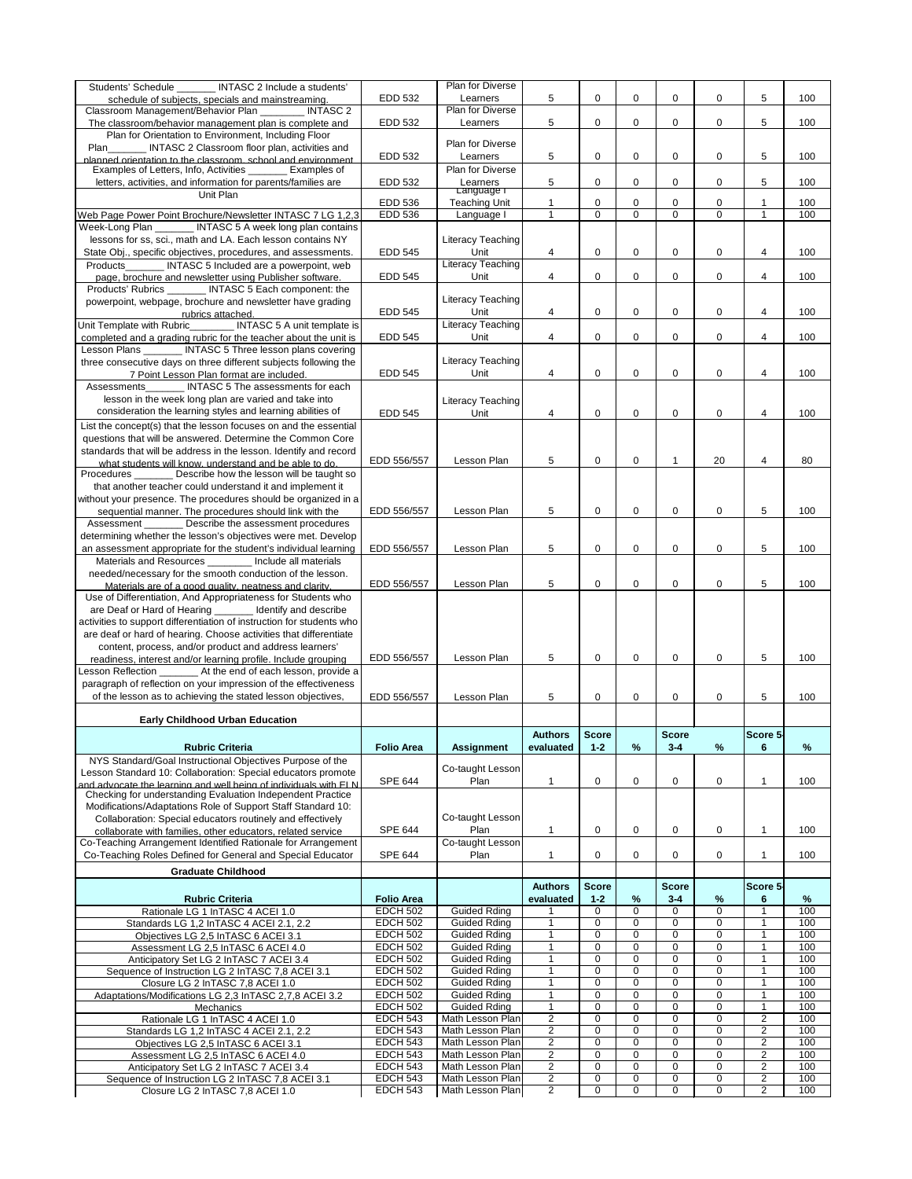| 5<br>$\mathbf 0$<br>$\mathbf 0$<br>$\mathbf 0$<br>5<br><b>EDD 532</b><br>0<br>100<br>Learners<br>schedule of subjects, specials and mainstreaming.<br>Plan for Diverse<br>$\_$ INTASC $\overline{2}$<br>Classroom Management/Behavior Plan<br>5<br>EDD 532<br>5<br>0<br>0<br>0<br>0<br>100<br>Learners<br>The classroom/behavior management plan is complete and<br>Plan for Orientation to Environment, Including Floor<br><b>Plan for Diverse</b><br>Plan<br>INTASC 2 Classroom floor plan, activities and<br>5<br>$\mathbf 0$<br>$\mathbf 0$<br>$\mathbf 0$<br>5<br><b>EDD 532</b><br>0<br>100<br>Learners<br>planned orientation to the classroom school and environment<br>Examples of Letters, Info, Activities _______ Examples of<br>Plan for Diverse<br>5<br>5<br>EDD 532<br>$\mathbf 0$<br>letters, activities, and information for parents/families are<br>0<br>0<br>0<br>100<br>Learners<br>Language r<br>Unit Plan<br><b>EDD 536</b><br>$\mathbf{1}$<br><b>Teaching Unit</b><br>0<br>0<br>0<br>100<br>$\mathbf 1$<br>$\Omega$<br>$\overline{0}$<br>$\overline{0}$<br><b>EDD 536</b><br>$\mathbf{1}$<br>$\mathbf 0$<br>$\mathbf 0$<br>$\mathbf{1}$<br>100<br>Web Page Power Point Brochure/Newsletter INTASC 7 LG 1,2,3<br>Language I<br>Week-Long Plan ________ INTASC 5 A week long plan contains<br>lessons for ss, sci., math and LA. Each lesson contains NY<br>Literacy Teaching<br>State Obj., specific objectives, procedures, and assessments.<br>Unit<br><b>EDD 545</b><br>$\overline{4}$<br>$\mathbf 0$<br>$\mathbf 0$<br>$\mathbf 0$<br>$\overline{\mathcal{A}}$<br>0<br>100<br><b>Literacy Teaching</b><br>INTASC 5 Included are a powerpoint, web<br>Products<br><b>EDD 545</b><br>$\overline{4}$<br>$\mathbf 0$<br>$\mathbf 0$<br>$\mathbf 0$<br>$\mathbf 0$<br>$\overline{4}$<br>100<br>Unit<br>page, brochure and newsletter using Publisher software.<br>Products' Rubrics _______ INTASC 5 Each component: the<br>Literacy Teaching<br>powerpoint, webpage, brochure and newsletter have grading<br><b>EDD 545</b><br>Unit<br>$\mathbf 0$<br>$\mathbf 0$<br>$\mathbf 0$<br>4<br>0<br>4<br>100<br>rubrics attached.<br>Unit Template with Rubric_________ INTASC 5 A unit template is<br><b>Literacy Teaching</b><br><b>EDD 545</b><br>Unit<br>4<br>$\mathbf 0$<br>$\mathbf 0$<br>$\mathbf 0$<br>$\mathbf 0$<br>$\overline{4}$<br>100<br>completed and a grading rubric for the teacher about the unit is<br>Lesson Plans _______ INTASC 5 Three lesson plans covering<br>Literacy Teaching<br>three consecutive days on three different subjects following the<br><b>EDD 545</b><br>$\pmb{0}$<br>$\mathbf 0$<br>$\mathbf 0$<br>100<br>Unit<br>4<br>0<br>4<br>7 Point Lesson Plan format are included.<br>INTASC 5 The assessments for each<br>Assessments<br>lesson in the week long plan are varied and take into<br>Literacy Teaching<br>consideration the learning styles and learning abilities of<br><b>EDD 545</b><br>Unit<br>$\mathbf 0$<br>$\mathbf 0$<br>$\mathbf 0$<br>4<br>4<br>$\Omega$<br>100<br>List the concept(s) that the lesson focuses on and the essential<br>questions that will be answered. Determine the Common Core<br>standards that will be address in the lesson. Identify and record<br>5<br>$\mathbf 0$<br>EDD 556/557<br>Lesson Plan<br>0<br>20<br>4<br>80<br>1<br>what students will know, understand and be able to do.<br>Procedures<br>_ Describe how the lesson will be taught so<br>that another teacher could understand it and implement it<br>without your presence. The procedures should be organized in a<br>5<br>5<br>sequential manner. The procedures should link with the<br>EDD 556/557<br>Lesson Plan<br>0<br>0<br>0<br>0<br>100<br>Describe the assessment procedures<br>Assessment<br>determining whether the lesson's objectives were met. Develop<br>5<br>5<br>$\mathbf 0$<br>EDD 556/557<br>Lesson Plan<br>$\mathbf 0$<br>0<br>$\Omega$<br>100<br>an assessment appropriate for the student's individual learning<br><b>Materials and Resources</b><br>Include all materials<br>needed/necessary for the smooth conduction of the lesson.<br>5<br>0<br>$\mathbf 0$<br>5<br>EDD 556/557<br>Lesson Plan<br>0<br>$\Omega$<br>100<br>Materials are of a good quality, neatness and clarity.<br>Use of Differentiation, And Appropriateness for Students who<br>are Deaf or Hard of Hearing _______ Identify and describe<br>activities to support differentiation of instruction for students who<br>are deaf or hard of hearing. Choose activities that differentiate<br>content, process, and/or product and address learners'<br>5<br>$\mathbf 0$<br>5<br>EDD 556/557<br>Lesson Plan<br>0<br>0<br>0<br>100<br>readiness, interest and/or learning profile. Include grouping<br>Lesson Reflection _______ At the end of each lesson, provide a<br>paragraph of reflection on your impression of the effectiveness<br>of the lesson as to achieving the stated lesson objectives,<br>5<br>EDD 556/557<br>Lesson Plan<br>5<br>0<br>0<br>100<br>0<br>0<br><b>Early Childhood Urban Education</b><br><b>Score</b><br><b>Score</b><br>Score 5-<br><b>Authors</b><br>$\%$<br>%<br>$\frac{9}{6}$<br><b>Rubric Criteria</b><br>$1 - 2$<br>$3 - 4$<br><b>Folio Area</b><br><b>Assignment</b><br>evaluated<br>6<br>NYS Standard/Goal Instructional Objectives Purpose of the<br>Co-taught Lesson<br>Lesson Standard 10: Collaboration: Special educators promote<br><b>SPE 644</b><br>$\mathbf 0$<br>$\mathbf 0$<br>$\mathbf 0$<br>Plan<br>$\overline{\mathbf{1}}$<br>$\Omega$<br>$\mathbf 1$<br>100<br>and advocate the learning and well being of individuals with FLN<br>Checking for understanding Evaluation Independent Practice<br>Modifications/Adaptations Role of Support Staff Standard 10:<br>Co-taught Lesson<br>Collaboration: Special educators routinely and effectively<br><b>SPE 644</b><br>Plan<br>$\mathbf{1}$<br>$\overline{1}$<br>0<br>0<br>0<br>0<br>100<br>collaborate with families, other educators, related service<br>Co-Teaching Arrangement Identified Rationale for Arrangement<br>Co-taught Lesson<br><b>SPE 644</b><br>$\mathbf{1}$<br>Co-Teaching Roles Defined for General and Special Educator<br>Plan<br>1<br>0<br>0<br>$\Omega$<br>0<br>100<br><b>Graduate Childhood</b><br><b>Score</b><br>Score 5-<br><b>Score</b><br><b>Authors</b><br>$1 - 2$<br>$\%$<br><b>Rubric Criteria</b><br><b>Folio Area</b><br>$3 - 4$<br>℅<br>$\%$<br>evaluated<br>6<br>100<br>$\overline{0}$<br>$\overline{0}$<br>$\overline{0}$<br>$\overline{1}$<br><b>EDCH 502</b><br><b>Guided Rding</b><br>$\Omega$<br>Rationale LG 1 InTASC 4 ACEI 1.0<br>$\overline{0}$<br>$\overline{0}$<br>100<br><b>EDCH 502</b><br>$\overline{1}$<br>$\Omega$<br>$\mathbf 0$<br>$\mathbf{1}$<br><b>Guided Rding</b><br>Standards LG 1,2 InTASC 4 ACEI 2.1, 2.2<br><b>EDCH 502</b><br><b>Guided Rding</b><br>$\overline{1}$<br>$\mathbf 0$<br>100<br>0<br>$\Omega$<br>0<br>$\mathbf{1}$<br>Objectives LG 2,5 InTASC 6 ACEI 3.1<br>$\mathbf 0$<br>0<br>100<br><b>EDCH 502</b><br><b>Guided Rding</b><br>$\overline{1}$<br>0<br>0<br>1<br>Assessment LG 2,5 InTASC 6 ACEI 4.0<br><b>EDCH 502</b><br>100<br><b>Guided Rding</b><br>$\overline{1}$<br>$\pmb{0}$<br>$\Omega$<br>$\pmb{0}$<br>$\Omega$<br>Anticipatory Set LG 2 InTASC 7 ACEI 3.4<br><b>EDCH 502</b><br><b>Guided Rding</b><br>$\mathbf 1$<br>$\Omega$<br>0<br>$\Omega$<br>$\mathbf{1}$<br>0<br>100<br>Sequence of Instruction LG 2 InTASC 7,8 ACEI 3.1<br><b>EDCH 502</b><br><b>Guided Rding</b><br>$\mathbf{0}$<br>0<br>$\Omega$<br>$\mathbf 1$<br>Closure LG 2 InTASC 7,8 ACEI 1.0<br>0<br>100<br>0<br><b>EDCH 502</b><br><b>Guided Rding</b><br>$\mathbf{0}$<br>$\Omega$<br>$\Omega$<br>1<br>100<br>Adaptations/Modifications LG 2,3 InTASC 2,7,8 ACEI 3.2<br>0<br><b>EDCH 502</b><br><b>Guided Rding</b><br>$\mathbf{1}$<br>0<br>$\Omega$<br>$\Omega$<br>$\mathbf 1$<br>100<br>Mechanics<br>$\overline{2}$<br>$\overline{2}$<br><b>EDCH 543</b><br>Math Lesson Plan<br>0<br>0<br>$\Omega$<br>$\Omega$<br>100<br>Rationale LG 1 In TASC 4 ACEI 1.0<br>$\overline{2}$<br>$\overline{2}$<br><b>EDCH 543</b><br>0<br>0<br>$\Omega$<br>Math Lesson Plan<br>0<br>100<br>Standards LG 1,2 InTASC 4 ACEI 2.1, 2.2<br>$\overline{2}$<br>$\overline{2}$<br><b>EDCH 543</b><br>Math Lesson Plan<br>0<br>0<br>0<br>0<br>100<br>Objectives LG 2,5 InTASC 6 ACEI 3.1<br>$\overline{2}$<br>$\overline{2}$<br><b>EDCH 543</b><br>0<br>0<br>$\Omega$<br>0<br>Math Lesson Plan<br>100<br>Assessment LG 2,5 In TASC 6 ACEI 4.0<br>$\overline{2}$<br>$\overline{2}$<br><b>EDCH 543</b><br>0<br>0<br>$\Omega$<br>0<br>Math Lesson Plan<br>100<br>Anticipatory Set LG 2 InTASC 7 ACEI 3.4<br>$\overline{2}$<br>$\overline{2}$<br><b>EDCH 543</b><br>Math Lesson Plan<br>0<br>0<br>0<br>0<br>100<br>Sequence of Instruction LG 2 InTASC 7,8 ACEI 3.1<br><b>EDCH 543</b><br>Math Lesson Plan<br>$\overline{2}$<br>$\overline{2}$<br>$\mathbf{0}$<br>0<br>$\Omega$<br>0<br>100<br>Closure LG 2 In TASC 7,8 ACEI 1.0 | Students' Schedule MITASC 2 Include a students' | <b>Plan for Diverse</b> |  |  |  |  |
|-----------------------------------------------------------------------------------------------------------------------------------------------------------------------------------------------------------------------------------------------------------------------------------------------------------------------------------------------------------------------------------------------------------------------------------------------------------------------------------------------------------------------------------------------------------------------------------------------------------------------------------------------------------------------------------------------------------------------------------------------------------------------------------------------------------------------------------------------------------------------------------------------------------------------------------------------------------------------------------------------------------------------------------------------------------------------------------------------------------------------------------------------------------------------------------------------------------------------------------------------------------------------------------------------------------------------------------------------------------------------------------------------------------------------------------------------------------------------------------------------------------------------------------------------------------------------------------------------------------------------------------------------------------------------------------------------------------------------------------------------------------------------------------------------------------------------------------------------------------------------------------------------------------------------------------------------------------------------------------------------------------------------------------------------------------------------------------------------------------------------------------------------------------------------------------------------------------------------------------------------------------------------------------------------------------------------------------------------------------------------------------------------------------------------------------------------------------------------------------------------------------------------------------------------------------------------------------------------------------------------------------------------------------------------------------------------------------------------------------------------------------------------------------------------------------------------------------------------------------------------------------------------------------------------------------------------------------------------------------------------------------------------------------------------------------------------------------------------------------------------------------------------------------------------------------------------------------------------------------------------------------------------------------------------------------------------------------------------------------------------------------------------------------------------------------------------------------------------------------------------------------------------------------------------------------------------------------------------------------------------------------------------------------------------------------------------------------------------------------------------------------------------------------------------------------------------------------------------------------------------------------------------------------------------------------------------------------------------------------------------------------------------------------------------------------------------------------------------------------------------------------------------------------------------------------------------------------------------------------------------------------------------------------------------------------------------------------------------------------------------------------------------------------------------------------------------------------------------------------------------------------------------------------------------------------------------------------------------------------------------------------------------------------------------------------------------------------------------------------------------------------------------------------------------------------------------------------------------------------------------------------------------------------------------------------------------------------------------------------------------------------------------------------------------------------------------------------------------------------------------------------------------------------------------------------------------------------------------------------------------------------------------------------------------------------------------------------------------------------------------------------------------------------------------------------------------------------------------------------------------------------------------------------------------------------------------------------------------------------------------------------------------------------------------------------------------------------------------------------------------------------------------------------------------------------------------------------------------------------------------------------------------------------------------------------------------------------------------------------------------------------------------------------------------------------------------------------------------------------------------------------------------------------------------------------------------------------------------------------------------------------------------------------------------------------------------------------------------------------------------------------------------------------------------------------------------------------------------------------------------------------------------------------------------------------------------------------------------------------------------------------------------------------------------------------------------------------------------------------------------------------------------------------------------------------------------------------------------------------------------------------------------------------------------------------------------------------------------------------------------------------------------------------------------------------------------------------------------------------------------------------------------------------------------------------------------------------------------------------------------------------------------------------------------------------------------------------------------------------------------------------------------------------------------------------------------------------------------------------------------------------------------------------------------------------------------------------------------------------------------------------------------------------------------------------------------------------------------------------------------------------------------------------------------------------------------------------------------------------------------------------------------------------------------------------------------------------------------------------------------------------------------------------------------------------------------------------------------------------------------------------------------------------------------------------------------------------------------------------------------------------------------------------------------------------------------------------------------------------------------------------------------------------------------------------------------------------------------------------------------------------------------------------------------------------------------------------------------------------------------------------------------------------------------------------------------------------------------------------------------------------------------------------------------------------------------------------------------------------------------------------------------------------------------------------------------------------------------------------------------------------------------------------|-------------------------------------------------|-------------------------|--|--|--|--|
|                                                                                                                                                                                                                                                                                                                                                                                                                                                                                                                                                                                                                                                                                                                                                                                                                                                                                                                                                                                                                                                                                                                                                                                                                                                                                                                                                                                                                                                                                                                                                                                                                                                                                                                                                                                                                                                                                                                                                                                                                                                                                                                                                                                                                                                                                                                                                                                                                                                                                                                                                                                                                                                                                                                                                                                                                                                                                                                                                                                                                                                                                                                                                                                                                                                                                                                                                                                                                                                                                                                                                                                                                                                                                                                                                                                                                                                                                                                                                                                                                                                                                                                                                                                                                                                                                                                                                                                                                                                                                                                                                                                                                                                                                                                                                                                                                                                                                                                                                                                                                                                                                                                                                                                                                                                                                                                                                                                                                                                                                                                                                                                                                                                                                                                                                                                                                                                                                                                                                                                                                                                                                                                                                                                                                                                                                                                                                                                                                                                                                                                                                                                                                                                                                                                                                                                                                                                                                                                                                                                                                                                                                                                                                                                                                                                                                                                                                                                                                                                                                                                                                                                                                                                                                                                                                                                                                                                                                                                                                                                                                                                                                                                                                                                                                                                                                                                                                                                                                                                                                                                                                                                                                                                                                                                                                                                                                                                                                                                                                                                                                                   |                                                 |                         |  |  |  |  |
|                                                                                                                                                                                                                                                                                                                                                                                                                                                                                                                                                                                                                                                                                                                                                                                                                                                                                                                                                                                                                                                                                                                                                                                                                                                                                                                                                                                                                                                                                                                                                                                                                                                                                                                                                                                                                                                                                                                                                                                                                                                                                                                                                                                                                                                                                                                                                                                                                                                                                                                                                                                                                                                                                                                                                                                                                                                                                                                                                                                                                                                                                                                                                                                                                                                                                                                                                                                                                                                                                                                                                                                                                                                                                                                                                                                                                                                                                                                                                                                                                                                                                                                                                                                                                                                                                                                                                                                                                                                                                                                                                                                                                                                                                                                                                                                                                                                                                                                                                                                                                                                                                                                                                                                                                                                                                                                                                                                                                                                                                                                                                                                                                                                                                                                                                                                                                                                                                                                                                                                                                                                                                                                                                                                                                                                                                                                                                                                                                                                                                                                                                                                                                                                                                                                                                                                                                                                                                                                                                                                                                                                                                                                                                                                                                                                                                                                                                                                                                                                                                                                                                                                                                                                                                                                                                                                                                                                                                                                                                                                                                                                                                                                                                                                                                                                                                                                                                                                                                                                                                                                                                                                                                                                                                                                                                                                                                                                                                                                                                                                                                                   |                                                 |                         |  |  |  |  |
|                                                                                                                                                                                                                                                                                                                                                                                                                                                                                                                                                                                                                                                                                                                                                                                                                                                                                                                                                                                                                                                                                                                                                                                                                                                                                                                                                                                                                                                                                                                                                                                                                                                                                                                                                                                                                                                                                                                                                                                                                                                                                                                                                                                                                                                                                                                                                                                                                                                                                                                                                                                                                                                                                                                                                                                                                                                                                                                                                                                                                                                                                                                                                                                                                                                                                                                                                                                                                                                                                                                                                                                                                                                                                                                                                                                                                                                                                                                                                                                                                                                                                                                                                                                                                                                                                                                                                                                                                                                                                                                                                                                                                                                                                                                                                                                                                                                                                                                                                                                                                                                                                                                                                                                                                                                                                                                                                                                                                                                                                                                                                                                                                                                                                                                                                                                                                                                                                                                                                                                                                                                                                                                                                                                                                                                                                                                                                                                                                                                                                                                                                                                                                                                                                                                                                                                                                                                                                                                                                                                                                                                                                                                                                                                                                                                                                                                                                                                                                                                                                                                                                                                                                                                                                                                                                                                                                                                                                                                                                                                                                                                                                                                                                                                                                                                                                                                                                                                                                                                                                                                                                                                                                                                                                                                                                                                                                                                                                                                                                                                                                                   |                                                 |                         |  |  |  |  |
|                                                                                                                                                                                                                                                                                                                                                                                                                                                                                                                                                                                                                                                                                                                                                                                                                                                                                                                                                                                                                                                                                                                                                                                                                                                                                                                                                                                                                                                                                                                                                                                                                                                                                                                                                                                                                                                                                                                                                                                                                                                                                                                                                                                                                                                                                                                                                                                                                                                                                                                                                                                                                                                                                                                                                                                                                                                                                                                                                                                                                                                                                                                                                                                                                                                                                                                                                                                                                                                                                                                                                                                                                                                                                                                                                                                                                                                                                                                                                                                                                                                                                                                                                                                                                                                                                                                                                                                                                                                                                                                                                                                                                                                                                                                                                                                                                                                                                                                                                                                                                                                                                                                                                                                                                                                                                                                                                                                                                                                                                                                                                                                                                                                                                                                                                                                                                                                                                                                                                                                                                                                                                                                                                                                                                                                                                                                                                                                                                                                                                                                                                                                                                                                                                                                                                                                                                                                                                                                                                                                                                                                                                                                                                                                                                                                                                                                                                                                                                                                                                                                                                                                                                                                                                                                                                                                                                                                                                                                                                                                                                                                                                                                                                                                                                                                                                                                                                                                                                                                                                                                                                                                                                                                                                                                                                                                                                                                                                                                                                                                                                                   |                                                 |                         |  |  |  |  |
|                                                                                                                                                                                                                                                                                                                                                                                                                                                                                                                                                                                                                                                                                                                                                                                                                                                                                                                                                                                                                                                                                                                                                                                                                                                                                                                                                                                                                                                                                                                                                                                                                                                                                                                                                                                                                                                                                                                                                                                                                                                                                                                                                                                                                                                                                                                                                                                                                                                                                                                                                                                                                                                                                                                                                                                                                                                                                                                                                                                                                                                                                                                                                                                                                                                                                                                                                                                                                                                                                                                                                                                                                                                                                                                                                                                                                                                                                                                                                                                                                                                                                                                                                                                                                                                                                                                                                                                                                                                                                                                                                                                                                                                                                                                                                                                                                                                                                                                                                                                                                                                                                                                                                                                                                                                                                                                                                                                                                                                                                                                                                                                                                                                                                                                                                                                                                                                                                                                                                                                                                                                                                                                                                                                                                                                                                                                                                                                                                                                                                                                                                                                                                                                                                                                                                                                                                                                                                                                                                                                                                                                                                                                                                                                                                                                                                                                                                                                                                                                                                                                                                                                                                                                                                                                                                                                                                                                                                                                                                                                                                                                                                                                                                                                                                                                                                                                                                                                                                                                                                                                                                                                                                                                                                                                                                                                                                                                                                                                                                                                                                                   |                                                 |                         |  |  |  |  |
|                                                                                                                                                                                                                                                                                                                                                                                                                                                                                                                                                                                                                                                                                                                                                                                                                                                                                                                                                                                                                                                                                                                                                                                                                                                                                                                                                                                                                                                                                                                                                                                                                                                                                                                                                                                                                                                                                                                                                                                                                                                                                                                                                                                                                                                                                                                                                                                                                                                                                                                                                                                                                                                                                                                                                                                                                                                                                                                                                                                                                                                                                                                                                                                                                                                                                                                                                                                                                                                                                                                                                                                                                                                                                                                                                                                                                                                                                                                                                                                                                                                                                                                                                                                                                                                                                                                                                                                                                                                                                                                                                                                                                                                                                                                                                                                                                                                                                                                                                                                                                                                                                                                                                                                                                                                                                                                                                                                                                                                                                                                                                                                                                                                                                                                                                                                                                                                                                                                                                                                                                                                                                                                                                                                                                                                                                                                                                                                                                                                                                                                                                                                                                                                                                                                                                                                                                                                                                                                                                                                                                                                                                                                                                                                                                                                                                                                                                                                                                                                                                                                                                                                                                                                                                                                                                                                                                                                                                                                                                                                                                                                                                                                                                                                                                                                                                                                                                                                                                                                                                                                                                                                                                                                                                                                                                                                                                                                                                                                                                                                                                                   |                                                 |                         |  |  |  |  |
|                                                                                                                                                                                                                                                                                                                                                                                                                                                                                                                                                                                                                                                                                                                                                                                                                                                                                                                                                                                                                                                                                                                                                                                                                                                                                                                                                                                                                                                                                                                                                                                                                                                                                                                                                                                                                                                                                                                                                                                                                                                                                                                                                                                                                                                                                                                                                                                                                                                                                                                                                                                                                                                                                                                                                                                                                                                                                                                                                                                                                                                                                                                                                                                                                                                                                                                                                                                                                                                                                                                                                                                                                                                                                                                                                                                                                                                                                                                                                                                                                                                                                                                                                                                                                                                                                                                                                                                                                                                                                                                                                                                                                                                                                                                                                                                                                                                                                                                                                                                                                                                                                                                                                                                                                                                                                                                                                                                                                                                                                                                                                                                                                                                                                                                                                                                                                                                                                                                                                                                                                                                                                                                                                                                                                                                                                                                                                                                                                                                                                                                                                                                                                                                                                                                                                                                                                                                                                                                                                                                                                                                                                                                                                                                                                                                                                                                                                                                                                                                                                                                                                                                                                                                                                                                                                                                                                                                                                                                                                                                                                                                                                                                                                                                                                                                                                                                                                                                                                                                                                                                                                                                                                                                                                                                                                                                                                                                                                                                                                                                                                                   |                                                 |                         |  |  |  |  |
|                                                                                                                                                                                                                                                                                                                                                                                                                                                                                                                                                                                                                                                                                                                                                                                                                                                                                                                                                                                                                                                                                                                                                                                                                                                                                                                                                                                                                                                                                                                                                                                                                                                                                                                                                                                                                                                                                                                                                                                                                                                                                                                                                                                                                                                                                                                                                                                                                                                                                                                                                                                                                                                                                                                                                                                                                                                                                                                                                                                                                                                                                                                                                                                                                                                                                                                                                                                                                                                                                                                                                                                                                                                                                                                                                                                                                                                                                                                                                                                                                                                                                                                                                                                                                                                                                                                                                                                                                                                                                                                                                                                                                                                                                                                                                                                                                                                                                                                                                                                                                                                                                                                                                                                                                                                                                                                                                                                                                                                                                                                                                                                                                                                                                                                                                                                                                                                                                                                                                                                                                                                                                                                                                                                                                                                                                                                                                                                                                                                                                                                                                                                                                                                                                                                                                                                                                                                                                                                                                                                                                                                                                                                                                                                                                                                                                                                                                                                                                                                                                                                                                                                                                                                                                                                                                                                                                                                                                                                                                                                                                                                                                                                                                                                                                                                                                                                                                                                                                                                                                                                                                                                                                                                                                                                                                                                                                                                                                                                                                                                                                                   |                                                 |                         |  |  |  |  |
|                                                                                                                                                                                                                                                                                                                                                                                                                                                                                                                                                                                                                                                                                                                                                                                                                                                                                                                                                                                                                                                                                                                                                                                                                                                                                                                                                                                                                                                                                                                                                                                                                                                                                                                                                                                                                                                                                                                                                                                                                                                                                                                                                                                                                                                                                                                                                                                                                                                                                                                                                                                                                                                                                                                                                                                                                                                                                                                                                                                                                                                                                                                                                                                                                                                                                                                                                                                                                                                                                                                                                                                                                                                                                                                                                                                                                                                                                                                                                                                                                                                                                                                                                                                                                                                                                                                                                                                                                                                                                                                                                                                                                                                                                                                                                                                                                                                                                                                                                                                                                                                                                                                                                                                                                                                                                                                                                                                                                                                                                                                                                                                                                                                                                                                                                                                                                                                                                                                                                                                                                                                                                                                                                                                                                                                                                                                                                                                                                                                                                                                                                                                                                                                                                                                                                                                                                                                                                                                                                                                                                                                                                                                                                                                                                                                                                                                                                                                                                                                                                                                                                                                                                                                                                                                                                                                                                                                                                                                                                                                                                                                                                                                                                                                                                                                                                                                                                                                                                                                                                                                                                                                                                                                                                                                                                                                                                                                                                                                                                                                                                                   |                                                 |                         |  |  |  |  |
|                                                                                                                                                                                                                                                                                                                                                                                                                                                                                                                                                                                                                                                                                                                                                                                                                                                                                                                                                                                                                                                                                                                                                                                                                                                                                                                                                                                                                                                                                                                                                                                                                                                                                                                                                                                                                                                                                                                                                                                                                                                                                                                                                                                                                                                                                                                                                                                                                                                                                                                                                                                                                                                                                                                                                                                                                                                                                                                                                                                                                                                                                                                                                                                                                                                                                                                                                                                                                                                                                                                                                                                                                                                                                                                                                                                                                                                                                                                                                                                                                                                                                                                                                                                                                                                                                                                                                                                                                                                                                                                                                                                                                                                                                                                                                                                                                                                                                                                                                                                                                                                                                                                                                                                                                                                                                                                                                                                                                                                                                                                                                                                                                                                                                                                                                                                                                                                                                                                                                                                                                                                                                                                                                                                                                                                                                                                                                                                                                                                                                                                                                                                                                                                                                                                                                                                                                                                                                                                                                                                                                                                                                                                                                                                                                                                                                                                                                                                                                                                                                                                                                                                                                                                                                                                                                                                                                                                                                                                                                                                                                                                                                                                                                                                                                                                                                                                                                                                                                                                                                                                                                                                                                                                                                                                                                                                                                                                                                                                                                                                                                                   |                                                 |                         |  |  |  |  |
|                                                                                                                                                                                                                                                                                                                                                                                                                                                                                                                                                                                                                                                                                                                                                                                                                                                                                                                                                                                                                                                                                                                                                                                                                                                                                                                                                                                                                                                                                                                                                                                                                                                                                                                                                                                                                                                                                                                                                                                                                                                                                                                                                                                                                                                                                                                                                                                                                                                                                                                                                                                                                                                                                                                                                                                                                                                                                                                                                                                                                                                                                                                                                                                                                                                                                                                                                                                                                                                                                                                                                                                                                                                                                                                                                                                                                                                                                                                                                                                                                                                                                                                                                                                                                                                                                                                                                                                                                                                                                                                                                                                                                                                                                                                                                                                                                                                                                                                                                                                                                                                                                                                                                                                                                                                                                                                                                                                                                                                                                                                                                                                                                                                                                                                                                                                                                                                                                                                                                                                                                                                                                                                                                                                                                                                                                                                                                                                                                                                                                                                                                                                                                                                                                                                                                                                                                                                                                                                                                                                                                                                                                                                                                                                                                                                                                                                                                                                                                                                                                                                                                                                                                                                                                                                                                                                                                                                                                                                                                                                                                                                                                                                                                                                                                                                                                                                                                                                                                                                                                                                                                                                                                                                                                                                                                                                                                                                                                                                                                                                                                                   |                                                 |                         |  |  |  |  |
|                                                                                                                                                                                                                                                                                                                                                                                                                                                                                                                                                                                                                                                                                                                                                                                                                                                                                                                                                                                                                                                                                                                                                                                                                                                                                                                                                                                                                                                                                                                                                                                                                                                                                                                                                                                                                                                                                                                                                                                                                                                                                                                                                                                                                                                                                                                                                                                                                                                                                                                                                                                                                                                                                                                                                                                                                                                                                                                                                                                                                                                                                                                                                                                                                                                                                                                                                                                                                                                                                                                                                                                                                                                                                                                                                                                                                                                                                                                                                                                                                                                                                                                                                                                                                                                                                                                                                                                                                                                                                                                                                                                                                                                                                                                                                                                                                                                                                                                                                                                                                                                                                                                                                                                                                                                                                                                                                                                                                                                                                                                                                                                                                                                                                                                                                                                                                                                                                                                                                                                                                                                                                                                                                                                                                                                                                                                                                                                                                                                                                                                                                                                                                                                                                                                                                                                                                                                                                                                                                                                                                                                                                                                                                                                                                                                                                                                                                                                                                                                                                                                                                                                                                                                                                                                                                                                                                                                                                                                                                                                                                                                                                                                                                                                                                                                                                                                                                                                                                                                                                                                                                                                                                                                                                                                                                                                                                                                                                                                                                                                                                                   |                                                 |                         |  |  |  |  |
|                                                                                                                                                                                                                                                                                                                                                                                                                                                                                                                                                                                                                                                                                                                                                                                                                                                                                                                                                                                                                                                                                                                                                                                                                                                                                                                                                                                                                                                                                                                                                                                                                                                                                                                                                                                                                                                                                                                                                                                                                                                                                                                                                                                                                                                                                                                                                                                                                                                                                                                                                                                                                                                                                                                                                                                                                                                                                                                                                                                                                                                                                                                                                                                                                                                                                                                                                                                                                                                                                                                                                                                                                                                                                                                                                                                                                                                                                                                                                                                                                                                                                                                                                                                                                                                                                                                                                                                                                                                                                                                                                                                                                                                                                                                                                                                                                                                                                                                                                                                                                                                                                                                                                                                                                                                                                                                                                                                                                                                                                                                                                                                                                                                                                                                                                                                                                                                                                                                                                                                                                                                                                                                                                                                                                                                                                                                                                                                                                                                                                                                                                                                                                                                                                                                                                                                                                                                                                                                                                                                                                                                                                                                                                                                                                                                                                                                                                                                                                                                                                                                                                                                                                                                                                                                                                                                                                                                                                                                                                                                                                                                                                                                                                                                                                                                                                                                                                                                                                                                                                                                                                                                                                                                                                                                                                                                                                                                                                                                                                                                                                                   |                                                 |                         |  |  |  |  |
|                                                                                                                                                                                                                                                                                                                                                                                                                                                                                                                                                                                                                                                                                                                                                                                                                                                                                                                                                                                                                                                                                                                                                                                                                                                                                                                                                                                                                                                                                                                                                                                                                                                                                                                                                                                                                                                                                                                                                                                                                                                                                                                                                                                                                                                                                                                                                                                                                                                                                                                                                                                                                                                                                                                                                                                                                                                                                                                                                                                                                                                                                                                                                                                                                                                                                                                                                                                                                                                                                                                                                                                                                                                                                                                                                                                                                                                                                                                                                                                                                                                                                                                                                                                                                                                                                                                                                                                                                                                                                                                                                                                                                                                                                                                                                                                                                                                                                                                                                                                                                                                                                                                                                                                                                                                                                                                                                                                                                                                                                                                                                                                                                                                                                                                                                                                                                                                                                                                                                                                                                                                                                                                                                                                                                                                                                                                                                                                                                                                                                                                                                                                                                                                                                                                                                                                                                                                                                                                                                                                                                                                                                                                                                                                                                                                                                                                                                                                                                                                                                                                                                                                                                                                                                                                                                                                                                                                                                                                                                                                                                                                                                                                                                                                                                                                                                                                                                                                                                                                                                                                                                                                                                                                                                                                                                                                                                                                                                                                                                                                                                                   |                                                 |                         |  |  |  |  |
|                                                                                                                                                                                                                                                                                                                                                                                                                                                                                                                                                                                                                                                                                                                                                                                                                                                                                                                                                                                                                                                                                                                                                                                                                                                                                                                                                                                                                                                                                                                                                                                                                                                                                                                                                                                                                                                                                                                                                                                                                                                                                                                                                                                                                                                                                                                                                                                                                                                                                                                                                                                                                                                                                                                                                                                                                                                                                                                                                                                                                                                                                                                                                                                                                                                                                                                                                                                                                                                                                                                                                                                                                                                                                                                                                                                                                                                                                                                                                                                                                                                                                                                                                                                                                                                                                                                                                                                                                                                                                                                                                                                                                                                                                                                                                                                                                                                                                                                                                                                                                                                                                                                                                                                                                                                                                                                                                                                                                                                                                                                                                                                                                                                                                                                                                                                                                                                                                                                                                                                                                                                                                                                                                                                                                                                                                                                                                                                                                                                                                                                                                                                                                                                                                                                                                                                                                                                                                                                                                                                                                                                                                                                                                                                                                                                                                                                                                                                                                                                                                                                                                                                                                                                                                                                                                                                                                                                                                                                                                                                                                                                                                                                                                                                                                                                                                                                                                                                                                                                                                                                                                                                                                                                                                                                                                                                                                                                                                                                                                                                                                                   |                                                 |                         |  |  |  |  |
|                                                                                                                                                                                                                                                                                                                                                                                                                                                                                                                                                                                                                                                                                                                                                                                                                                                                                                                                                                                                                                                                                                                                                                                                                                                                                                                                                                                                                                                                                                                                                                                                                                                                                                                                                                                                                                                                                                                                                                                                                                                                                                                                                                                                                                                                                                                                                                                                                                                                                                                                                                                                                                                                                                                                                                                                                                                                                                                                                                                                                                                                                                                                                                                                                                                                                                                                                                                                                                                                                                                                                                                                                                                                                                                                                                                                                                                                                                                                                                                                                                                                                                                                                                                                                                                                                                                                                                                                                                                                                                                                                                                                                                                                                                                                                                                                                                                                                                                                                                                                                                                                                                                                                                                                                                                                                                                                                                                                                                                                                                                                                                                                                                                                                                                                                                                                                                                                                                                                                                                                                                                                                                                                                                                                                                                                                                                                                                                                                                                                                                                                                                                                                                                                                                                                                                                                                                                                                                                                                                                                                                                                                                                                                                                                                                                                                                                                                                                                                                                                                                                                                                                                                                                                                                                                                                                                                                                                                                                                                                                                                                                                                                                                                                                                                                                                                                                                                                                                                                                                                                                                                                                                                                                                                                                                                                                                                                                                                                                                                                                                                                   |                                                 |                         |  |  |  |  |
|                                                                                                                                                                                                                                                                                                                                                                                                                                                                                                                                                                                                                                                                                                                                                                                                                                                                                                                                                                                                                                                                                                                                                                                                                                                                                                                                                                                                                                                                                                                                                                                                                                                                                                                                                                                                                                                                                                                                                                                                                                                                                                                                                                                                                                                                                                                                                                                                                                                                                                                                                                                                                                                                                                                                                                                                                                                                                                                                                                                                                                                                                                                                                                                                                                                                                                                                                                                                                                                                                                                                                                                                                                                                                                                                                                                                                                                                                                                                                                                                                                                                                                                                                                                                                                                                                                                                                                                                                                                                                                                                                                                                                                                                                                                                                                                                                                                                                                                                                                                                                                                                                                                                                                                                                                                                                                                                                                                                                                                                                                                                                                                                                                                                                                                                                                                                                                                                                                                                                                                                                                                                                                                                                                                                                                                                                                                                                                                                                                                                                                                                                                                                                                                                                                                                                                                                                                                                                                                                                                                                                                                                                                                                                                                                                                                                                                                                                                                                                                                                                                                                                                                                                                                                                                                                                                                                                                                                                                                                                                                                                                                                                                                                                                                                                                                                                                                                                                                                                                                                                                                                                                                                                                                                                                                                                                                                                                                                                                                                                                                                                                   |                                                 |                         |  |  |  |  |
|                                                                                                                                                                                                                                                                                                                                                                                                                                                                                                                                                                                                                                                                                                                                                                                                                                                                                                                                                                                                                                                                                                                                                                                                                                                                                                                                                                                                                                                                                                                                                                                                                                                                                                                                                                                                                                                                                                                                                                                                                                                                                                                                                                                                                                                                                                                                                                                                                                                                                                                                                                                                                                                                                                                                                                                                                                                                                                                                                                                                                                                                                                                                                                                                                                                                                                                                                                                                                                                                                                                                                                                                                                                                                                                                                                                                                                                                                                                                                                                                                                                                                                                                                                                                                                                                                                                                                                                                                                                                                                                                                                                                                                                                                                                                                                                                                                                                                                                                                                                                                                                                                                                                                                                                                                                                                                                                                                                                                                                                                                                                                                                                                                                                                                                                                                                                                                                                                                                                                                                                                                                                                                                                                                                                                                                                                                                                                                                                                                                                                                                                                                                                                                                                                                                                                                                                                                                                                                                                                                                                                                                                                                                                                                                                                                                                                                                                                                                                                                                                                                                                                                                                                                                                                                                                                                                                                                                                                                                                                                                                                                                                                                                                                                                                                                                                                                                                                                                                                                                                                                                                                                                                                                                                                                                                                                                                                                                                                                                                                                                                                                   |                                                 |                         |  |  |  |  |
|                                                                                                                                                                                                                                                                                                                                                                                                                                                                                                                                                                                                                                                                                                                                                                                                                                                                                                                                                                                                                                                                                                                                                                                                                                                                                                                                                                                                                                                                                                                                                                                                                                                                                                                                                                                                                                                                                                                                                                                                                                                                                                                                                                                                                                                                                                                                                                                                                                                                                                                                                                                                                                                                                                                                                                                                                                                                                                                                                                                                                                                                                                                                                                                                                                                                                                                                                                                                                                                                                                                                                                                                                                                                                                                                                                                                                                                                                                                                                                                                                                                                                                                                                                                                                                                                                                                                                                                                                                                                                                                                                                                                                                                                                                                                                                                                                                                                                                                                                                                                                                                                                                                                                                                                                                                                                                                                                                                                                                                                                                                                                                                                                                                                                                                                                                                                                                                                                                                                                                                                                                                                                                                                                                                                                                                                                                                                                                                                                                                                                                                                                                                                                                                                                                                                                                                                                                                                                                                                                                                                                                                                                                                                                                                                                                                                                                                                                                                                                                                                                                                                                                                                                                                                                                                                                                                                                                                                                                                                                                                                                                                                                                                                                                                                                                                                                                                                                                                                                                                                                                                                                                                                                                                                                                                                                                                                                                                                                                                                                                                                                                   |                                                 |                         |  |  |  |  |
|                                                                                                                                                                                                                                                                                                                                                                                                                                                                                                                                                                                                                                                                                                                                                                                                                                                                                                                                                                                                                                                                                                                                                                                                                                                                                                                                                                                                                                                                                                                                                                                                                                                                                                                                                                                                                                                                                                                                                                                                                                                                                                                                                                                                                                                                                                                                                                                                                                                                                                                                                                                                                                                                                                                                                                                                                                                                                                                                                                                                                                                                                                                                                                                                                                                                                                                                                                                                                                                                                                                                                                                                                                                                                                                                                                                                                                                                                                                                                                                                                                                                                                                                                                                                                                                                                                                                                                                                                                                                                                                                                                                                                                                                                                                                                                                                                                                                                                                                                                                                                                                                                                                                                                                                                                                                                                                                                                                                                                                                                                                                                                                                                                                                                                                                                                                                                                                                                                                                                                                                                                                                                                                                                                                                                                                                                                                                                                                                                                                                                                                                                                                                                                                                                                                                                                                                                                                                                                                                                                                                                                                                                                                                                                                                                                                                                                                                                                                                                                                                                                                                                                                                                                                                                                                                                                                                                                                                                                                                                                                                                                                                                                                                                                                                                                                                                                                                                                                                                                                                                                                                                                                                                                                                                                                                                                                                                                                                                                                                                                                                                                   |                                                 |                         |  |  |  |  |
|                                                                                                                                                                                                                                                                                                                                                                                                                                                                                                                                                                                                                                                                                                                                                                                                                                                                                                                                                                                                                                                                                                                                                                                                                                                                                                                                                                                                                                                                                                                                                                                                                                                                                                                                                                                                                                                                                                                                                                                                                                                                                                                                                                                                                                                                                                                                                                                                                                                                                                                                                                                                                                                                                                                                                                                                                                                                                                                                                                                                                                                                                                                                                                                                                                                                                                                                                                                                                                                                                                                                                                                                                                                                                                                                                                                                                                                                                                                                                                                                                                                                                                                                                                                                                                                                                                                                                                                                                                                                                                                                                                                                                                                                                                                                                                                                                                                                                                                                                                                                                                                                                                                                                                                                                                                                                                                                                                                                                                                                                                                                                                                                                                                                                                                                                                                                                                                                                                                                                                                                                                                                                                                                                                                                                                                                                                                                                                                                                                                                                                                                                                                                                                                                                                                                                                                                                                                                                                                                                                                                                                                                                                                                                                                                                                                                                                                                                                                                                                                                                                                                                                                                                                                                                                                                                                                                                                                                                                                                                                                                                                                                                                                                                                                                                                                                                                                                                                                                                                                                                                                                                                                                                                                                                                                                                                                                                                                                                                                                                                                                                                   |                                                 |                         |  |  |  |  |
|                                                                                                                                                                                                                                                                                                                                                                                                                                                                                                                                                                                                                                                                                                                                                                                                                                                                                                                                                                                                                                                                                                                                                                                                                                                                                                                                                                                                                                                                                                                                                                                                                                                                                                                                                                                                                                                                                                                                                                                                                                                                                                                                                                                                                                                                                                                                                                                                                                                                                                                                                                                                                                                                                                                                                                                                                                                                                                                                                                                                                                                                                                                                                                                                                                                                                                                                                                                                                                                                                                                                                                                                                                                                                                                                                                                                                                                                                                                                                                                                                                                                                                                                                                                                                                                                                                                                                                                                                                                                                                                                                                                                                                                                                                                                                                                                                                                                                                                                                                                                                                                                                                                                                                                                                                                                                                                                                                                                                                                                                                                                                                                                                                                                                                                                                                                                                                                                                                                                                                                                                                                                                                                                                                                                                                                                                                                                                                                                                                                                                                                                                                                                                                                                                                                                                                                                                                                                                                                                                                                                                                                                                                                                                                                                                                                                                                                                                                                                                                                                                                                                                                                                                                                                                                                                                                                                                                                                                                                                                                                                                                                                                                                                                                                                                                                                                                                                                                                                                                                                                                                                                                                                                                                                                                                                                                                                                                                                                                                                                                                                                                   |                                                 |                         |  |  |  |  |
|                                                                                                                                                                                                                                                                                                                                                                                                                                                                                                                                                                                                                                                                                                                                                                                                                                                                                                                                                                                                                                                                                                                                                                                                                                                                                                                                                                                                                                                                                                                                                                                                                                                                                                                                                                                                                                                                                                                                                                                                                                                                                                                                                                                                                                                                                                                                                                                                                                                                                                                                                                                                                                                                                                                                                                                                                                                                                                                                                                                                                                                                                                                                                                                                                                                                                                                                                                                                                                                                                                                                                                                                                                                                                                                                                                                                                                                                                                                                                                                                                                                                                                                                                                                                                                                                                                                                                                                                                                                                                                                                                                                                                                                                                                                                                                                                                                                                                                                                                                                                                                                                                                                                                                                                                                                                                                                                                                                                                                                                                                                                                                                                                                                                                                                                                                                                                                                                                                                                                                                                                                                                                                                                                                                                                                                                                                                                                                                                                                                                                                                                                                                                                                                                                                                                                                                                                                                                                                                                                                                                                                                                                                                                                                                                                                                                                                                                                                                                                                                                                                                                                                                                                                                                                                                                                                                                                                                                                                                                                                                                                                                                                                                                                                                                                                                                                                                                                                                                                                                                                                                                                                                                                                                                                                                                                                                                                                                                                                                                                                                                                                   |                                                 |                         |  |  |  |  |
|                                                                                                                                                                                                                                                                                                                                                                                                                                                                                                                                                                                                                                                                                                                                                                                                                                                                                                                                                                                                                                                                                                                                                                                                                                                                                                                                                                                                                                                                                                                                                                                                                                                                                                                                                                                                                                                                                                                                                                                                                                                                                                                                                                                                                                                                                                                                                                                                                                                                                                                                                                                                                                                                                                                                                                                                                                                                                                                                                                                                                                                                                                                                                                                                                                                                                                                                                                                                                                                                                                                                                                                                                                                                                                                                                                                                                                                                                                                                                                                                                                                                                                                                                                                                                                                                                                                                                                                                                                                                                                                                                                                                                                                                                                                                                                                                                                                                                                                                                                                                                                                                                                                                                                                                                                                                                                                                                                                                                                                                                                                                                                                                                                                                                                                                                                                                                                                                                                                                                                                                                                                                                                                                                                                                                                                                                                                                                                                                                                                                                                                                                                                                                                                                                                                                                                                                                                                                                                                                                                                                                                                                                                                                                                                                                                                                                                                                                                                                                                                                                                                                                                                                                                                                                                                                                                                                                                                                                                                                                                                                                                                                                                                                                                                                                                                                                                                                                                                                                                                                                                                                                                                                                                                                                                                                                                                                                                                                                                                                                                                                                                   |                                                 |                         |  |  |  |  |
|                                                                                                                                                                                                                                                                                                                                                                                                                                                                                                                                                                                                                                                                                                                                                                                                                                                                                                                                                                                                                                                                                                                                                                                                                                                                                                                                                                                                                                                                                                                                                                                                                                                                                                                                                                                                                                                                                                                                                                                                                                                                                                                                                                                                                                                                                                                                                                                                                                                                                                                                                                                                                                                                                                                                                                                                                                                                                                                                                                                                                                                                                                                                                                                                                                                                                                                                                                                                                                                                                                                                                                                                                                                                                                                                                                                                                                                                                                                                                                                                                                                                                                                                                                                                                                                                                                                                                                                                                                                                                                                                                                                                                                                                                                                                                                                                                                                                                                                                                                                                                                                                                                                                                                                                                                                                                                                                                                                                                                                                                                                                                                                                                                                                                                                                                                                                                                                                                                                                                                                                                                                                                                                                                                                                                                                                                                                                                                                                                                                                                                                                                                                                                                                                                                                                                                                                                                                                                                                                                                                                                                                                                                                                                                                                                                                                                                                                                                                                                                                                                                                                                                                                                                                                                                                                                                                                                                                                                                                                                                                                                                                                                                                                                                                                                                                                                                                                                                                                                                                                                                                                                                                                                                                                                                                                                                                                                                                                                                                                                                                                                                   |                                                 |                         |  |  |  |  |
|                                                                                                                                                                                                                                                                                                                                                                                                                                                                                                                                                                                                                                                                                                                                                                                                                                                                                                                                                                                                                                                                                                                                                                                                                                                                                                                                                                                                                                                                                                                                                                                                                                                                                                                                                                                                                                                                                                                                                                                                                                                                                                                                                                                                                                                                                                                                                                                                                                                                                                                                                                                                                                                                                                                                                                                                                                                                                                                                                                                                                                                                                                                                                                                                                                                                                                                                                                                                                                                                                                                                                                                                                                                                                                                                                                                                                                                                                                                                                                                                                                                                                                                                                                                                                                                                                                                                                                                                                                                                                                                                                                                                                                                                                                                                                                                                                                                                                                                                                                                                                                                                                                                                                                                                                                                                                                                                                                                                                                                                                                                                                                                                                                                                                                                                                                                                                                                                                                                                                                                                                                                                                                                                                                                                                                                                                                                                                                                                                                                                                                                                                                                                                                                                                                                                                                                                                                                                                                                                                                                                                                                                                                                                                                                                                                                                                                                                                                                                                                                                                                                                                                                                                                                                                                                                                                                                                                                                                                                                                                                                                                                                                                                                                                                                                                                                                                                                                                                                                                                                                                                                                                                                                                                                                                                                                                                                                                                                                                                                                                                                                                   |                                                 |                         |  |  |  |  |
|                                                                                                                                                                                                                                                                                                                                                                                                                                                                                                                                                                                                                                                                                                                                                                                                                                                                                                                                                                                                                                                                                                                                                                                                                                                                                                                                                                                                                                                                                                                                                                                                                                                                                                                                                                                                                                                                                                                                                                                                                                                                                                                                                                                                                                                                                                                                                                                                                                                                                                                                                                                                                                                                                                                                                                                                                                                                                                                                                                                                                                                                                                                                                                                                                                                                                                                                                                                                                                                                                                                                                                                                                                                                                                                                                                                                                                                                                                                                                                                                                                                                                                                                                                                                                                                                                                                                                                                                                                                                                                                                                                                                                                                                                                                                                                                                                                                                                                                                                                                                                                                                                                                                                                                                                                                                                                                                                                                                                                                                                                                                                                                                                                                                                                                                                                                                                                                                                                                                                                                                                                                                                                                                                                                                                                                                                                                                                                                                                                                                                                                                                                                                                                                                                                                                                                                                                                                                                                                                                                                                                                                                                                                                                                                                                                                                                                                                                                                                                                                                                                                                                                                                                                                                                                                                                                                                                                                                                                                                                                                                                                                                                                                                                                                                                                                                                                                                                                                                                                                                                                                                                                                                                                                                                                                                                                                                                                                                                                                                                                                                                                   |                                                 |                         |  |  |  |  |
|                                                                                                                                                                                                                                                                                                                                                                                                                                                                                                                                                                                                                                                                                                                                                                                                                                                                                                                                                                                                                                                                                                                                                                                                                                                                                                                                                                                                                                                                                                                                                                                                                                                                                                                                                                                                                                                                                                                                                                                                                                                                                                                                                                                                                                                                                                                                                                                                                                                                                                                                                                                                                                                                                                                                                                                                                                                                                                                                                                                                                                                                                                                                                                                                                                                                                                                                                                                                                                                                                                                                                                                                                                                                                                                                                                                                                                                                                                                                                                                                                                                                                                                                                                                                                                                                                                                                                                                                                                                                                                                                                                                                                                                                                                                                                                                                                                                                                                                                                                                                                                                                                                                                                                                                                                                                                                                                                                                                                                                                                                                                                                                                                                                                                                                                                                                                                                                                                                                                                                                                                                                                                                                                                                                                                                                                                                                                                                                                                                                                                                                                                                                                                                                                                                                                                                                                                                                                                                                                                                                                                                                                                                                                                                                                                                                                                                                                                                                                                                                                                                                                                                                                                                                                                                                                                                                                                                                                                                                                                                                                                                                                                                                                                                                                                                                                                                                                                                                                                                                                                                                                                                                                                                                                                                                                                                                                                                                                                                                                                                                                                                   |                                                 |                         |  |  |  |  |
|                                                                                                                                                                                                                                                                                                                                                                                                                                                                                                                                                                                                                                                                                                                                                                                                                                                                                                                                                                                                                                                                                                                                                                                                                                                                                                                                                                                                                                                                                                                                                                                                                                                                                                                                                                                                                                                                                                                                                                                                                                                                                                                                                                                                                                                                                                                                                                                                                                                                                                                                                                                                                                                                                                                                                                                                                                                                                                                                                                                                                                                                                                                                                                                                                                                                                                                                                                                                                                                                                                                                                                                                                                                                                                                                                                                                                                                                                                                                                                                                                                                                                                                                                                                                                                                                                                                                                                                                                                                                                                                                                                                                                                                                                                                                                                                                                                                                                                                                                                                                                                                                                                                                                                                                                                                                                                                                                                                                                                                                                                                                                                                                                                                                                                                                                                                                                                                                                                                                                                                                                                                                                                                                                                                                                                                                                                                                                                                                                                                                                                                                                                                                                                                                                                                                                                                                                                                                                                                                                                                                                                                                                                                                                                                                                                                                                                                                                                                                                                                                                                                                                                                                                                                                                                                                                                                                                                                                                                                                                                                                                                                                                                                                                                                                                                                                                                                                                                                                                                                                                                                                                                                                                                                                                                                                                                                                                                                                                                                                                                                                                                   |                                                 |                         |  |  |  |  |
|                                                                                                                                                                                                                                                                                                                                                                                                                                                                                                                                                                                                                                                                                                                                                                                                                                                                                                                                                                                                                                                                                                                                                                                                                                                                                                                                                                                                                                                                                                                                                                                                                                                                                                                                                                                                                                                                                                                                                                                                                                                                                                                                                                                                                                                                                                                                                                                                                                                                                                                                                                                                                                                                                                                                                                                                                                                                                                                                                                                                                                                                                                                                                                                                                                                                                                                                                                                                                                                                                                                                                                                                                                                                                                                                                                                                                                                                                                                                                                                                                                                                                                                                                                                                                                                                                                                                                                                                                                                                                                                                                                                                                                                                                                                                                                                                                                                                                                                                                                                                                                                                                                                                                                                                                                                                                                                                                                                                                                                                                                                                                                                                                                                                                                                                                                                                                                                                                                                                                                                                                                                                                                                                                                                                                                                                                                                                                                                                                                                                                                                                                                                                                                                                                                                                                                                                                                                                                                                                                                                                                                                                                                                                                                                                                                                                                                                                                                                                                                                                                                                                                                                                                                                                                                                                                                                                                                                                                                                                                                                                                                                                                                                                                                                                                                                                                                                                                                                                                                                                                                                                                                                                                                                                                                                                                                                                                                                                                                                                                                                                                                   |                                                 |                         |  |  |  |  |
|                                                                                                                                                                                                                                                                                                                                                                                                                                                                                                                                                                                                                                                                                                                                                                                                                                                                                                                                                                                                                                                                                                                                                                                                                                                                                                                                                                                                                                                                                                                                                                                                                                                                                                                                                                                                                                                                                                                                                                                                                                                                                                                                                                                                                                                                                                                                                                                                                                                                                                                                                                                                                                                                                                                                                                                                                                                                                                                                                                                                                                                                                                                                                                                                                                                                                                                                                                                                                                                                                                                                                                                                                                                                                                                                                                                                                                                                                                                                                                                                                                                                                                                                                                                                                                                                                                                                                                                                                                                                                                                                                                                                                                                                                                                                                                                                                                                                                                                                                                                                                                                                                                                                                                                                                                                                                                                                                                                                                                                                                                                                                                                                                                                                                                                                                                                                                                                                                                                                                                                                                                                                                                                                                                                                                                                                                                                                                                                                                                                                                                                                                                                                                                                                                                                                                                                                                                                                                                                                                                                                                                                                                                                                                                                                                                                                                                                                                                                                                                                                                                                                                                                                                                                                                                                                                                                                                                                                                                                                                                                                                                                                                                                                                                                                                                                                                                                                                                                                                                                                                                                                                                                                                                                                                                                                                                                                                                                                                                                                                                                                                                   |                                                 |                         |  |  |  |  |
|                                                                                                                                                                                                                                                                                                                                                                                                                                                                                                                                                                                                                                                                                                                                                                                                                                                                                                                                                                                                                                                                                                                                                                                                                                                                                                                                                                                                                                                                                                                                                                                                                                                                                                                                                                                                                                                                                                                                                                                                                                                                                                                                                                                                                                                                                                                                                                                                                                                                                                                                                                                                                                                                                                                                                                                                                                                                                                                                                                                                                                                                                                                                                                                                                                                                                                                                                                                                                                                                                                                                                                                                                                                                                                                                                                                                                                                                                                                                                                                                                                                                                                                                                                                                                                                                                                                                                                                                                                                                                                                                                                                                                                                                                                                                                                                                                                                                                                                                                                                                                                                                                                                                                                                                                                                                                                                                                                                                                                                                                                                                                                                                                                                                                                                                                                                                                                                                                                                                                                                                                                                                                                                                                                                                                                                                                                                                                                                                                                                                                                                                                                                                                                                                                                                                                                                                                                                                                                                                                                                                                                                                                                                                                                                                                                                                                                                                                                                                                                                                                                                                                                                                                                                                                                                                                                                                                                                                                                                                                                                                                                                                                                                                                                                                                                                                                                                                                                                                                                                                                                                                                                                                                                                                                                                                                                                                                                                                                                                                                                                                                                   |                                                 |                         |  |  |  |  |
|                                                                                                                                                                                                                                                                                                                                                                                                                                                                                                                                                                                                                                                                                                                                                                                                                                                                                                                                                                                                                                                                                                                                                                                                                                                                                                                                                                                                                                                                                                                                                                                                                                                                                                                                                                                                                                                                                                                                                                                                                                                                                                                                                                                                                                                                                                                                                                                                                                                                                                                                                                                                                                                                                                                                                                                                                                                                                                                                                                                                                                                                                                                                                                                                                                                                                                                                                                                                                                                                                                                                                                                                                                                                                                                                                                                                                                                                                                                                                                                                                                                                                                                                                                                                                                                                                                                                                                                                                                                                                                                                                                                                                                                                                                                                                                                                                                                                                                                                                                                                                                                                                                                                                                                                                                                                                                                                                                                                                                                                                                                                                                                                                                                                                                                                                                                                                                                                                                                                                                                                                                                                                                                                                                                                                                                                                                                                                                                                                                                                                                                                                                                                                                                                                                                                                                                                                                                                                                                                                                                                                                                                                                                                                                                                                                                                                                                                                                                                                                                                                                                                                                                                                                                                                                                                                                                                                                                                                                                                                                                                                                                                                                                                                                                                                                                                                                                                                                                                                                                                                                                                                                                                                                                                                                                                                                                                                                                                                                                                                                                                                                   |                                                 |                         |  |  |  |  |
|                                                                                                                                                                                                                                                                                                                                                                                                                                                                                                                                                                                                                                                                                                                                                                                                                                                                                                                                                                                                                                                                                                                                                                                                                                                                                                                                                                                                                                                                                                                                                                                                                                                                                                                                                                                                                                                                                                                                                                                                                                                                                                                                                                                                                                                                                                                                                                                                                                                                                                                                                                                                                                                                                                                                                                                                                                                                                                                                                                                                                                                                                                                                                                                                                                                                                                                                                                                                                                                                                                                                                                                                                                                                                                                                                                                                                                                                                                                                                                                                                                                                                                                                                                                                                                                                                                                                                                                                                                                                                                                                                                                                                                                                                                                                                                                                                                                                                                                                                                                                                                                                                                                                                                                                                                                                                                                                                                                                                                                                                                                                                                                                                                                                                                                                                                                                                                                                                                                                                                                                                                                                                                                                                                                                                                                                                                                                                                                                                                                                                                                                                                                                                                                                                                                                                                                                                                                                                                                                                                                                                                                                                                                                                                                                                                                                                                                                                                                                                                                                                                                                                                                                                                                                                                                                                                                                                                                                                                                                                                                                                                                                                                                                                                                                                                                                                                                                                                                                                                                                                                                                                                                                                                                                                                                                                                                                                                                                                                                                                                                                                                   |                                                 |                         |  |  |  |  |
|                                                                                                                                                                                                                                                                                                                                                                                                                                                                                                                                                                                                                                                                                                                                                                                                                                                                                                                                                                                                                                                                                                                                                                                                                                                                                                                                                                                                                                                                                                                                                                                                                                                                                                                                                                                                                                                                                                                                                                                                                                                                                                                                                                                                                                                                                                                                                                                                                                                                                                                                                                                                                                                                                                                                                                                                                                                                                                                                                                                                                                                                                                                                                                                                                                                                                                                                                                                                                                                                                                                                                                                                                                                                                                                                                                                                                                                                                                                                                                                                                                                                                                                                                                                                                                                                                                                                                                                                                                                                                                                                                                                                                                                                                                                                                                                                                                                                                                                                                                                                                                                                                                                                                                                                                                                                                                                                                                                                                                                                                                                                                                                                                                                                                                                                                                                                                                                                                                                                                                                                                                                                                                                                                                                                                                                                                                                                                                                                                                                                                                                                                                                                                                                                                                                                                                                                                                                                                                                                                                                                                                                                                                                                                                                                                                                                                                                                                                                                                                                                                                                                                                                                                                                                                                                                                                                                                                                                                                                                                                                                                                                                                                                                                                                                                                                                                                                                                                                                                                                                                                                                                                                                                                                                                                                                                                                                                                                                                                                                                                                                                                   |                                                 |                         |  |  |  |  |
|                                                                                                                                                                                                                                                                                                                                                                                                                                                                                                                                                                                                                                                                                                                                                                                                                                                                                                                                                                                                                                                                                                                                                                                                                                                                                                                                                                                                                                                                                                                                                                                                                                                                                                                                                                                                                                                                                                                                                                                                                                                                                                                                                                                                                                                                                                                                                                                                                                                                                                                                                                                                                                                                                                                                                                                                                                                                                                                                                                                                                                                                                                                                                                                                                                                                                                                                                                                                                                                                                                                                                                                                                                                                                                                                                                                                                                                                                                                                                                                                                                                                                                                                                                                                                                                                                                                                                                                                                                                                                                                                                                                                                                                                                                                                                                                                                                                                                                                                                                                                                                                                                                                                                                                                                                                                                                                                                                                                                                                                                                                                                                                                                                                                                                                                                                                                                                                                                                                                                                                                                                                                                                                                                                                                                                                                                                                                                                                                                                                                                                                                                                                                                                                                                                                                                                                                                                                                                                                                                                                                                                                                                                                                                                                                                                                                                                                                                                                                                                                                                                                                                                                                                                                                                                                                                                                                                                                                                                                                                                                                                                                                                                                                                                                                                                                                                                                                                                                                                                                                                                                                                                                                                                                                                                                                                                                                                                                                                                                                                                                                                                   |                                                 |                         |  |  |  |  |
|                                                                                                                                                                                                                                                                                                                                                                                                                                                                                                                                                                                                                                                                                                                                                                                                                                                                                                                                                                                                                                                                                                                                                                                                                                                                                                                                                                                                                                                                                                                                                                                                                                                                                                                                                                                                                                                                                                                                                                                                                                                                                                                                                                                                                                                                                                                                                                                                                                                                                                                                                                                                                                                                                                                                                                                                                                                                                                                                                                                                                                                                                                                                                                                                                                                                                                                                                                                                                                                                                                                                                                                                                                                                                                                                                                                                                                                                                                                                                                                                                                                                                                                                                                                                                                                                                                                                                                                                                                                                                                                                                                                                                                                                                                                                                                                                                                                                                                                                                                                                                                                                                                                                                                                                                                                                                                                                                                                                                                                                                                                                                                                                                                                                                                                                                                                                                                                                                                                                                                                                                                                                                                                                                                                                                                                                                                                                                                                                                                                                                                                                                                                                                                                                                                                                                                                                                                                                                                                                                                                                                                                                                                                                                                                                                                                                                                                                                                                                                                                                                                                                                                                                                                                                                                                                                                                                                                                                                                                                                                                                                                                                                                                                                                                                                                                                                                                                                                                                                                                                                                                                                                                                                                                                                                                                                                                                                                                                                                                                                                                                                                   |                                                 |                         |  |  |  |  |
|                                                                                                                                                                                                                                                                                                                                                                                                                                                                                                                                                                                                                                                                                                                                                                                                                                                                                                                                                                                                                                                                                                                                                                                                                                                                                                                                                                                                                                                                                                                                                                                                                                                                                                                                                                                                                                                                                                                                                                                                                                                                                                                                                                                                                                                                                                                                                                                                                                                                                                                                                                                                                                                                                                                                                                                                                                                                                                                                                                                                                                                                                                                                                                                                                                                                                                                                                                                                                                                                                                                                                                                                                                                                                                                                                                                                                                                                                                                                                                                                                                                                                                                                                                                                                                                                                                                                                                                                                                                                                                                                                                                                                                                                                                                                                                                                                                                                                                                                                                                                                                                                                                                                                                                                                                                                                                                                                                                                                                                                                                                                                                                                                                                                                                                                                                                                                                                                                                                                                                                                                                                                                                                                                                                                                                                                                                                                                                                                                                                                                                                                                                                                                                                                                                                                                                                                                                                                                                                                                                                                                                                                                                                                                                                                                                                                                                                                                                                                                                                                                                                                                                                                                                                                                                                                                                                                                                                                                                                                                                                                                                                                                                                                                                                                                                                                                                                                                                                                                                                                                                                                                                                                                                                                                                                                                                                                                                                                                                                                                                                                                                   |                                                 |                         |  |  |  |  |
|                                                                                                                                                                                                                                                                                                                                                                                                                                                                                                                                                                                                                                                                                                                                                                                                                                                                                                                                                                                                                                                                                                                                                                                                                                                                                                                                                                                                                                                                                                                                                                                                                                                                                                                                                                                                                                                                                                                                                                                                                                                                                                                                                                                                                                                                                                                                                                                                                                                                                                                                                                                                                                                                                                                                                                                                                                                                                                                                                                                                                                                                                                                                                                                                                                                                                                                                                                                                                                                                                                                                                                                                                                                                                                                                                                                                                                                                                                                                                                                                                                                                                                                                                                                                                                                                                                                                                                                                                                                                                                                                                                                                                                                                                                                                                                                                                                                                                                                                                                                                                                                                                                                                                                                                                                                                                                                                                                                                                                                                                                                                                                                                                                                                                                                                                                                                                                                                                                                                                                                                                                                                                                                                                                                                                                                                                                                                                                                                                                                                                                                                                                                                                                                                                                                                                                                                                                                                                                                                                                                                                                                                                                                                                                                                                                                                                                                                                                                                                                                                                                                                                                                                                                                                                                                                                                                                                                                                                                                                                                                                                                                                                                                                                                                                                                                                                                                                                                                                                                                                                                                                                                                                                                                                                                                                                                                                                                                                                                                                                                                                                                   |                                                 |                         |  |  |  |  |
|                                                                                                                                                                                                                                                                                                                                                                                                                                                                                                                                                                                                                                                                                                                                                                                                                                                                                                                                                                                                                                                                                                                                                                                                                                                                                                                                                                                                                                                                                                                                                                                                                                                                                                                                                                                                                                                                                                                                                                                                                                                                                                                                                                                                                                                                                                                                                                                                                                                                                                                                                                                                                                                                                                                                                                                                                                                                                                                                                                                                                                                                                                                                                                                                                                                                                                                                                                                                                                                                                                                                                                                                                                                                                                                                                                                                                                                                                                                                                                                                                                                                                                                                                                                                                                                                                                                                                                                                                                                                                                                                                                                                                                                                                                                                                                                                                                                                                                                                                                                                                                                                                                                                                                                                                                                                                                                                                                                                                                                                                                                                                                                                                                                                                                                                                                                                                                                                                                                                                                                                                                                                                                                                                                                                                                                                                                                                                                                                                                                                                                                                                                                                                                                                                                                                                                                                                                                                                                                                                                                                                                                                                                                                                                                                                                                                                                                                                                                                                                                                                                                                                                                                                                                                                                                                                                                                                                                                                                                                                                                                                                                                                                                                                                                                                                                                                                                                                                                                                                                                                                                                                                                                                                                                                                                                                                                                                                                                                                                                                                                                                                   |                                                 |                         |  |  |  |  |
|                                                                                                                                                                                                                                                                                                                                                                                                                                                                                                                                                                                                                                                                                                                                                                                                                                                                                                                                                                                                                                                                                                                                                                                                                                                                                                                                                                                                                                                                                                                                                                                                                                                                                                                                                                                                                                                                                                                                                                                                                                                                                                                                                                                                                                                                                                                                                                                                                                                                                                                                                                                                                                                                                                                                                                                                                                                                                                                                                                                                                                                                                                                                                                                                                                                                                                                                                                                                                                                                                                                                                                                                                                                                                                                                                                                                                                                                                                                                                                                                                                                                                                                                                                                                                                                                                                                                                                                                                                                                                                                                                                                                                                                                                                                                                                                                                                                                                                                                                                                                                                                                                                                                                                                                                                                                                                                                                                                                                                                                                                                                                                                                                                                                                                                                                                                                                                                                                                                                                                                                                                                                                                                                                                                                                                                                                                                                                                                                                                                                                                                                                                                                                                                                                                                                                                                                                                                                                                                                                                                                                                                                                                                                                                                                                                                                                                                                                                                                                                                                                                                                                                                                                                                                                                                                                                                                                                                                                                                                                                                                                                                                                                                                                                                                                                                                                                                                                                                                                                                                                                                                                                                                                                                                                                                                                                                                                                                                                                                                                                                                                                   |                                                 |                         |  |  |  |  |
|                                                                                                                                                                                                                                                                                                                                                                                                                                                                                                                                                                                                                                                                                                                                                                                                                                                                                                                                                                                                                                                                                                                                                                                                                                                                                                                                                                                                                                                                                                                                                                                                                                                                                                                                                                                                                                                                                                                                                                                                                                                                                                                                                                                                                                                                                                                                                                                                                                                                                                                                                                                                                                                                                                                                                                                                                                                                                                                                                                                                                                                                                                                                                                                                                                                                                                                                                                                                                                                                                                                                                                                                                                                                                                                                                                                                                                                                                                                                                                                                                                                                                                                                                                                                                                                                                                                                                                                                                                                                                                                                                                                                                                                                                                                                                                                                                                                                                                                                                                                                                                                                                                                                                                                                                                                                                                                                                                                                                                                                                                                                                                                                                                                                                                                                                                                                                                                                                                                                                                                                                                                                                                                                                                                                                                                                                                                                                                                                                                                                                                                                                                                                                                                                                                                                                                                                                                                                                                                                                                                                                                                                                                                                                                                                                                                                                                                                                                                                                                                                                                                                                                                                                                                                                                                                                                                                                                                                                                                                                                                                                                                                                                                                                                                                                                                                                                                                                                                                                                                                                                                                                                                                                                                                                                                                                                                                                                                                                                                                                                                                                                   |                                                 |                         |  |  |  |  |
|                                                                                                                                                                                                                                                                                                                                                                                                                                                                                                                                                                                                                                                                                                                                                                                                                                                                                                                                                                                                                                                                                                                                                                                                                                                                                                                                                                                                                                                                                                                                                                                                                                                                                                                                                                                                                                                                                                                                                                                                                                                                                                                                                                                                                                                                                                                                                                                                                                                                                                                                                                                                                                                                                                                                                                                                                                                                                                                                                                                                                                                                                                                                                                                                                                                                                                                                                                                                                                                                                                                                                                                                                                                                                                                                                                                                                                                                                                                                                                                                                                                                                                                                                                                                                                                                                                                                                                                                                                                                                                                                                                                                                                                                                                                                                                                                                                                                                                                                                                                                                                                                                                                                                                                                                                                                                                                                                                                                                                                                                                                                                                                                                                                                                                                                                                                                                                                                                                                                                                                                                                                                                                                                                                                                                                                                                                                                                                                                                                                                                                                                                                                                                                                                                                                                                                                                                                                                                                                                                                                                                                                                                                                                                                                                                                                                                                                                                                                                                                                                                                                                                                                                                                                                                                                                                                                                                                                                                                                                                                                                                                                                                                                                                                                                                                                                                                                                                                                                                                                                                                                                                                                                                                                                                                                                                                                                                                                                                                                                                                                                                                   |                                                 |                         |  |  |  |  |
|                                                                                                                                                                                                                                                                                                                                                                                                                                                                                                                                                                                                                                                                                                                                                                                                                                                                                                                                                                                                                                                                                                                                                                                                                                                                                                                                                                                                                                                                                                                                                                                                                                                                                                                                                                                                                                                                                                                                                                                                                                                                                                                                                                                                                                                                                                                                                                                                                                                                                                                                                                                                                                                                                                                                                                                                                                                                                                                                                                                                                                                                                                                                                                                                                                                                                                                                                                                                                                                                                                                                                                                                                                                                                                                                                                                                                                                                                                                                                                                                                                                                                                                                                                                                                                                                                                                                                                                                                                                                                                                                                                                                                                                                                                                                                                                                                                                                                                                                                                                                                                                                                                                                                                                                                                                                                                                                                                                                                                                                                                                                                                                                                                                                                                                                                                                                                                                                                                                                                                                                                                                                                                                                                                                                                                                                                                                                                                                                                                                                                                                                                                                                                                                                                                                                                                                                                                                                                                                                                                                                                                                                                                                                                                                                                                                                                                                                                                                                                                                                                                                                                                                                                                                                                                                                                                                                                                                                                                                                                                                                                                                                                                                                                                                                                                                                                                                                                                                                                                                                                                                                                                                                                                                                                                                                                                                                                                                                                                                                                                                                                                   |                                                 |                         |  |  |  |  |
|                                                                                                                                                                                                                                                                                                                                                                                                                                                                                                                                                                                                                                                                                                                                                                                                                                                                                                                                                                                                                                                                                                                                                                                                                                                                                                                                                                                                                                                                                                                                                                                                                                                                                                                                                                                                                                                                                                                                                                                                                                                                                                                                                                                                                                                                                                                                                                                                                                                                                                                                                                                                                                                                                                                                                                                                                                                                                                                                                                                                                                                                                                                                                                                                                                                                                                                                                                                                                                                                                                                                                                                                                                                                                                                                                                                                                                                                                                                                                                                                                                                                                                                                                                                                                                                                                                                                                                                                                                                                                                                                                                                                                                                                                                                                                                                                                                                                                                                                                                                                                                                                                                                                                                                                                                                                                                                                                                                                                                                                                                                                                                                                                                                                                                                                                                                                                                                                                                                                                                                                                                                                                                                                                                                                                                                                                                                                                                                                                                                                                                                                                                                                                                                                                                                                                                                                                                                                                                                                                                                                                                                                                                                                                                                                                                                                                                                                                                                                                                                                                                                                                                                                                                                                                                                                                                                                                                                                                                                                                                                                                                                                                                                                                                                                                                                                                                                                                                                                                                                                                                                                                                                                                                                                                                                                                                                                                                                                                                                                                                                                                                   |                                                 |                         |  |  |  |  |
|                                                                                                                                                                                                                                                                                                                                                                                                                                                                                                                                                                                                                                                                                                                                                                                                                                                                                                                                                                                                                                                                                                                                                                                                                                                                                                                                                                                                                                                                                                                                                                                                                                                                                                                                                                                                                                                                                                                                                                                                                                                                                                                                                                                                                                                                                                                                                                                                                                                                                                                                                                                                                                                                                                                                                                                                                                                                                                                                                                                                                                                                                                                                                                                                                                                                                                                                                                                                                                                                                                                                                                                                                                                                                                                                                                                                                                                                                                                                                                                                                                                                                                                                                                                                                                                                                                                                                                                                                                                                                                                                                                                                                                                                                                                                                                                                                                                                                                                                                                                                                                                                                                                                                                                                                                                                                                                                                                                                                                                                                                                                                                                                                                                                                                                                                                                                                                                                                                                                                                                                                                                                                                                                                                                                                                                                                                                                                                                                                                                                                                                                                                                                                                                                                                                                                                                                                                                                                                                                                                                                                                                                                                                                                                                                                                                                                                                                                                                                                                                                                                                                                                                                                                                                                                                                                                                                                                                                                                                                                                                                                                                                                                                                                                                                                                                                                                                                                                                                                                                                                                                                                                                                                                                                                                                                                                                                                                                                                                                                                                                                                                   |                                                 |                         |  |  |  |  |
|                                                                                                                                                                                                                                                                                                                                                                                                                                                                                                                                                                                                                                                                                                                                                                                                                                                                                                                                                                                                                                                                                                                                                                                                                                                                                                                                                                                                                                                                                                                                                                                                                                                                                                                                                                                                                                                                                                                                                                                                                                                                                                                                                                                                                                                                                                                                                                                                                                                                                                                                                                                                                                                                                                                                                                                                                                                                                                                                                                                                                                                                                                                                                                                                                                                                                                                                                                                                                                                                                                                                                                                                                                                                                                                                                                                                                                                                                                                                                                                                                                                                                                                                                                                                                                                                                                                                                                                                                                                                                                                                                                                                                                                                                                                                                                                                                                                                                                                                                                                                                                                                                                                                                                                                                                                                                                                                                                                                                                                                                                                                                                                                                                                                                                                                                                                                                                                                                                                                                                                                                                                                                                                                                                                                                                                                                                                                                                                                                                                                                                                                                                                                                                                                                                                                                                                                                                                                                                                                                                                                                                                                                                                                                                                                                                                                                                                                                                                                                                                                                                                                                                                                                                                                                                                                                                                                                                                                                                                                                                                                                                                                                                                                                                                                                                                                                                                                                                                                                                                                                                                                                                                                                                                                                                                                                                                                                                                                                                                                                                                                                                   |                                                 |                         |  |  |  |  |
|                                                                                                                                                                                                                                                                                                                                                                                                                                                                                                                                                                                                                                                                                                                                                                                                                                                                                                                                                                                                                                                                                                                                                                                                                                                                                                                                                                                                                                                                                                                                                                                                                                                                                                                                                                                                                                                                                                                                                                                                                                                                                                                                                                                                                                                                                                                                                                                                                                                                                                                                                                                                                                                                                                                                                                                                                                                                                                                                                                                                                                                                                                                                                                                                                                                                                                                                                                                                                                                                                                                                                                                                                                                                                                                                                                                                                                                                                                                                                                                                                                                                                                                                                                                                                                                                                                                                                                                                                                                                                                                                                                                                                                                                                                                                                                                                                                                                                                                                                                                                                                                                                                                                                                                                                                                                                                                                                                                                                                                                                                                                                                                                                                                                                                                                                                                                                                                                                                                                                                                                                                                                                                                                                                                                                                                                                                                                                                                                                                                                                                                                                                                                                                                                                                                                                                                                                                                                                                                                                                                                                                                                                                                                                                                                                                                                                                                                                                                                                                                                                                                                                                                                                                                                                                                                                                                                                                                                                                                                                                                                                                                                                                                                                                                                                                                                                                                                                                                                                                                                                                                                                                                                                                                                                                                                                                                                                                                                                                                                                                                                                                   |                                                 |                         |  |  |  |  |
|                                                                                                                                                                                                                                                                                                                                                                                                                                                                                                                                                                                                                                                                                                                                                                                                                                                                                                                                                                                                                                                                                                                                                                                                                                                                                                                                                                                                                                                                                                                                                                                                                                                                                                                                                                                                                                                                                                                                                                                                                                                                                                                                                                                                                                                                                                                                                                                                                                                                                                                                                                                                                                                                                                                                                                                                                                                                                                                                                                                                                                                                                                                                                                                                                                                                                                                                                                                                                                                                                                                                                                                                                                                                                                                                                                                                                                                                                                                                                                                                                                                                                                                                                                                                                                                                                                                                                                                                                                                                                                                                                                                                                                                                                                                                                                                                                                                                                                                                                                                                                                                                                                                                                                                                                                                                                                                                                                                                                                                                                                                                                                                                                                                                                                                                                                                                                                                                                                                                                                                                                                                                                                                                                                                                                                                                                                                                                                                                                                                                                                                                                                                                                                                                                                                                                                                                                                                                                                                                                                                                                                                                                                                                                                                                                                                                                                                                                                                                                                                                                                                                                                                                                                                                                                                                                                                                                                                                                                                                                                                                                                                                                                                                                                                                                                                                                                                                                                                                                                                                                                                                                                                                                                                                                                                                                                                                                                                                                                                                                                                                                                   |                                                 |                         |  |  |  |  |
|                                                                                                                                                                                                                                                                                                                                                                                                                                                                                                                                                                                                                                                                                                                                                                                                                                                                                                                                                                                                                                                                                                                                                                                                                                                                                                                                                                                                                                                                                                                                                                                                                                                                                                                                                                                                                                                                                                                                                                                                                                                                                                                                                                                                                                                                                                                                                                                                                                                                                                                                                                                                                                                                                                                                                                                                                                                                                                                                                                                                                                                                                                                                                                                                                                                                                                                                                                                                                                                                                                                                                                                                                                                                                                                                                                                                                                                                                                                                                                                                                                                                                                                                                                                                                                                                                                                                                                                                                                                                                                                                                                                                                                                                                                                                                                                                                                                                                                                                                                                                                                                                                                                                                                                                                                                                                                                                                                                                                                                                                                                                                                                                                                                                                                                                                                                                                                                                                                                                                                                                                                                                                                                                                                                                                                                                                                                                                                                                                                                                                                                                                                                                                                                                                                                                                                                                                                                                                                                                                                                                                                                                                                                                                                                                                                                                                                                                                                                                                                                                                                                                                                                                                                                                                                                                                                                                                                                                                                                                                                                                                                                                                                                                                                                                                                                                                                                                                                                                                                                                                                                                                                                                                                                                                                                                                                                                                                                                                                                                                                                                                                   |                                                 |                         |  |  |  |  |
|                                                                                                                                                                                                                                                                                                                                                                                                                                                                                                                                                                                                                                                                                                                                                                                                                                                                                                                                                                                                                                                                                                                                                                                                                                                                                                                                                                                                                                                                                                                                                                                                                                                                                                                                                                                                                                                                                                                                                                                                                                                                                                                                                                                                                                                                                                                                                                                                                                                                                                                                                                                                                                                                                                                                                                                                                                                                                                                                                                                                                                                                                                                                                                                                                                                                                                                                                                                                                                                                                                                                                                                                                                                                                                                                                                                                                                                                                                                                                                                                                                                                                                                                                                                                                                                                                                                                                                                                                                                                                                                                                                                                                                                                                                                                                                                                                                                                                                                                                                                                                                                                                                                                                                                                                                                                                                                                                                                                                                                                                                                                                                                                                                                                                                                                                                                                                                                                                                                                                                                                                                                                                                                                                                                                                                                                                                                                                                                                                                                                                                                                                                                                                                                                                                                                                                                                                                                                                                                                                                                                                                                                                                                                                                                                                                                                                                                                                                                                                                                                                                                                                                                                                                                                                                                                                                                                                                                                                                                                                                                                                                                                                                                                                                                                                                                                                                                                                                                                                                                                                                                                                                                                                                                                                                                                                                                                                                                                                                                                                                                                                                   |                                                 |                         |  |  |  |  |
|                                                                                                                                                                                                                                                                                                                                                                                                                                                                                                                                                                                                                                                                                                                                                                                                                                                                                                                                                                                                                                                                                                                                                                                                                                                                                                                                                                                                                                                                                                                                                                                                                                                                                                                                                                                                                                                                                                                                                                                                                                                                                                                                                                                                                                                                                                                                                                                                                                                                                                                                                                                                                                                                                                                                                                                                                                                                                                                                                                                                                                                                                                                                                                                                                                                                                                                                                                                                                                                                                                                                                                                                                                                                                                                                                                                                                                                                                                                                                                                                                                                                                                                                                                                                                                                                                                                                                                                                                                                                                                                                                                                                                                                                                                                                                                                                                                                                                                                                                                                                                                                                                                                                                                                                                                                                                                                                                                                                                                                                                                                                                                                                                                                                                                                                                                                                                                                                                                                                                                                                                                                                                                                                                                                                                                                                                                                                                                                                                                                                                                                                                                                                                                                                                                                                                                                                                                                                                                                                                                                                                                                                                                                                                                                                                                                                                                                                                                                                                                                                                                                                                                                                                                                                                                                                                                                                                                                                                                                                                                                                                                                                                                                                                                                                                                                                                                                                                                                                                                                                                                                                                                                                                                                                                                                                                                                                                                                                                                                                                                                                                                   |                                                 |                         |  |  |  |  |
|                                                                                                                                                                                                                                                                                                                                                                                                                                                                                                                                                                                                                                                                                                                                                                                                                                                                                                                                                                                                                                                                                                                                                                                                                                                                                                                                                                                                                                                                                                                                                                                                                                                                                                                                                                                                                                                                                                                                                                                                                                                                                                                                                                                                                                                                                                                                                                                                                                                                                                                                                                                                                                                                                                                                                                                                                                                                                                                                                                                                                                                                                                                                                                                                                                                                                                                                                                                                                                                                                                                                                                                                                                                                                                                                                                                                                                                                                                                                                                                                                                                                                                                                                                                                                                                                                                                                                                                                                                                                                                                                                                                                                                                                                                                                                                                                                                                                                                                                                                                                                                                                                                                                                                                                                                                                                                                                                                                                                                                                                                                                                                                                                                                                                                                                                                                                                                                                                                                                                                                                                                                                                                                                                                                                                                                                                                                                                                                                                                                                                                                                                                                                                                                                                                                                                                                                                                                                                                                                                                                                                                                                                                                                                                                                                                                                                                                                                                                                                                                                                                                                                                                                                                                                                                                                                                                                                                                                                                                                                                                                                                                                                                                                                                                                                                                                                                                                                                                                                                                                                                                                                                                                                                                                                                                                                                                                                                                                                                                                                                                                                                   |                                                 |                         |  |  |  |  |
|                                                                                                                                                                                                                                                                                                                                                                                                                                                                                                                                                                                                                                                                                                                                                                                                                                                                                                                                                                                                                                                                                                                                                                                                                                                                                                                                                                                                                                                                                                                                                                                                                                                                                                                                                                                                                                                                                                                                                                                                                                                                                                                                                                                                                                                                                                                                                                                                                                                                                                                                                                                                                                                                                                                                                                                                                                                                                                                                                                                                                                                                                                                                                                                                                                                                                                                                                                                                                                                                                                                                                                                                                                                                                                                                                                                                                                                                                                                                                                                                                                                                                                                                                                                                                                                                                                                                                                                                                                                                                                                                                                                                                                                                                                                                                                                                                                                                                                                                                                                                                                                                                                                                                                                                                                                                                                                                                                                                                                                                                                                                                                                                                                                                                                                                                                                                                                                                                                                                                                                                                                                                                                                                                                                                                                                                                                                                                                                                                                                                                                                                                                                                                                                                                                                                                                                                                                                                                                                                                                                                                                                                                                                                                                                                                                                                                                                                                                                                                                                                                                                                                                                                                                                                                                                                                                                                                                                                                                                                                                                                                                                                                                                                                                                                                                                                                                                                                                                                                                                                                                                                                                                                                                                                                                                                                                                                                                                                                                                                                                                                                                   |                                                 |                         |  |  |  |  |
|                                                                                                                                                                                                                                                                                                                                                                                                                                                                                                                                                                                                                                                                                                                                                                                                                                                                                                                                                                                                                                                                                                                                                                                                                                                                                                                                                                                                                                                                                                                                                                                                                                                                                                                                                                                                                                                                                                                                                                                                                                                                                                                                                                                                                                                                                                                                                                                                                                                                                                                                                                                                                                                                                                                                                                                                                                                                                                                                                                                                                                                                                                                                                                                                                                                                                                                                                                                                                                                                                                                                                                                                                                                                                                                                                                                                                                                                                                                                                                                                                                                                                                                                                                                                                                                                                                                                                                                                                                                                                                                                                                                                                                                                                                                                                                                                                                                                                                                                                                                                                                                                                                                                                                                                                                                                                                                                                                                                                                                                                                                                                                                                                                                                                                                                                                                                                                                                                                                                                                                                                                                                                                                                                                                                                                                                                                                                                                                                                                                                                                                                                                                                                                                                                                                                                                                                                                                                                                                                                                                                                                                                                                                                                                                                                                                                                                                                                                                                                                                                                                                                                                                                                                                                                                                                                                                                                                                                                                                                                                                                                                                                                                                                                                                                                                                                                                                                                                                                                                                                                                                                                                                                                                                                                                                                                                                                                                                                                                                                                                                                                                   |                                                 |                         |  |  |  |  |
|                                                                                                                                                                                                                                                                                                                                                                                                                                                                                                                                                                                                                                                                                                                                                                                                                                                                                                                                                                                                                                                                                                                                                                                                                                                                                                                                                                                                                                                                                                                                                                                                                                                                                                                                                                                                                                                                                                                                                                                                                                                                                                                                                                                                                                                                                                                                                                                                                                                                                                                                                                                                                                                                                                                                                                                                                                                                                                                                                                                                                                                                                                                                                                                                                                                                                                                                                                                                                                                                                                                                                                                                                                                                                                                                                                                                                                                                                                                                                                                                                                                                                                                                                                                                                                                                                                                                                                                                                                                                                                                                                                                                                                                                                                                                                                                                                                                                                                                                                                                                                                                                                                                                                                                                                                                                                                                                                                                                                                                                                                                                                                                                                                                                                                                                                                                                                                                                                                                                                                                                                                                                                                                                                                                                                                                                                                                                                                                                                                                                                                                                                                                                                                                                                                                                                                                                                                                                                                                                                                                                                                                                                                                                                                                                                                                                                                                                                                                                                                                                                                                                                                                                                                                                                                                                                                                                                                                                                                                                                                                                                                                                                                                                                                                                                                                                                                                                                                                                                                                                                                                                                                                                                                                                                                                                                                                                                                                                                                                                                                                                                                   |                                                 |                         |  |  |  |  |
|                                                                                                                                                                                                                                                                                                                                                                                                                                                                                                                                                                                                                                                                                                                                                                                                                                                                                                                                                                                                                                                                                                                                                                                                                                                                                                                                                                                                                                                                                                                                                                                                                                                                                                                                                                                                                                                                                                                                                                                                                                                                                                                                                                                                                                                                                                                                                                                                                                                                                                                                                                                                                                                                                                                                                                                                                                                                                                                                                                                                                                                                                                                                                                                                                                                                                                                                                                                                                                                                                                                                                                                                                                                                                                                                                                                                                                                                                                                                                                                                                                                                                                                                                                                                                                                                                                                                                                                                                                                                                                                                                                                                                                                                                                                                                                                                                                                                                                                                                                                                                                                                                                                                                                                                                                                                                                                                                                                                                                                                                                                                                                                                                                                                                                                                                                                                                                                                                                                                                                                                                                                                                                                                                                                                                                                                                                                                                                                                                                                                                                                                                                                                                                                                                                                                                                                                                                                                                                                                                                                                                                                                                                                                                                                                                                                                                                                                                                                                                                                                                                                                                                                                                                                                                                                                                                                                                                                                                                                                                                                                                                                                                                                                                                                                                                                                                                                                                                                                                                                                                                                                                                                                                                                                                                                                                                                                                                                                                                                                                                                                                                   |                                                 |                         |  |  |  |  |
|                                                                                                                                                                                                                                                                                                                                                                                                                                                                                                                                                                                                                                                                                                                                                                                                                                                                                                                                                                                                                                                                                                                                                                                                                                                                                                                                                                                                                                                                                                                                                                                                                                                                                                                                                                                                                                                                                                                                                                                                                                                                                                                                                                                                                                                                                                                                                                                                                                                                                                                                                                                                                                                                                                                                                                                                                                                                                                                                                                                                                                                                                                                                                                                                                                                                                                                                                                                                                                                                                                                                                                                                                                                                                                                                                                                                                                                                                                                                                                                                                                                                                                                                                                                                                                                                                                                                                                                                                                                                                                                                                                                                                                                                                                                                                                                                                                                                                                                                                                                                                                                                                                                                                                                                                                                                                                                                                                                                                                                                                                                                                                                                                                                                                                                                                                                                                                                                                                                                                                                                                                                                                                                                                                                                                                                                                                                                                                                                                                                                                                                                                                                                                                                                                                                                                                                                                                                                                                                                                                                                                                                                                                                                                                                                                                                                                                                                                                                                                                                                                                                                                                                                                                                                                                                                                                                                                                                                                                                                                                                                                                                                                                                                                                                                                                                                                                                                                                                                                                                                                                                                                                                                                                                                                                                                                                                                                                                                                                                                                                                                                                   |                                                 |                         |  |  |  |  |
|                                                                                                                                                                                                                                                                                                                                                                                                                                                                                                                                                                                                                                                                                                                                                                                                                                                                                                                                                                                                                                                                                                                                                                                                                                                                                                                                                                                                                                                                                                                                                                                                                                                                                                                                                                                                                                                                                                                                                                                                                                                                                                                                                                                                                                                                                                                                                                                                                                                                                                                                                                                                                                                                                                                                                                                                                                                                                                                                                                                                                                                                                                                                                                                                                                                                                                                                                                                                                                                                                                                                                                                                                                                                                                                                                                                                                                                                                                                                                                                                                                                                                                                                                                                                                                                                                                                                                                                                                                                                                                                                                                                                                                                                                                                                                                                                                                                                                                                                                                                                                                                                                                                                                                                                                                                                                                                                                                                                                                                                                                                                                                                                                                                                                                                                                                                                                                                                                                                                                                                                                                                                                                                                                                                                                                                                                                                                                                                                                                                                                                                                                                                                                                                                                                                                                                                                                                                                                                                                                                                                                                                                                                                                                                                                                                                                                                                                                                                                                                                                                                                                                                                                                                                                                                                                                                                                                                                                                                                                                                                                                                                                                                                                                                                                                                                                                                                                                                                                                                                                                                                                                                                                                                                                                                                                                                                                                                                                                                                                                                                                                                   |                                                 |                         |  |  |  |  |
|                                                                                                                                                                                                                                                                                                                                                                                                                                                                                                                                                                                                                                                                                                                                                                                                                                                                                                                                                                                                                                                                                                                                                                                                                                                                                                                                                                                                                                                                                                                                                                                                                                                                                                                                                                                                                                                                                                                                                                                                                                                                                                                                                                                                                                                                                                                                                                                                                                                                                                                                                                                                                                                                                                                                                                                                                                                                                                                                                                                                                                                                                                                                                                                                                                                                                                                                                                                                                                                                                                                                                                                                                                                                                                                                                                                                                                                                                                                                                                                                                                                                                                                                                                                                                                                                                                                                                                                                                                                                                                                                                                                                                                                                                                                                                                                                                                                                                                                                                                                                                                                                                                                                                                                                                                                                                                                                                                                                                                                                                                                                                                                                                                                                                                                                                                                                                                                                                                                                                                                                                                                                                                                                                                                                                                                                                                                                                                                                                                                                                                                                                                                                                                                                                                                                                                                                                                                                                                                                                                                                                                                                                                                                                                                                                                                                                                                                                                                                                                                                                                                                                                                                                                                                                                                                                                                                                                                                                                                                                                                                                                                                                                                                                                                                                                                                                                                                                                                                                                                                                                                                                                                                                                                                                                                                                                                                                                                                                                                                                                                                                                   |                                                 |                         |  |  |  |  |
|                                                                                                                                                                                                                                                                                                                                                                                                                                                                                                                                                                                                                                                                                                                                                                                                                                                                                                                                                                                                                                                                                                                                                                                                                                                                                                                                                                                                                                                                                                                                                                                                                                                                                                                                                                                                                                                                                                                                                                                                                                                                                                                                                                                                                                                                                                                                                                                                                                                                                                                                                                                                                                                                                                                                                                                                                                                                                                                                                                                                                                                                                                                                                                                                                                                                                                                                                                                                                                                                                                                                                                                                                                                                                                                                                                                                                                                                                                                                                                                                                                                                                                                                                                                                                                                                                                                                                                                                                                                                                                                                                                                                                                                                                                                                                                                                                                                                                                                                                                                                                                                                                                                                                                                                                                                                                                                                                                                                                                                                                                                                                                                                                                                                                                                                                                                                                                                                                                                                                                                                                                                                                                                                                                                                                                                                                                                                                                                                                                                                                                                                                                                                                                                                                                                                                                                                                                                                                                                                                                                                                                                                                                                                                                                                                                                                                                                                                                                                                                                                                                                                                                                                                                                                                                                                                                                                                                                                                                                                                                                                                                                                                                                                                                                                                                                                                                                                                                                                                                                                                                                                                                                                                                                                                                                                                                                                                                                                                                                                                                                                                                   |                                                 |                         |  |  |  |  |
|                                                                                                                                                                                                                                                                                                                                                                                                                                                                                                                                                                                                                                                                                                                                                                                                                                                                                                                                                                                                                                                                                                                                                                                                                                                                                                                                                                                                                                                                                                                                                                                                                                                                                                                                                                                                                                                                                                                                                                                                                                                                                                                                                                                                                                                                                                                                                                                                                                                                                                                                                                                                                                                                                                                                                                                                                                                                                                                                                                                                                                                                                                                                                                                                                                                                                                                                                                                                                                                                                                                                                                                                                                                                                                                                                                                                                                                                                                                                                                                                                                                                                                                                                                                                                                                                                                                                                                                                                                                                                                                                                                                                                                                                                                                                                                                                                                                                                                                                                                                                                                                                                                                                                                                                                                                                                                                                                                                                                                                                                                                                                                                                                                                                                                                                                                                                                                                                                                                                                                                                                                                                                                                                                                                                                                                                                                                                                                                                                                                                                                                                                                                                                                                                                                                                                                                                                                                                                                                                                                                                                                                                                                                                                                                                                                                                                                                                                                                                                                                                                                                                                                                                                                                                                                                                                                                                                                                                                                                                                                                                                                                                                                                                                                                                                                                                                                                                                                                                                                                                                                                                                                                                                                                                                                                                                                                                                                                                                                                                                                                                                                   |                                                 |                         |  |  |  |  |
|                                                                                                                                                                                                                                                                                                                                                                                                                                                                                                                                                                                                                                                                                                                                                                                                                                                                                                                                                                                                                                                                                                                                                                                                                                                                                                                                                                                                                                                                                                                                                                                                                                                                                                                                                                                                                                                                                                                                                                                                                                                                                                                                                                                                                                                                                                                                                                                                                                                                                                                                                                                                                                                                                                                                                                                                                                                                                                                                                                                                                                                                                                                                                                                                                                                                                                                                                                                                                                                                                                                                                                                                                                                                                                                                                                                                                                                                                                                                                                                                                                                                                                                                                                                                                                                                                                                                                                                                                                                                                                                                                                                                                                                                                                                                                                                                                                                                                                                                                                                                                                                                                                                                                                                                                                                                                                                                                                                                                                                                                                                                                                                                                                                                                                                                                                                                                                                                                                                                                                                                                                                                                                                                                                                                                                                                                                                                                                                                                                                                                                                                                                                                                                                                                                                                                                                                                                                                                                                                                                                                                                                                                                                                                                                                                                                                                                                                                                                                                                                                                                                                                                                                                                                                                                                                                                                                                                                                                                                                                                                                                                                                                                                                                                                                                                                                                                                                                                                                                                                                                                                                                                                                                                                                                                                                                                                                                                                                                                                                                                                                                                   |                                                 |                         |  |  |  |  |
|                                                                                                                                                                                                                                                                                                                                                                                                                                                                                                                                                                                                                                                                                                                                                                                                                                                                                                                                                                                                                                                                                                                                                                                                                                                                                                                                                                                                                                                                                                                                                                                                                                                                                                                                                                                                                                                                                                                                                                                                                                                                                                                                                                                                                                                                                                                                                                                                                                                                                                                                                                                                                                                                                                                                                                                                                                                                                                                                                                                                                                                                                                                                                                                                                                                                                                                                                                                                                                                                                                                                                                                                                                                                                                                                                                                                                                                                                                                                                                                                                                                                                                                                                                                                                                                                                                                                                                                                                                                                                                                                                                                                                                                                                                                                                                                                                                                                                                                                                                                                                                                                                                                                                                                                                                                                                                                                                                                                                                                                                                                                                                                                                                                                                                                                                                                                                                                                                                                                                                                                                                                                                                                                                                                                                                                                                                                                                                                                                                                                                                                                                                                                                                                                                                                                                                                                                                                                                                                                                                                                                                                                                                                                                                                                                                                                                                                                                                                                                                                                                                                                                                                                                                                                                                                                                                                                                                                                                                                                                                                                                                                                                                                                                                                                                                                                                                                                                                                                                                                                                                                                                                                                                                                                                                                                                                                                                                                                                                                                                                                                                                   |                                                 |                         |  |  |  |  |
|                                                                                                                                                                                                                                                                                                                                                                                                                                                                                                                                                                                                                                                                                                                                                                                                                                                                                                                                                                                                                                                                                                                                                                                                                                                                                                                                                                                                                                                                                                                                                                                                                                                                                                                                                                                                                                                                                                                                                                                                                                                                                                                                                                                                                                                                                                                                                                                                                                                                                                                                                                                                                                                                                                                                                                                                                                                                                                                                                                                                                                                                                                                                                                                                                                                                                                                                                                                                                                                                                                                                                                                                                                                                                                                                                                                                                                                                                                                                                                                                                                                                                                                                                                                                                                                                                                                                                                                                                                                                                                                                                                                                                                                                                                                                                                                                                                                                                                                                                                                                                                                                                                                                                                                                                                                                                                                                                                                                                                                                                                                                                                                                                                                                                                                                                                                                                                                                                                                                                                                                                                                                                                                                                                                                                                                                                                                                                                                                                                                                                                                                                                                                                                                                                                                                                                                                                                                                                                                                                                                                                                                                                                                                                                                                                                                                                                                                                                                                                                                                                                                                                                                                                                                                                                                                                                                                                                                                                                                                                                                                                                                                                                                                                                                                                                                                                                                                                                                                                                                                                                                                                                                                                                                                                                                                                                                                                                                                                                                                                                                                                                   |                                                 |                         |  |  |  |  |
|                                                                                                                                                                                                                                                                                                                                                                                                                                                                                                                                                                                                                                                                                                                                                                                                                                                                                                                                                                                                                                                                                                                                                                                                                                                                                                                                                                                                                                                                                                                                                                                                                                                                                                                                                                                                                                                                                                                                                                                                                                                                                                                                                                                                                                                                                                                                                                                                                                                                                                                                                                                                                                                                                                                                                                                                                                                                                                                                                                                                                                                                                                                                                                                                                                                                                                                                                                                                                                                                                                                                                                                                                                                                                                                                                                                                                                                                                                                                                                                                                                                                                                                                                                                                                                                                                                                                                                                                                                                                                                                                                                                                                                                                                                                                                                                                                                                                                                                                                                                                                                                                                                                                                                                                                                                                                                                                                                                                                                                                                                                                                                                                                                                                                                                                                                                                                                                                                                                                                                                                                                                                                                                                                                                                                                                                                                                                                                                                                                                                                                                                                                                                                                                                                                                                                                                                                                                                                                                                                                                                                                                                                                                                                                                                                                                                                                                                                                                                                                                                                                                                                                                                                                                                                                                                                                                                                                                                                                                                                                                                                                                                                                                                                                                                                                                                                                                                                                                                                                                                                                                                                                                                                                                                                                                                                                                                                                                                                                                                                                                                                                   |                                                 |                         |  |  |  |  |
|                                                                                                                                                                                                                                                                                                                                                                                                                                                                                                                                                                                                                                                                                                                                                                                                                                                                                                                                                                                                                                                                                                                                                                                                                                                                                                                                                                                                                                                                                                                                                                                                                                                                                                                                                                                                                                                                                                                                                                                                                                                                                                                                                                                                                                                                                                                                                                                                                                                                                                                                                                                                                                                                                                                                                                                                                                                                                                                                                                                                                                                                                                                                                                                                                                                                                                                                                                                                                                                                                                                                                                                                                                                                                                                                                                                                                                                                                                                                                                                                                                                                                                                                                                                                                                                                                                                                                                                                                                                                                                                                                                                                                                                                                                                                                                                                                                                                                                                                                                                                                                                                                                                                                                                                                                                                                                                                                                                                                                                                                                                                                                                                                                                                                                                                                                                                                                                                                                                                                                                                                                                                                                                                                                                                                                                                                                                                                                                                                                                                                                                                                                                                                                                                                                                                                                                                                                                                                                                                                                                                                                                                                                                                                                                                                                                                                                                                                                                                                                                                                                                                                                                                                                                                                                                                                                                                                                                                                                                                                                                                                                                                                                                                                                                                                                                                                                                                                                                                                                                                                                                                                                                                                                                                                                                                                                                                                                                                                                                                                                                                                                   |                                                 |                         |  |  |  |  |
|                                                                                                                                                                                                                                                                                                                                                                                                                                                                                                                                                                                                                                                                                                                                                                                                                                                                                                                                                                                                                                                                                                                                                                                                                                                                                                                                                                                                                                                                                                                                                                                                                                                                                                                                                                                                                                                                                                                                                                                                                                                                                                                                                                                                                                                                                                                                                                                                                                                                                                                                                                                                                                                                                                                                                                                                                                                                                                                                                                                                                                                                                                                                                                                                                                                                                                                                                                                                                                                                                                                                                                                                                                                                                                                                                                                                                                                                                                                                                                                                                                                                                                                                                                                                                                                                                                                                                                                                                                                                                                                                                                                                                                                                                                                                                                                                                                                                                                                                                                                                                                                                                                                                                                                                                                                                                                                                                                                                                                                                                                                                                                                                                                                                                                                                                                                                                                                                                                                                                                                                                                                                                                                                                                                                                                                                                                                                                                                                                                                                                                                                                                                                                                                                                                                                                                                                                                                                                                                                                                                                                                                                                                                                                                                                                                                                                                                                                                                                                                                                                                                                                                                                                                                                                                                                                                                                                                                                                                                                                                                                                                                                                                                                                                                                                                                                                                                                                                                                                                                                                                                                                                                                                                                                                                                                                                                                                                                                                                                                                                                                                                   |                                                 |                         |  |  |  |  |
|                                                                                                                                                                                                                                                                                                                                                                                                                                                                                                                                                                                                                                                                                                                                                                                                                                                                                                                                                                                                                                                                                                                                                                                                                                                                                                                                                                                                                                                                                                                                                                                                                                                                                                                                                                                                                                                                                                                                                                                                                                                                                                                                                                                                                                                                                                                                                                                                                                                                                                                                                                                                                                                                                                                                                                                                                                                                                                                                                                                                                                                                                                                                                                                                                                                                                                                                                                                                                                                                                                                                                                                                                                                                                                                                                                                                                                                                                                                                                                                                                                                                                                                                                                                                                                                                                                                                                                                                                                                                                                                                                                                                                                                                                                                                                                                                                                                                                                                                                                                                                                                                                                                                                                                                                                                                                                                                                                                                                                                                                                                                                                                                                                                                                                                                                                                                                                                                                                                                                                                                                                                                                                                                                                                                                                                                                                                                                                                                                                                                                                                                                                                                                                                                                                                                                                                                                                                                                                                                                                                                                                                                                                                                                                                                                                                                                                                                                                                                                                                                                                                                                                                                                                                                                                                                                                                                                                                                                                                                                                                                                                                                                                                                                                                                                                                                                                                                                                                                                                                                                                                                                                                                                                                                                                                                                                                                                                                                                                                                                                                                                                   |                                                 |                         |  |  |  |  |
|                                                                                                                                                                                                                                                                                                                                                                                                                                                                                                                                                                                                                                                                                                                                                                                                                                                                                                                                                                                                                                                                                                                                                                                                                                                                                                                                                                                                                                                                                                                                                                                                                                                                                                                                                                                                                                                                                                                                                                                                                                                                                                                                                                                                                                                                                                                                                                                                                                                                                                                                                                                                                                                                                                                                                                                                                                                                                                                                                                                                                                                                                                                                                                                                                                                                                                                                                                                                                                                                                                                                                                                                                                                                                                                                                                                                                                                                                                                                                                                                                                                                                                                                                                                                                                                                                                                                                                                                                                                                                                                                                                                                                                                                                                                                                                                                                                                                                                                                                                                                                                                                                                                                                                                                                                                                                                                                                                                                                                                                                                                                                                                                                                                                                                                                                                                                                                                                                                                                                                                                                                                                                                                                                                                                                                                                                                                                                                                                                                                                                                                                                                                                                                                                                                                                                                                                                                                                                                                                                                                                                                                                                                                                                                                                                                                                                                                                                                                                                                                                                                                                                                                                                                                                                                                                                                                                                                                                                                                                                                                                                                                                                                                                                                                                                                                                                                                                                                                                                                                                                                                                                                                                                                                                                                                                                                                                                                                                                                                                                                                                                                   |                                                 |                         |  |  |  |  |
|                                                                                                                                                                                                                                                                                                                                                                                                                                                                                                                                                                                                                                                                                                                                                                                                                                                                                                                                                                                                                                                                                                                                                                                                                                                                                                                                                                                                                                                                                                                                                                                                                                                                                                                                                                                                                                                                                                                                                                                                                                                                                                                                                                                                                                                                                                                                                                                                                                                                                                                                                                                                                                                                                                                                                                                                                                                                                                                                                                                                                                                                                                                                                                                                                                                                                                                                                                                                                                                                                                                                                                                                                                                                                                                                                                                                                                                                                                                                                                                                                                                                                                                                                                                                                                                                                                                                                                                                                                                                                                                                                                                                                                                                                                                                                                                                                                                                                                                                                                                                                                                                                                                                                                                                                                                                                                                                                                                                                                                                                                                                                                                                                                                                                                                                                                                                                                                                                                                                                                                                                                                                                                                                                                                                                                                                                                                                                                                                                                                                                                                                                                                                                                                                                                                                                                                                                                                                                                                                                                                                                                                                                                                                                                                                                                                                                                                                                                                                                                                                                                                                                                                                                                                                                                                                                                                                                                                                                                                                                                                                                                                                                                                                                                                                                                                                                                                                                                                                                                                                                                                                                                                                                                                                                                                                                                                                                                                                                                                                                                                                                                   |                                                 |                         |  |  |  |  |
|                                                                                                                                                                                                                                                                                                                                                                                                                                                                                                                                                                                                                                                                                                                                                                                                                                                                                                                                                                                                                                                                                                                                                                                                                                                                                                                                                                                                                                                                                                                                                                                                                                                                                                                                                                                                                                                                                                                                                                                                                                                                                                                                                                                                                                                                                                                                                                                                                                                                                                                                                                                                                                                                                                                                                                                                                                                                                                                                                                                                                                                                                                                                                                                                                                                                                                                                                                                                                                                                                                                                                                                                                                                                                                                                                                                                                                                                                                                                                                                                                                                                                                                                                                                                                                                                                                                                                                                                                                                                                                                                                                                                                                                                                                                                                                                                                                                                                                                                                                                                                                                                                                                                                                                                                                                                                                                                                                                                                                                                                                                                                                                                                                                                                                                                                                                                                                                                                                                                                                                                                                                                                                                                                                                                                                                                                                                                                                                                                                                                                                                                                                                                                                                                                                                                                                                                                                                                                                                                                                                                                                                                                                                                                                                                                                                                                                                                                                                                                                                                                                                                                                                                                                                                                                                                                                                                                                                                                                                                                                                                                                                                                                                                                                                                                                                                                                                                                                                                                                                                                                                                                                                                                                                                                                                                                                                                                                                                                                                                                                                                                                   |                                                 |                         |  |  |  |  |
|                                                                                                                                                                                                                                                                                                                                                                                                                                                                                                                                                                                                                                                                                                                                                                                                                                                                                                                                                                                                                                                                                                                                                                                                                                                                                                                                                                                                                                                                                                                                                                                                                                                                                                                                                                                                                                                                                                                                                                                                                                                                                                                                                                                                                                                                                                                                                                                                                                                                                                                                                                                                                                                                                                                                                                                                                                                                                                                                                                                                                                                                                                                                                                                                                                                                                                                                                                                                                                                                                                                                                                                                                                                                                                                                                                                                                                                                                                                                                                                                                                                                                                                                                                                                                                                                                                                                                                                                                                                                                                                                                                                                                                                                                                                                                                                                                                                                                                                                                                                                                                                                                                                                                                                                                                                                                                                                                                                                                                                                                                                                                                                                                                                                                                                                                                                                                                                                                                                                                                                                                                                                                                                                                                                                                                                                                                                                                                                                                                                                                                                                                                                                                                                                                                                                                                                                                                                                                                                                                                                                                                                                                                                                                                                                                                                                                                                                                                                                                                                                                                                                                                                                                                                                                                                                                                                                                                                                                                                                                                                                                                                                                                                                                                                                                                                                                                                                                                                                                                                                                                                                                                                                                                                                                                                                                                                                                                                                                                                                                                                                                                   |                                                 |                         |  |  |  |  |
|                                                                                                                                                                                                                                                                                                                                                                                                                                                                                                                                                                                                                                                                                                                                                                                                                                                                                                                                                                                                                                                                                                                                                                                                                                                                                                                                                                                                                                                                                                                                                                                                                                                                                                                                                                                                                                                                                                                                                                                                                                                                                                                                                                                                                                                                                                                                                                                                                                                                                                                                                                                                                                                                                                                                                                                                                                                                                                                                                                                                                                                                                                                                                                                                                                                                                                                                                                                                                                                                                                                                                                                                                                                                                                                                                                                                                                                                                                                                                                                                                                                                                                                                                                                                                                                                                                                                                                                                                                                                                                                                                                                                                                                                                                                                                                                                                                                                                                                                                                                                                                                                                                                                                                                                                                                                                                                                                                                                                                                                                                                                                                                                                                                                                                                                                                                                                                                                                                                                                                                                                                                                                                                                                                                                                                                                                                                                                                                                                                                                                                                                                                                                                                                                                                                                                                                                                                                                                                                                                                                                                                                                                                                                                                                                                                                                                                                                                                                                                                                                                                                                                                                                                                                                                                                                                                                                                                                                                                                                                                                                                                                                                                                                                                                                                                                                                                                                                                                                                                                                                                                                                                                                                                                                                                                                                                                                                                                                                                                                                                                                                                   |                                                 |                         |  |  |  |  |
|                                                                                                                                                                                                                                                                                                                                                                                                                                                                                                                                                                                                                                                                                                                                                                                                                                                                                                                                                                                                                                                                                                                                                                                                                                                                                                                                                                                                                                                                                                                                                                                                                                                                                                                                                                                                                                                                                                                                                                                                                                                                                                                                                                                                                                                                                                                                                                                                                                                                                                                                                                                                                                                                                                                                                                                                                                                                                                                                                                                                                                                                                                                                                                                                                                                                                                                                                                                                                                                                                                                                                                                                                                                                                                                                                                                                                                                                                                                                                                                                                                                                                                                                                                                                                                                                                                                                                                                                                                                                                                                                                                                                                                                                                                                                                                                                                                                                                                                                                                                                                                                                                                                                                                                                                                                                                                                                                                                                                                                                                                                                                                                                                                                                                                                                                                                                                                                                                                                                                                                                                                                                                                                                                                                                                                                                                                                                                                                                                                                                                                                                                                                                                                                                                                                                                                                                                                                                                                                                                                                                                                                                                                                                                                                                                                                                                                                                                                                                                                                                                                                                                                                                                                                                                                                                                                                                                                                                                                                                                                                                                                                                                                                                                                                                                                                                                                                                                                                                                                                                                                                                                                                                                                                                                                                                                                                                                                                                                                                                                                                                                                   |                                                 |                         |  |  |  |  |
|                                                                                                                                                                                                                                                                                                                                                                                                                                                                                                                                                                                                                                                                                                                                                                                                                                                                                                                                                                                                                                                                                                                                                                                                                                                                                                                                                                                                                                                                                                                                                                                                                                                                                                                                                                                                                                                                                                                                                                                                                                                                                                                                                                                                                                                                                                                                                                                                                                                                                                                                                                                                                                                                                                                                                                                                                                                                                                                                                                                                                                                                                                                                                                                                                                                                                                                                                                                                                                                                                                                                                                                                                                                                                                                                                                                                                                                                                                                                                                                                                                                                                                                                                                                                                                                                                                                                                                                                                                                                                                                                                                                                                                                                                                                                                                                                                                                                                                                                                                                                                                                                                                                                                                                                                                                                                                                                                                                                                                                                                                                                                                                                                                                                                                                                                                                                                                                                                                                                                                                                                                                                                                                                                                                                                                                                                                                                                                                                                                                                                                                                                                                                                                                                                                                                                                                                                                                                                                                                                                                                                                                                                                                                                                                                                                                                                                                                                                                                                                                                                                                                                                                                                                                                                                                                                                                                                                                                                                                                                                                                                                                                                                                                                                                                                                                                                                                                                                                                                                                                                                                                                                                                                                                                                                                                                                                                                                                                                                                                                                                                                                   |                                                 |                         |  |  |  |  |
|                                                                                                                                                                                                                                                                                                                                                                                                                                                                                                                                                                                                                                                                                                                                                                                                                                                                                                                                                                                                                                                                                                                                                                                                                                                                                                                                                                                                                                                                                                                                                                                                                                                                                                                                                                                                                                                                                                                                                                                                                                                                                                                                                                                                                                                                                                                                                                                                                                                                                                                                                                                                                                                                                                                                                                                                                                                                                                                                                                                                                                                                                                                                                                                                                                                                                                                                                                                                                                                                                                                                                                                                                                                                                                                                                                                                                                                                                                                                                                                                                                                                                                                                                                                                                                                                                                                                                                                                                                                                                                                                                                                                                                                                                                                                                                                                                                                                                                                                                                                                                                                                                                                                                                                                                                                                                                                                                                                                                                                                                                                                                                                                                                                                                                                                                                                                                                                                                                                                                                                                                                                                                                                                                                                                                                                                                                                                                                                                                                                                                                                                                                                                                                                                                                                                                                                                                                                                                                                                                                                                                                                                                                                                                                                                                                                                                                                                                                                                                                                                                                                                                                                                                                                                                                                                                                                                                                                                                                                                                                                                                                                                                                                                                                                                                                                                                                                                                                                                                                                                                                                                                                                                                                                                                                                                                                                                                                                                                                                                                                                                                                   |                                                 |                         |  |  |  |  |
|                                                                                                                                                                                                                                                                                                                                                                                                                                                                                                                                                                                                                                                                                                                                                                                                                                                                                                                                                                                                                                                                                                                                                                                                                                                                                                                                                                                                                                                                                                                                                                                                                                                                                                                                                                                                                                                                                                                                                                                                                                                                                                                                                                                                                                                                                                                                                                                                                                                                                                                                                                                                                                                                                                                                                                                                                                                                                                                                                                                                                                                                                                                                                                                                                                                                                                                                                                                                                                                                                                                                                                                                                                                                                                                                                                                                                                                                                                                                                                                                                                                                                                                                                                                                                                                                                                                                                                                                                                                                                                                                                                                                                                                                                                                                                                                                                                                                                                                                                                                                                                                                                                                                                                                                                                                                                                                                                                                                                                                                                                                                                                                                                                                                                                                                                                                                                                                                                                                                                                                                                                                                                                                                                                                                                                                                                                                                                                                                                                                                                                                                                                                                                                                                                                                                                                                                                                                                                                                                                                                                                                                                                                                                                                                                                                                                                                                                                                                                                                                                                                                                                                                                                                                                                                                                                                                                                                                                                                                                                                                                                                                                                                                                                                                                                                                                                                                                                                                                                                                                                                                                                                                                                                                                                                                                                                                                                                                                                                                                                                                                                                   |                                                 |                         |  |  |  |  |
|                                                                                                                                                                                                                                                                                                                                                                                                                                                                                                                                                                                                                                                                                                                                                                                                                                                                                                                                                                                                                                                                                                                                                                                                                                                                                                                                                                                                                                                                                                                                                                                                                                                                                                                                                                                                                                                                                                                                                                                                                                                                                                                                                                                                                                                                                                                                                                                                                                                                                                                                                                                                                                                                                                                                                                                                                                                                                                                                                                                                                                                                                                                                                                                                                                                                                                                                                                                                                                                                                                                                                                                                                                                                                                                                                                                                                                                                                                                                                                                                                                                                                                                                                                                                                                                                                                                                                                                                                                                                                                                                                                                                                                                                                                                                                                                                                                                                                                                                                                                                                                                                                                                                                                                                                                                                                                                                                                                                                                                                                                                                                                                                                                                                                                                                                                                                                                                                                                                                                                                                                                                                                                                                                                                                                                                                                                                                                                                                                                                                                                                                                                                                                                                                                                                                                                                                                                                                                                                                                                                                                                                                                                                                                                                                                                                                                                                                                                                                                                                                                                                                                                                                                                                                                                                                                                                                                                                                                                                                                                                                                                                                                                                                                                                                                                                                                                                                                                                                                                                                                                                                                                                                                                                                                                                                                                                                                                                                                                                                                                                                                                   |                                                 |                         |  |  |  |  |
|                                                                                                                                                                                                                                                                                                                                                                                                                                                                                                                                                                                                                                                                                                                                                                                                                                                                                                                                                                                                                                                                                                                                                                                                                                                                                                                                                                                                                                                                                                                                                                                                                                                                                                                                                                                                                                                                                                                                                                                                                                                                                                                                                                                                                                                                                                                                                                                                                                                                                                                                                                                                                                                                                                                                                                                                                                                                                                                                                                                                                                                                                                                                                                                                                                                                                                                                                                                                                                                                                                                                                                                                                                                                                                                                                                                                                                                                                                                                                                                                                                                                                                                                                                                                                                                                                                                                                                                                                                                                                                                                                                                                                                                                                                                                                                                                                                                                                                                                                                                                                                                                                                                                                                                                                                                                                                                                                                                                                                                                                                                                                                                                                                                                                                                                                                                                                                                                                                                                                                                                                                                                                                                                                                                                                                                                                                                                                                                                                                                                                                                                                                                                                                                                                                                                                                                                                                                                                                                                                                                                                                                                                                                                                                                                                                                                                                                                                                                                                                                                                                                                                                                                                                                                                                                                                                                                                                                                                                                                                                                                                                                                                                                                                                                                                                                                                                                                                                                                                                                                                                                                                                                                                                                                                                                                                                                                                                                                                                                                                                                                                                   |                                                 |                         |  |  |  |  |
|                                                                                                                                                                                                                                                                                                                                                                                                                                                                                                                                                                                                                                                                                                                                                                                                                                                                                                                                                                                                                                                                                                                                                                                                                                                                                                                                                                                                                                                                                                                                                                                                                                                                                                                                                                                                                                                                                                                                                                                                                                                                                                                                                                                                                                                                                                                                                                                                                                                                                                                                                                                                                                                                                                                                                                                                                                                                                                                                                                                                                                                                                                                                                                                                                                                                                                                                                                                                                                                                                                                                                                                                                                                                                                                                                                                                                                                                                                                                                                                                                                                                                                                                                                                                                                                                                                                                                                                                                                                                                                                                                                                                                                                                                                                                                                                                                                                                                                                                                                                                                                                                                                                                                                                                                                                                                                                                                                                                                                                                                                                                                                                                                                                                                                                                                                                                                                                                                                                                                                                                                                                                                                                                                                                                                                                                                                                                                                                                                                                                                                                                                                                                                                                                                                                                                                                                                                                                                                                                                                                                                                                                                                                                                                                                                                                                                                                                                                                                                                                                                                                                                                                                                                                                                                                                                                                                                                                                                                                                                                                                                                                                                                                                                                                                                                                                                                                                                                                                                                                                                                                                                                                                                                                                                                                                                                                                                                                                                                                                                                                                                                   |                                                 |                         |  |  |  |  |
|                                                                                                                                                                                                                                                                                                                                                                                                                                                                                                                                                                                                                                                                                                                                                                                                                                                                                                                                                                                                                                                                                                                                                                                                                                                                                                                                                                                                                                                                                                                                                                                                                                                                                                                                                                                                                                                                                                                                                                                                                                                                                                                                                                                                                                                                                                                                                                                                                                                                                                                                                                                                                                                                                                                                                                                                                                                                                                                                                                                                                                                                                                                                                                                                                                                                                                                                                                                                                                                                                                                                                                                                                                                                                                                                                                                                                                                                                                                                                                                                                                                                                                                                                                                                                                                                                                                                                                                                                                                                                                                                                                                                                                                                                                                                                                                                                                                                                                                                                                                                                                                                                                                                                                                                                                                                                                                                                                                                                                                                                                                                                                                                                                                                                                                                                                                                                                                                                                                                                                                                                                                                                                                                                                                                                                                                                                                                                                                                                                                                                                                                                                                                                                                                                                                                                                                                                                                                                                                                                                                                                                                                                                                                                                                                                                                                                                                                                                                                                                                                                                                                                                                                                                                                                                                                                                                                                                                                                                                                                                                                                                                                                                                                                                                                                                                                                                                                                                                                                                                                                                                                                                                                                                                                                                                                                                                                                                                                                                                                                                                                                                   |                                                 |                         |  |  |  |  |
|                                                                                                                                                                                                                                                                                                                                                                                                                                                                                                                                                                                                                                                                                                                                                                                                                                                                                                                                                                                                                                                                                                                                                                                                                                                                                                                                                                                                                                                                                                                                                                                                                                                                                                                                                                                                                                                                                                                                                                                                                                                                                                                                                                                                                                                                                                                                                                                                                                                                                                                                                                                                                                                                                                                                                                                                                                                                                                                                                                                                                                                                                                                                                                                                                                                                                                                                                                                                                                                                                                                                                                                                                                                                                                                                                                                                                                                                                                                                                                                                                                                                                                                                                                                                                                                                                                                                                                                                                                                                                                                                                                                                                                                                                                                                                                                                                                                                                                                                                                                                                                                                                                                                                                                                                                                                                                                                                                                                                                                                                                                                                                                                                                                                                                                                                                                                                                                                                                                                                                                                                                                                                                                                                                                                                                                                                                                                                                                                                                                                                                                                                                                                                                                                                                                                                                                                                                                                                                                                                                                                                                                                                                                                                                                                                                                                                                                                                                                                                                                                                                                                                                                                                                                                                                                                                                                                                                                                                                                                                                                                                                                                                                                                                                                                                                                                                                                                                                                                                                                                                                                                                                                                                                                                                                                                                                                                                                                                                                                                                                                                                                   |                                                 |                         |  |  |  |  |
|                                                                                                                                                                                                                                                                                                                                                                                                                                                                                                                                                                                                                                                                                                                                                                                                                                                                                                                                                                                                                                                                                                                                                                                                                                                                                                                                                                                                                                                                                                                                                                                                                                                                                                                                                                                                                                                                                                                                                                                                                                                                                                                                                                                                                                                                                                                                                                                                                                                                                                                                                                                                                                                                                                                                                                                                                                                                                                                                                                                                                                                                                                                                                                                                                                                                                                                                                                                                                                                                                                                                                                                                                                                                                                                                                                                                                                                                                                                                                                                                                                                                                                                                                                                                                                                                                                                                                                                                                                                                                                                                                                                                                                                                                                                                                                                                                                                                                                                                                                                                                                                                                                                                                                                                                                                                                                                                                                                                                                                                                                                                                                                                                                                                                                                                                                                                                                                                                                                                                                                                                                                                                                                                                                                                                                                                                                                                                                                                                                                                                                                                                                                                                                                                                                                                                                                                                                                                                                                                                                                                                                                                                                                                                                                                                                                                                                                                                                                                                                                                                                                                                                                                                                                                                                                                                                                                                                                                                                                                                                                                                                                                                                                                                                                                                                                                                                                                                                                                                                                                                                                                                                                                                                                                                                                                                                                                                                                                                                                                                                                                                                   |                                                 |                         |  |  |  |  |
|                                                                                                                                                                                                                                                                                                                                                                                                                                                                                                                                                                                                                                                                                                                                                                                                                                                                                                                                                                                                                                                                                                                                                                                                                                                                                                                                                                                                                                                                                                                                                                                                                                                                                                                                                                                                                                                                                                                                                                                                                                                                                                                                                                                                                                                                                                                                                                                                                                                                                                                                                                                                                                                                                                                                                                                                                                                                                                                                                                                                                                                                                                                                                                                                                                                                                                                                                                                                                                                                                                                                                                                                                                                                                                                                                                                                                                                                                                                                                                                                                                                                                                                                                                                                                                                                                                                                                                                                                                                                                                                                                                                                                                                                                                                                                                                                                                                                                                                                                                                                                                                                                                                                                                                                                                                                                                                                                                                                                                                                                                                                                                                                                                                                                                                                                                                                                                                                                                                                                                                                                                                                                                                                                                                                                                                                                                                                                                                                                                                                                                                                                                                                                                                                                                                                                                                                                                                                                                                                                                                                                                                                                                                                                                                                                                                                                                                                                                                                                                                                                                                                                                                                                                                                                                                                                                                                                                                                                                                                                                                                                                                                                                                                                                                                                                                                                                                                                                                                                                                                                                                                                                                                                                                                                                                                                                                                                                                                                                                                                                                                                                   |                                                 |                         |  |  |  |  |
|                                                                                                                                                                                                                                                                                                                                                                                                                                                                                                                                                                                                                                                                                                                                                                                                                                                                                                                                                                                                                                                                                                                                                                                                                                                                                                                                                                                                                                                                                                                                                                                                                                                                                                                                                                                                                                                                                                                                                                                                                                                                                                                                                                                                                                                                                                                                                                                                                                                                                                                                                                                                                                                                                                                                                                                                                                                                                                                                                                                                                                                                                                                                                                                                                                                                                                                                                                                                                                                                                                                                                                                                                                                                                                                                                                                                                                                                                                                                                                                                                                                                                                                                                                                                                                                                                                                                                                                                                                                                                                                                                                                                                                                                                                                                                                                                                                                                                                                                                                                                                                                                                                                                                                                                                                                                                                                                                                                                                                                                                                                                                                                                                                                                                                                                                                                                                                                                                                                                                                                                                                                                                                                                                                                                                                                                                                                                                                                                                                                                                                                                                                                                                                                                                                                                                                                                                                                                                                                                                                                                                                                                                                                                                                                                                                                                                                                                                                                                                                                                                                                                                                                                                                                                                                                                                                                                                                                                                                                                                                                                                                                                                                                                                                                                                                                                                                                                                                                                                                                                                                                                                                                                                                                                                                                                                                                                                                                                                                                                                                                                                                   |                                                 |                         |  |  |  |  |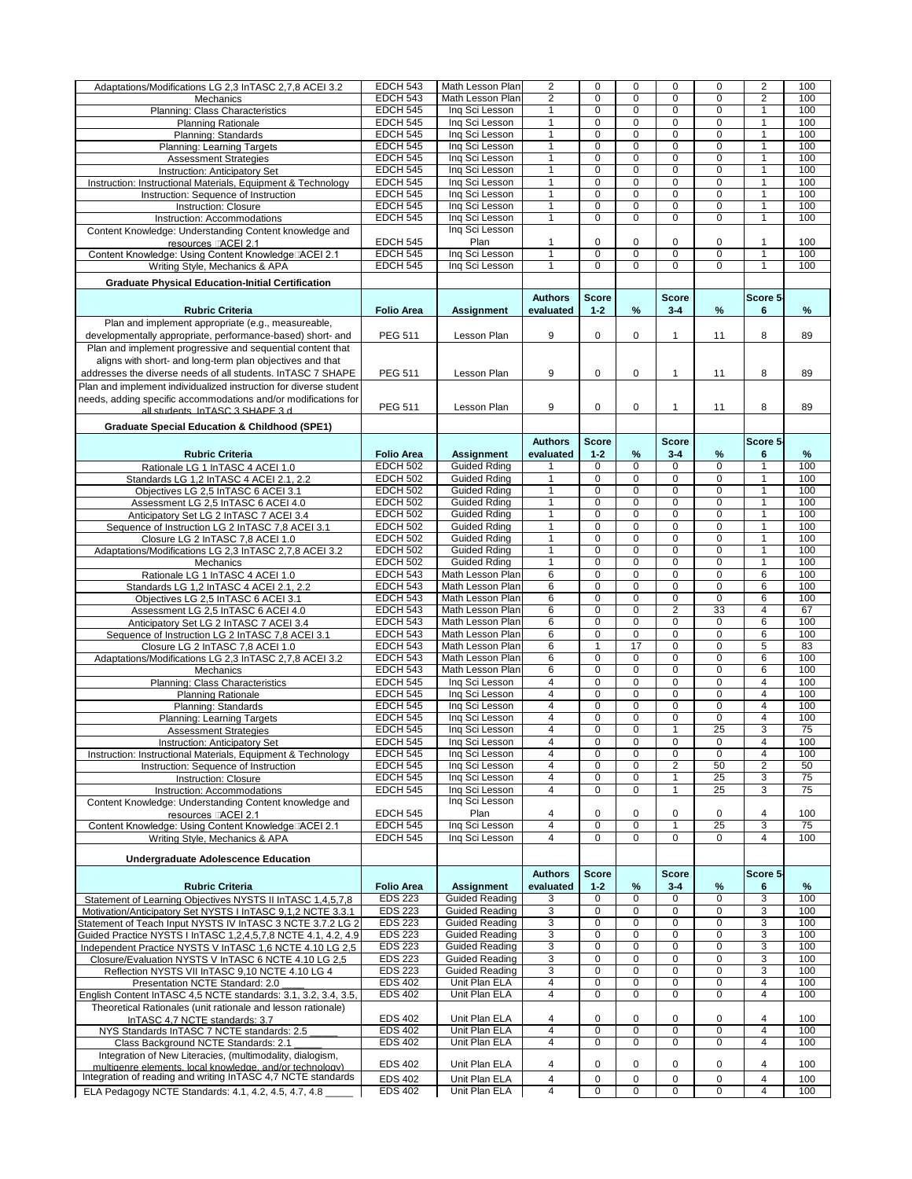| Adaptations/Modifications LG 2,3 InTASC 2,7,8 ACEI 3.2                                                               | <b>EDCH 543</b>                  | Math Lesson Plan               | $\overline{2}$                   | 0                             | 0                | 0                | 0                | $\overline{2}$                   | 100           |
|----------------------------------------------------------------------------------------------------------------------|----------------------------------|--------------------------------|----------------------------------|-------------------------------|------------------|------------------|------------------|----------------------------------|---------------|
|                                                                                                                      |                                  | Math Lesson Plan               |                                  |                               |                  |                  |                  |                                  |               |
| Mechanics                                                                                                            | <b>EDCH 543</b>                  |                                | $\overline{2}$                   | $\mathbf 0$                   | $\mathbf 0$      | $\mathbf 0$      | $\mathbf 0$      | $\overline{2}$                   | 100           |
| Planning: Class Characteristics                                                                                      | <b>EDCH 545</b>                  | Ing Sci Lesson                 | $\mathbf{1}$                     | $\Omega$                      | $\mathbf 0$      | $\mathbf 0$      | $\Omega$         | $\mathbf{1}$                     | 100           |
| <b>Planning Rationale</b>                                                                                            | <b>EDCH 545</b>                  | Ing Sci Lesson                 | $\mathbf{1}$                     | $\mathbf 0$                   | 0                | $\mathbf 0$      | $\Omega$         | 1                                | 100           |
| Planning: Standards                                                                                                  | <b>EDCH 545</b>                  | Ing Sci Lesson                 | $\mathbf{1}$                     | $\overline{0}$                | $\overline{0}$   | $\overline{0}$   | $\mathbf 0$      | $\overline{1}$                   | 100           |
|                                                                                                                      |                                  |                                | $\mathbf{1}$                     | $\overline{0}$                | $\overline{0}$   | $\overline{0}$   | $\overline{0}$   | $\mathbf{1}$                     | 100           |
| <b>Planning: Learning Targets</b>                                                                                    | <b>EDCH 545</b>                  | Ing Sci Lesson                 |                                  |                               |                  |                  |                  |                                  |               |
| <b>Assessment Strategies</b>                                                                                         | <b>EDCH 545</b>                  | Ing Sci Lesson                 | $\mathbf{1}$                     | $\mathbf 0$                   | 0                | $\mathbf 0$      | $\mathbf 0$      | $\overline{1}$                   | 100           |
| Instruction: Anticipatory Set                                                                                        | <b>EDCH 545</b>                  | Ing Sci Lesson                 | $\mathbf{1}$                     | $\mathbf 0$                   | 0                | $\mathbf 0$      | $\mathbf 0$      | $\overline{1}$                   | 100           |
| Instruction: Instructional Materials, Equipment & Technology                                                         | <b>EDCH 545</b>                  | Ing Sci Lesson                 | $\mathbf{1}$                     | $\mathbf 0$                   | $\mathbf 0$      | $\mathbf 0$      | 0                | $\overline{1}$                   | 100           |
|                                                                                                                      | <b>EDCH 545</b>                  | Ing Sci Lesson                 | $\mathbf{1}$                     | $\mathbf 0$                   | 0                | $\mathbf 0$      | $\mathbf 0$      | $\overline{1}$                   | 100           |
| Instruction: Sequence of Instruction                                                                                 |                                  |                                |                                  |                               |                  |                  |                  |                                  |               |
| <b>Instruction: Closure</b>                                                                                          | <b>EDCH 545</b>                  | Ing Sci Lesson                 | $\overline{1}$                   | $\mathbf 0$                   | 0                | $\mathbf 0$      | 0                | $\mathbf{1}$                     | 100           |
| Instruction: Accommodations                                                                                          | <b>EDCH 545</b>                  | Ing Sci Lesson                 | $\mathbf{1}$                     | $\mathbf 0$                   | $\overline{0}$   | $\mathbf 0$      | $\mathbf 0$      | $\mathbf{1}$                     | 100           |
| Content Knowledge: Understanding Content knowledge and                                                               |                                  | Ing Sci Lesson                 |                                  |                               |                  |                  |                  |                                  |               |
| resources <b>LACEI 2.1</b>                                                                                           | <b>EDCH 545</b>                  | Plan                           | 1                                | 0                             | 0                | 0                | 0                | 1                                | 100           |
|                                                                                                                      | <b>EDCH 545</b>                  | Ing Sci Lesson                 | $\overline{1}$                   | $\mathbf{0}$                  | 0                | $\mathbf 0$      | 0                | $\mathbf{1}$                     | 100           |
| Content Knowledge: Using Content Knowledge LACEI 2.1                                                                 |                                  |                                |                                  |                               |                  |                  |                  |                                  |               |
| Writing Style, Mechanics & APA                                                                                       | <b>EDCH 545</b>                  | Inq Sci Lesson                 | $\mathbf{1}$                     | $\Omega$                      | 0                | $\mathbf 0$      | 0                | $\mathbf{1}$                     | 100           |
| <b>Graduate Physical Education-Initial Certification</b>                                                             |                                  |                                |                                  |                               |                  |                  |                  |                                  |               |
|                                                                                                                      |                                  |                                |                                  |                               |                  |                  |                  |                                  |               |
|                                                                                                                      |                                  |                                | <b>Authors</b>                   | <b>Score</b>                  |                  | <b>Score</b>     |                  | Score 5-                         |               |
| <b>Rubric Criteria</b>                                                                                               | <b>Folio Area</b>                | <b>Assignment</b>              | evaluated                        | $1 - 2$                       | %                | $3 - 4$          | %                | $6\phantom{1}6$                  | $\frac{9}{6}$ |
| Plan and implement appropriate (e.g., measureable,                                                                   |                                  |                                |                                  |                               |                  |                  |                  |                                  |               |
| developmentally appropriate, performance-based) short- and                                                           | <b>PEG 511</b>                   | Lesson Plan                    | 9                                | 0                             | 0                |                  | 11               | 8                                | 89            |
|                                                                                                                      |                                  |                                |                                  |                               |                  |                  |                  |                                  |               |
| Plan and implement progressive and sequential content that                                                           |                                  |                                |                                  |                               |                  |                  |                  |                                  |               |
| aligns with short- and long-term plan objectives and that                                                            |                                  |                                |                                  |                               |                  |                  |                  |                                  |               |
| addresses the diverse needs of all students. In TASC 7 SHAPE                                                         | <b>PEG 511</b>                   | Lesson Plan                    | 9                                | 0                             | 0                |                  | 11               | 8                                | 89            |
| Plan and implement individualized instruction for diverse student                                                    |                                  |                                |                                  |                               |                  |                  |                  |                                  |               |
|                                                                                                                      |                                  |                                |                                  |                               |                  |                  |                  |                                  |               |
| needs, adding specific accommodations and/or modifications for                                                       |                                  |                                |                                  |                               |                  | 1                |                  |                                  |               |
| all students InTASC 3 SHAPF 3 d                                                                                      | <b>PEG 511</b>                   | Lesson Plan                    | 9                                | 0                             | 0                |                  | 11               | 8                                | 89            |
|                                                                                                                      |                                  |                                |                                  |                               |                  |                  |                  |                                  |               |
| <b>Graduate Special Education &amp; Childhood (SPE1)</b>                                                             |                                  |                                |                                  |                               |                  |                  |                  |                                  |               |
|                                                                                                                      |                                  |                                | <b>Authors</b>                   | <b>Score</b>                  |                  | <b>Score</b>     |                  | Score 5-                         |               |
| <b>Rubric Criteria</b>                                                                                               | <b>Folio Area</b>                | <b>Assignment</b>              | evaluated                        | $1 - 2$                       | $\frac{0}{0}$    | $3 - 4$          | %                | $6\phantom{1}6$                  | $\%$          |
|                                                                                                                      | <b>EDCH 502</b>                  | <b>Guided Rding</b>            |                                  | $\mathbf 0$                   | $\overline{0}$   | $\mathbf 0$      | $\mathbf 0$      | 1                                | 100           |
| Rationale LG 1 In TASC 4 ACEI 1.0                                                                                    |                                  |                                |                                  |                               |                  |                  |                  |                                  |               |
| Standards LG 1,2 InTASC 4 ACEI 2.1, 2.2                                                                              | <b>EDCH 502</b>                  | <b>Guided Rding</b>            | $\mathbf{1}$                     | $\mathbf 0$                   | $\mathbf 0$      | $\mathbf 0$      | 0                | 1                                | 100           |
| Objectives LG 2,5 InTASC 6 ACEI 3.1                                                                                  | <b>EDCH 502</b>                  | <b>Guided Rding</b>            | $\mathbf{1}$                     | $\mathbf{0}$                  | 0                | $\mathbf 0$      | 0                | 1                                | 100           |
| Assessment LG 2,5 InTASC 6 ACEI 4.0                                                                                  | <b>EDCH 502</b>                  | Guided Rding                   | 1                                | 0                             | $\mathbf 0$      | $\mathbf 0$      | $\mathbf 0$      | 1                                | 100           |
| Anticipatory Set LG 2 InTASC 7 ACEI 3.4                                                                              | <b>EDCH 502</b>                  | <b>Guided Rding</b>            | 1                                | $\mathbf 0$                   | $\mathbf 0$      | $\mathbf 0$      | $\mathbf 0$      | 1                                | 100           |
|                                                                                                                      |                                  |                                |                                  |                               |                  |                  |                  |                                  |               |
| Sequence of Instruction LG 2 InTASC 7,8 ACEI 3.1                                                                     | <b>EDCH 502</b>                  | <b>Guided Rding</b>            | 1                                | $\mathbf{0}$                  | $\mathbf{0}$     | 0                | 0                | 1                                | 100           |
| Closure LG 2 InTASC 7,8 ACEI 1.0                                                                                     | <b>EDCH 502</b>                  | <b>Guided Rding</b>            | $\mathbf 1$                      | $\Omega$                      | $\mathbf{0}$     | $\Omega$         | $\Omega$         | 1                                | 100           |
| Adaptations/Modifications LG 2,3 InTASC 2,7,8 ACEI 3.2                                                               | <b>EDCH 502</b>                  | <b>Guided Rding</b>            | 1                                | $\mathbf 0$                   | $\mathbf 0$      | $\mathbf 0$      | 0                | 1                                | 100           |
| Mechanics                                                                                                            | <b>EDCH 502</b>                  | <b>Guided Rding</b>            | $\mathbf{1}$                     | $\mathbf 0$                   | $\mathbf 0$      | $\mathbf 0$      | 0                | 1                                | 100           |
| Rationale LG 1 InTASC 4 ACEI 1.0                                                                                     | <b>EDCH 543</b>                  | Math Lesson Plan               | $\overline{6}$                   | $\mathbf 0$                   | $\mathbf 0$      | $\mathbf 0$      | $\mathbf 0$      | 6                                | 100           |
|                                                                                                                      |                                  |                                |                                  |                               |                  |                  |                  |                                  |               |
| Standards LG 1,2 InTASC 4 ACEI 2.1, 2.2                                                                              | <b>EDCH 543</b>                  | Math Lesson Plan               | $\overline{6}$                   | $\mathbf{0}$                  | $\mathbf 0$      | $\mathbf 0$      | 0                | 6                                | 100           |
| Objectives LG 2,5 InTASC 6 ACEI 3.1                                                                                  | <b>EDCH 543</b>                  | Math Lesson Plan               | $\overline{6}$                   | $\Omega$                      | $\mathbf 0$      | $\mathbf 0$      | 0                | 6                                | 100           |
| Assessment LG 2,5 InTASC 6 ACEI 4.0                                                                                  | <b>EDCH 543</b>                  | Math Lesson Plan               | $\overline{6}$                   | $\mathbf{0}$                  | $\mathbf 0$      | $\overline{2}$   | $\overline{33}$  | $\overline{4}$                   | 67            |
| Anticipatory Set LG 2 InTASC 7 ACEI 3.4                                                                              | <b>EDCH 543</b>                  | Math Lesson Plan               | $\overline{6}$                   | $\mathbf 0$                   | $\overline{0}$   | $\mathbf 0$      | $\mathbf 0$      | $\overline{6}$                   | 100           |
| Sequence of Instruction LG 2 InTASC 7,8 ACEI 3.1                                                                     | <b>EDCH 543</b>                  | Math Lesson Plan               | $\overline{6}$                   | $\mathbf 0$                   | $\overline{0}$   | $\overline{0}$   | $\mathbf 0$      | $\overline{6}$                   | 100           |
|                                                                                                                      | <b>EDCH 543</b>                  |                                |                                  | $\overline{1}$                | 17               |                  |                  |                                  |               |
| Closure LG 2 InTASC 7,8 ACEI 1.0                                                                                     |                                  | Math Lesson Plan               | 6                                |                               |                  | $\mathbf 0$      | 0                | 5                                | 83            |
| Adaptations/Modifications LG 2,3 InTASC 2,7,8 ACEI 3.2                                                               | <b>EDCH 543</b>                  | Math Lesson Plan               | 6                                | $\Omega$                      | $\Omega$         | $\mathbf 0$      | $\Omega$         | 6                                | 100           |
| Mechanics                                                                                                            | <b>EDCH 543</b>                  | Math Lesson Plan               | $\overline{6}$                   | $\mathbf 0$                   | $\mathbf 0$      | $\mathbf 0$      | $\mathbf 0$      | 6                                | 100           |
| Planning: Class Characteristics                                                                                      | <b>EDCH 545</b>                  | Ing Sci Lesson                 | $\overline{4}$                   | $\mathbf 0$                   | $\mathbf 0$      | $\mathbf 0$      | $\mathbf 0$      | $\overline{4}$                   | 100           |
| <b>Planning Rationale</b>                                                                                            | <b>EDCH 545</b>                  | Ing Sci Lesson                 | $\overline{4}$                   | $\mathbf 0$                   | $\mathbf 0$      | $\mathbf 0$      | $\Omega$         | $\overline{4}$                   | 100           |
| Planning: Standards                                                                                                  | <b>EDCH 545</b>                  | Ing Sci Lesson                 | $\overline{4}$                   | $\Omega$                      | $\mathbf 0$      | $\mathbf 0$      | $\Omega$         | $\overline{4}$                   | 100           |
|                                                                                                                      |                                  |                                |                                  |                               |                  |                  |                  |                                  |               |
| <b>Planning: Learning Targets</b>                                                                                    | <b>EDCH 545</b>                  | Ing Sci Lesson                 | $\overline{4}$                   | $\mathbf 0$                   | $\overline{0}$   | $\overline{0}$   | $\mathbf 0$      | $\overline{4}$                   | 100           |
| <b>Assessment Strategies</b>                                                                                         | <b>EDCH 545</b>                  | Ing Sci Lesson                 | $\overline{4}$                   | $\mathbf 0$                   | $\overline{0}$   | 1                | 25               | 3                                | 75            |
| Instruction: Anticipatory Set                                                                                        | <b>EDCH 545</b>                  | Ing Sci Lesson                 | $\overline{4}$                   | $\Omega$                      | $\mathbf 0$      | $\Omega$         | 0                | $\overline{4}$                   | 100           |
| Instruction: Instructional Materials, Equipment & Technology                                                         | <b>EDCH 545</b>                  | Inq Sci Lesson                 |                                  |                               |                  |                  |                  |                                  |               |
|                                                                                                                      |                                  |                                | $\overline{4}$                   | $\mathbf 0$                   | 0                | $\mathbf 0$      | $\mathbf 0$      | $\overline{4}$                   | 100           |
|                                                                                                                      |                                  |                                |                                  |                               |                  |                  |                  |                                  |               |
| Instruction: Sequence of Instruction                                                                                 | <b>EDCH 545</b>                  | Ing Sci Lesson                 | $\overline{4}$                   | $\mathbf 0$                   | $\mathbf 0$      | $\overline{2}$   | 50               | $\overline{2}$                   | 50            |
| <b>Instruction: Closure</b>                                                                                          | <b>EDCH 545</b>                  | Ing Sci Lesson                 | $\overline{4}$                   | $\mathbf 0$                   | $\mathbf 0$      | 1                | 25               | 3                                | 75            |
| Instruction: Accommodations                                                                                          | <b>EDCH 545</b>                  | Ing Sci Lesson                 | $\overline{4}$                   | $\mathbf 0$                   | $\overline{0}$   | 1                | 25               | $\overline{3}$                   | 75            |
| Content Knowledge: Understanding Content knowledge and                                                               |                                  | Ing Sci Lesson                 |                                  |                               |                  |                  |                  |                                  |               |
| resources <b>LACEI 2.1</b>                                                                                           | <b>EDCH 545</b>                  | Plan                           | 4                                | 0                             | 0                | 0                | 0                | 4                                | 100           |
| Content Knowledge: Using Content Knowledge LACEI 2.1                                                                 | <b>EDCH 545</b>                  | Inq Sci Lesson                 | $\overline{4}$                   | $\overline{0}$                | $\overline{0}$   | $\overline{1}$   | $\overline{25}$  | $\overline{3}$                   | 75            |
|                                                                                                                      | <b>EDCH 545</b>                  | Ing Sci Lesson                 | $\overline{4}$                   | $\Omega$                      | $\mathbf 0$      | $\Omega$         | $\mathbf 0$      | $\overline{4}$                   | 100           |
| Writing Style, Mechanics & APA                                                                                       |                                  |                                |                                  |                               |                  |                  |                  |                                  |               |
|                                                                                                                      |                                  |                                |                                  |                               |                  |                  |                  |                                  |               |
| <b>Undergraduate Adolescence Education</b>                                                                           |                                  |                                |                                  |                               |                  |                  |                  |                                  |               |
|                                                                                                                      |                                  |                                | <b>Authors</b>                   | <b>Score</b>                  |                  | <b>Score</b>     |                  | Score 5-                         |               |
| <b>Rubric Criteria</b>                                                                                               | <b>Folio Area</b>                | <b>Assignment</b>              | evaluated                        | $1 - 2$                       | $\frac{9}{6}$    | $3 - 4$          | %                | 6                                | %             |
| Statement of Learning Objectives NYSTS II In TASC 1,4,5,7,8                                                          | <b>EDS 223</b>                   | <b>Guided Reading</b>          | 3                                | 0                             | $\Omega$         | $\Omega$         | $\Omega$         | 3                                | 100           |
|                                                                                                                      | <b>EDS 223</b>                   | <b>Guided Reading</b>          | $\overline{3}$                   | $\mathbf 0$                   | $\mathbf 0$      | $\mathbf 0$      | $\Omega$         | 3                                | 100           |
| Motivation/Anticipatory Set NYSTS I InTASC 9,1,2 NCTE 3.3.1                                                          |                                  |                                |                                  |                               |                  |                  |                  |                                  |               |
| Statement of Teach Input NYSTS IV InTASC 3 NCTE 3.7.2 LG 2                                                           | <b>EDS 223</b>                   | <b>Guided Reading</b>          | $\overline{3}$                   | $\mathbf 0$                   | $\overline{0}$   | $\overline{0}$   | $\mathbf 0$      | $\overline{3}$                   | 100           |
| Guided Practice NYSTS I InTASC 1,2,4,5,7,8 NCTE 4.1, 4.2, 4.9                                                        | <b>EDS 223</b>                   | <b>Guided Reading</b>          | $\overline{3}$                   | $\mathbf 0$                   | $\overline{0}$   | $\overline{0}$   | $\mathbf 0$      | $\overline{3}$                   | 100           |
| Independent Practice NYSTS V InTASC 1,6 NCTE 4.10 LG 2,5                                                             | <b>EDS 223</b>                   | <b>Guided Reading</b>          | $\overline{3}$                   | 0                             | 0                | 0                | 0                | $\overline{3}$                   | 100           |
| Closure/Evaluation NYSTS V InTASC 6 NCTE 4.10 LG 2,5                                                                 | <b>EDS 223</b>                   | <b>Guided Reading</b>          | $\overline{3}$                   | $\Omega$                      | $\boldsymbol{0}$ | 0                | $\Omega$         | 3                                | 100           |
| Reflection NYSTS VII InTASC 9,10 NCTE 4.10 LG 4                                                                      | <b>EDS 223</b>                   | <b>Guided Reading</b>          | 3                                | $\Omega$                      | $\Omega$         | $\mathbf 0$      | 0                | 3                                | 100           |
|                                                                                                                      | <b>EDS 402</b>                   | Unit Plan ELA                  | 4                                | $\Omega$                      | $\Omega$         | $\Omega$         | $\Omega$         | 4                                | 100           |
| Presentation NCTE Standard: 2.0                                                                                      |                                  |                                |                                  |                               |                  |                  |                  |                                  |               |
| English Content InTASC 4,5 NCTE standards: 3.1, 3.2, 3.4, 3.5,                                                       | <b>EDS 402</b>                   | Unit Plan ELA                  | $\overline{4}$                   | $\mathbf 0$                   | 0                | 0                | 0                | $\overline{4}$                   | 100           |
| Theoretical Rationales (unit rationale and lesson rationale)                                                         |                                  |                                |                                  |                               |                  |                  |                  |                                  |               |
| InTASC 4,7 NCTE standards: 3.7                                                                                       | <b>EDS 402</b>                   | Unit Plan ELA                  | 4                                | 0                             | 0                | 0                | 0                | 4                                | 100           |
| NYS Standards InTASC 7 NCTE standards: 2.5                                                                           | <b>EDS 402</b>                   | Unit Plan ELA                  | $\overline{4}$                   | $\mathbf 0$                   | $\overline{0}$   | $\overline{0}$   | 0                | $\overline{4}$                   | 100           |
| Class Background NCTE Standards: 2.1                                                                                 | <b>EDS 402</b>                   | Unit Plan ELA                  | $\overline{4}$                   | $\mathbf 0$                   | $\mathbf 0$      | $\mathbf 0$      | 0                | $\overline{4}$                   | 100           |
|                                                                                                                      |                                  |                                |                                  |                               |                  |                  |                  |                                  |               |
| Integration of New Literacies, (multimodality, dialogism,                                                            | <b>EDS 402</b>                   | Unit Plan ELA                  | 4                                | 0                             | 0                | 0                | 0                | 4                                | 100           |
| multigenre elements local knowledge and/or technology)                                                               |                                  |                                |                                  |                               |                  |                  |                  |                                  |               |
| Integration of reading and writing InTASC 4,7 NCTE standards<br>ELA Pedagogy NCTE Standards: 4.1, 4.2, 4.5, 4.7, 4.8 | <b>EDS 402</b><br><b>EDS 402</b> | Unit Plan ELA<br>Unit Plan ELA | $\overline{4}$<br>$\overline{4}$ | $\mathbf 0$<br>$\overline{0}$ | $\mathbf 0$<br>0 | $\mathbf 0$<br>0 | 0<br>$\mathbf 0$ | $\overline{4}$<br>$\overline{4}$ | 100<br>100    |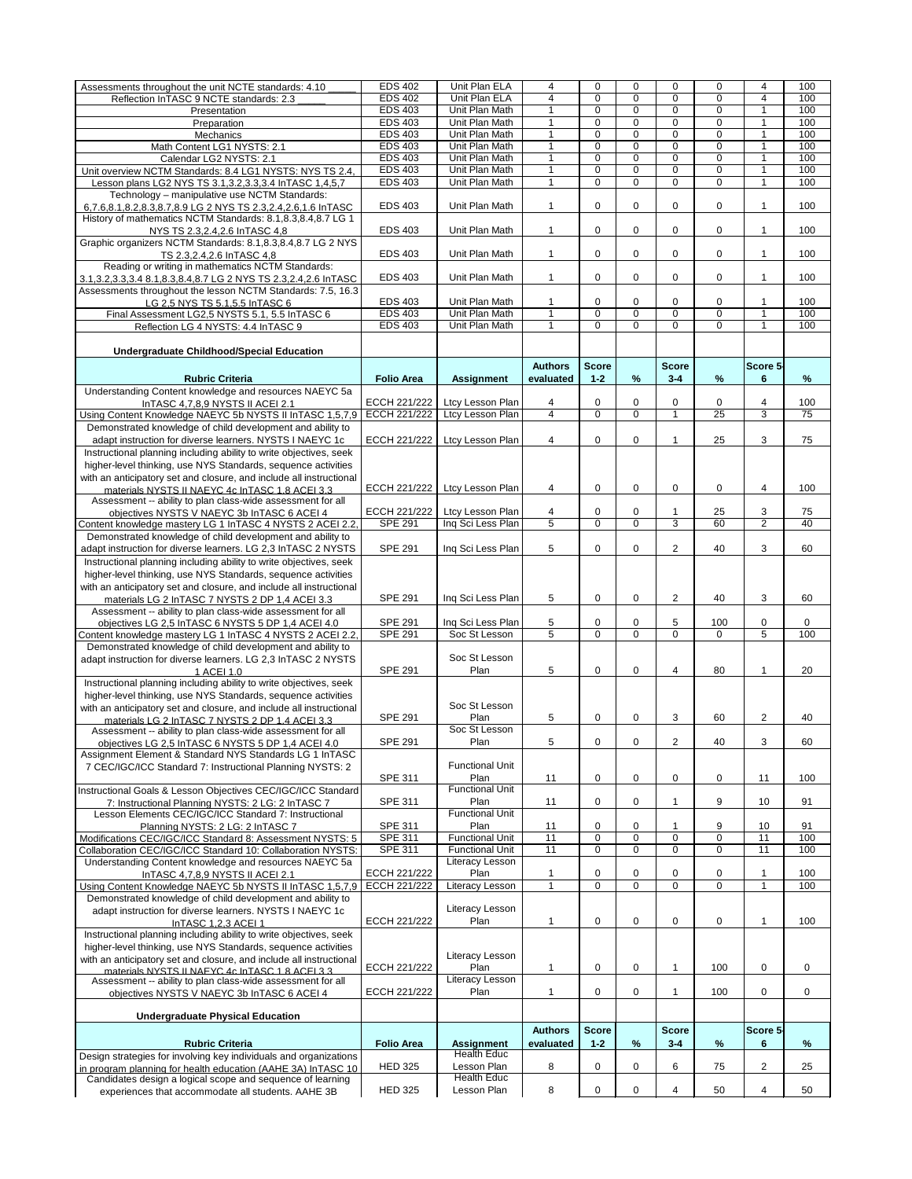|                                                                                                                  | <b>EDS 402</b>      | Unit Plan ELA           | 4                    | 0              | $\Omega$       | 0              | $\Omega$        | 4                    | 100             |
|------------------------------------------------------------------------------------------------------------------|---------------------|-------------------------|----------------------|----------------|----------------|----------------|-----------------|----------------------|-----------------|
| Assessments throughout the unit NCTE standards: 4.10                                                             |                     |                         |                      |                |                |                |                 |                      |                 |
| Reflection InTASC 9 NCTE standards: 2.3                                                                          | <b>EDS 402</b>      | Unit Plan ELA           | $\overline{4}$       | $\Omega$       | 0              | $\mathbf 0$    | $\Omega$        | $\overline{4}$       | 100             |
| Presentation                                                                                                     | <b>EDS 403</b>      | Unit Plan Math          | $\blacktriangleleft$ | $\Omega$       | 0              | $\mathbf 0$    | $\Omega$        | $\mathbf{1}$         | 100             |
| Preparation                                                                                                      | <b>EDS 403</b>      | Unit Plan Math          | $\blacktriangleleft$ | $\Omega$       | 0              | $\mathbf 0$    | $\Omega$        | $\mathbf{1}$         | 100             |
| Mechanics                                                                                                        | <b>EDS 403</b>      | Unit Plan Math          | $\blacktriangleleft$ | $\mathbf 0$    | $\overline{0}$ | $\overline{0}$ | $\mathbf 0$     | $\mathbf{1}$         | 100             |
|                                                                                                                  | <b>EDS 403</b>      | Unit Plan Math          | $\blacktriangleleft$ | $\Omega$       | $\overline{0}$ | $\overline{0}$ | $\Omega$        | $\blacktriangleleft$ | 100             |
| Math Content LG1 NYSTS: 2.1                                                                                      |                     |                         |                      |                |                |                |                 |                      |                 |
| Calendar LG2 NYSTS: 2.1                                                                                          | <b>EDS 403</b>      | Unit Plan Math          | $\blacktriangleleft$ | $\mathbf 0$    | 0              | $\mathbf 0$    | $\mathbf 0$     | $\overline{1}$       | 100             |
| Unit overview NCTM Standards: 8.4 LG1 NYSTS: NYS TS 2.4,                                                         | <b>EDS 403</b>      | Unit Plan Math          | $\blacktriangleleft$ | $\mathbf 0$    | 0              | $\mathbf 0$    | $\mathbf 0$     | $\mathbf{1}$         | 100             |
| Lesson plans LG2 NYS TS 3.1, 3.2, 3.3, 3.4 In TASC 1, 4, 5, 7                                                    | <b>EDS 403</b>      | Unit Plan Math          | $\blacktriangleleft$ | $\mathbf 0$    | 0              | $\mathbf 0$    | $\mathbf 0$     | $\mathbf{1}$         | 100             |
| Technology - manipulative use NCTM Standards:                                                                    |                     |                         |                      |                |                |                |                 |                      |                 |
|                                                                                                                  | <b>EDS 403</b>      | Unit Plan Math          | 1                    | 0              | 0              | 0              | 0               | 1                    | 100             |
| 6,7.6,8.1,8.2,8.3,8.7,8.9 LG 2 NYS TS 2.3,2.4,2.6,1.6 InTASC                                                     |                     |                         |                      |                |                |                |                 |                      |                 |
| History of mathematics NCTM Standards: 8.1, 8.3, 8.4, 8.7 LG 1                                                   |                     |                         |                      |                |                |                |                 |                      |                 |
| NYS TS 2.3, 2.4, 2.6 In TASC 4, 8                                                                                | <b>EDS 403</b>      | Unit Plan Math          | $\mathbf 1$          | $\Omega$       | 0              | 0              | 0               | 1                    | 100             |
| Graphic organizers NCTM Standards: 8.1,8.3,8.4,8.7 LG 2 NYS                                                      |                     |                         |                      |                |                |                |                 |                      |                 |
| TS 2.3, 2.4, 2.6 In TASC 4, 8                                                                                    | <b>EDS 403</b>      | Unit Plan Math          | 1                    | 0              | 0              | 0              | 0               | $\mathbf 1$          | 100             |
| Reading or writing in mathematics NCTM Standards:                                                                |                     |                         |                      |                |                |                |                 |                      |                 |
|                                                                                                                  | <b>EDS 403</b>      |                         |                      |                |                |                |                 |                      |                 |
| 3.1, 3.2, 3.3, 3.4 8.1, 8.3, 8.4, 8.7 LG 2 NYS TS 2.3, 2.4, 2.6 In TASC                                          |                     | Unit Plan Math          | 1                    | 0              | 0              | 0              | 0               | $\mathbf 1$          | 100             |
| Assessments throughout the lesson NCTM Standards: 7.5, 16.3                                                      |                     |                         |                      |                |                |                |                 |                      |                 |
| LG 2,5 NYS TS 5.1,5.5 InTASC 6                                                                                   | <b>EDS 403</b>      | Unit Plan Math          | 1                    | 0              | 0              | 0              | 0               | 1                    | 100             |
| Final Assessment LG2,5 NYSTS 5.1, 5.5 InTASC 6                                                                   | <b>EDS 403</b>      | Unit Plan Math          | $\mathbf{1}$         | $\mathbf 0$    | $\mathbf 0$    | $\mathbf 0$    | 0               | $\mathbf{1}$         | 100             |
| Reflection LG 4 NYSTS: 4.4 InTASC 9                                                                              | <b>EDS 403</b>      | Unit Plan Math          | $\blacktriangleleft$ | $\Omega$       | 0              | $\overline{0}$ | $\mathbf 0$     | $\overline{1}$       | 100             |
|                                                                                                                  |                     |                         |                      |                |                |                |                 |                      |                 |
|                                                                                                                  |                     |                         |                      |                |                |                |                 |                      |                 |
| <b>Undergraduate Childhood/Special Education</b>                                                                 |                     |                         |                      |                |                |                |                 |                      |                 |
|                                                                                                                  |                     |                         | <b>Authors</b>       | <b>Score</b>   |                | <b>Score</b>   |                 | Score 5-             |                 |
| <b>Rubric Criteria</b>                                                                                           | <b>Folio Area</b>   | <b>Assignment</b>       | evaluated            | $1 - 2$        | $\%$           | $3 - 4$        | %               | $6\phantom{1}$       | $\%$            |
| Understanding Content knowledge and resources NAEYC 5a                                                           |                     |                         |                      |                |                |                |                 |                      |                 |
|                                                                                                                  | <b>ECCH 221/222</b> |                         |                      |                |                |                |                 |                      | 100             |
| In TASC 4, 7, 8, 9 NYSTS II ACEI 2.1                                                                             |                     | Ltcy Lesson Plan        | 4                    | 0              | 0              | 0              | 0               | 4                    |                 |
| Using Content Knowledge NAEYC 5b NYSTS II In TASC 1,5,7,9                                                        | <b>ECCH 221/222</b> | <b>Ltcy Lesson Plan</b> | $\overline{4}$       | $\mathbf 0$    | $\mathbf 0$    | $\mathbf{1}$   | $\overline{25}$ | 3                    | $\overline{75}$ |
| Demonstrated knowledge of child development and ability to                                                       |                     |                         |                      |                |                |                |                 |                      |                 |
| adapt instruction for diverse learners. NYSTS I NAEYC 1c                                                         | <b>ECCH 221/222</b> | Ltcy Lesson Plan        | 4                    | 0              | 0              | 1              | 25              | 3                    | 75              |
| Instructional planning including ability to write objectives, seek                                               |                     |                         |                      |                |                |                |                 |                      |                 |
|                                                                                                                  |                     |                         |                      |                |                |                |                 |                      |                 |
| higher-level thinking, use NYS Standards, sequence activities                                                    |                     |                         |                      |                |                |                |                 |                      |                 |
| with an anticipatory set and closure, and include all instructional                                              |                     |                         |                      |                |                |                |                 |                      |                 |
| materials NYSTS II NAEYC 4c InTASC 1.8 ACEI 3.3                                                                  | ECCH 221/222        | Ltcy Lesson Plan        | 4                    | 0              | 0              | 0              | 0               | 4                    | 100             |
| Assessment -- ability to plan class-wide assessment for all                                                      |                     |                         |                      |                |                |                |                 |                      |                 |
| objectives NYSTS V NAEYC 3b InTASC 6 ACEI 4                                                                      | ECCH 221/222        | Ltcy Lesson Plan        | 4                    | 0              | 0              | 1              | 25              | 3                    | 75              |
| Content knowledge mastery LG 1 In TASC 4 NYSTS 2 ACEI 2.2,                                                       | <b>SPE 291</b>      | Ing Sci Less Plan       | 5                    | 0              | $\Omega$       | 3              | 60              | $\overline{2}$       | 40              |
|                                                                                                                  |                     |                         |                      |                |                |                |                 |                      |                 |
| Demonstrated knowledge of child development and ability to                                                       |                     |                         |                      |                |                |                |                 |                      |                 |
| adapt instruction for diverse learners. LG 2,3 InTASC 2 NYSTS                                                    | <b>SPE 291</b>      | Ing Sci Less Plan       | 5                    | $\Omega$       | 0              | $\overline{2}$ | 40              | 3                    | 60              |
| Instructional planning including ability to write objectives, seek                                               |                     |                         |                      |                |                |                |                 |                      |                 |
| higher-level thinking, use NYS Standards, sequence activities                                                    |                     |                         |                      |                |                |                |                 |                      |                 |
|                                                                                                                  |                     |                         |                      |                |                |                |                 |                      |                 |
| with an anticipatory set and closure, and include all instructional                                              |                     |                         |                      |                |                |                |                 |                      |                 |
| materials LG 2 InTASC 7 NYSTS 2 DP 1,4 ACEI 3.3                                                                  | <b>SPE 291</b>      | Inq Sci Less Plan       | 5                    | 0              | 0              | $\overline{2}$ | 40              | 3                    | 60              |
| Assessment -- ability to plan class-wide assessment for all                                                      |                     |                         |                      |                |                |                |                 |                      |                 |
| objectives LG 2,5 InTASC 6 NYSTS 5 DP 1,4 ACEI 4.0                                                               | <b>SPE 291</b>      | Ing Sci Less Plan       | 5                    | $\Omega$       | 0              | 5              | 100             | 0                    | 0               |
| Content knowledge mastery LG 1 InTASC 4 NYSTS 2 ACEI 2.2                                                         | <b>SPE 291</b>      | Soc St Lesson           | $\overline{5}$       | $\overline{0}$ | $\Omega$       | $\Omega$       | $\Omega$        | $\overline{5}$       | 100             |
|                                                                                                                  |                     |                         |                      |                |                |                |                 |                      |                 |
| Demonstrated knowledge of child development and ability to                                                       |                     |                         |                      |                |                |                |                 |                      |                 |
| adapt instruction for diverse learners. LG 2,3 InTASC 2 NYSTS                                                    |                     | Soc St Lesson           |                      |                |                |                |                 |                      |                 |
| 1 ACEI 1.0                                                                                                       | <b>SPE 291</b>      | Plan                    | 5                    | 0              | 0              | 4              | 80              | $\mathbf 1$          | 20              |
| Instructional planning including ability to write objectives, seek                                               |                     |                         |                      |                |                |                |                 |                      |                 |
| higher-level thinking, use NYS Standards, sequence activities                                                    |                     |                         |                      |                |                |                |                 |                      |                 |
|                                                                                                                  |                     | Soc St Lesson           |                      |                |                |                |                 |                      |                 |
| with an anticipatory set and closure, and include all instructional                                              |                     | Plan                    |                      |                |                |                | 60              |                      | 40              |
| materials LG 2 InTASC 7 NYSTS 2 DP 1.4 ACEI 3.3                                                                  | <b>SPE 291</b>      |                         | 5                    | 0              | 0              | 3              |                 | $\overline{2}$       |                 |
| Assessment -- ability to plan class-wide assessment for all                                                      |                     | Soc St Lesson           |                      |                |                |                |                 |                      |                 |
| objectives LG 2,5 InTASC 6 NYSTS 5 DP 1,4 ACEI 4.0                                                               | <b>SPE 291</b>      | Plan                    | 5                    | 0              | 0              | $\overline{2}$ | 40              | 3                    | 60              |
| Assignment Element & Standard NYS Standards LG 1 InTASC                                                          |                     |                         |                      |                |                |                |                 |                      |                 |
| 7 CEC/IGC/ICC Standard 7: Instructional Planning NYSTS: 2                                                        |                     | <b>Functional Unit</b>  |                      |                |                |                |                 |                      |                 |
|                                                                                                                  | <b>SPE 311</b>      | Plan                    |                      |                |                | $\mathbf 0$    | $\mathbf 0$     |                      | 100             |
|                                                                                                                  |                     |                         |                      |                |                |                |                 |                      |                 |
|                                                                                                                  |                     |                         | 11                   | 0              | 0              |                |                 | 11                   |                 |
| Instructional Goals & Lesson Objectives CEC/IGC/ICC Standard                                                     |                     | <b>Functional Unit</b>  |                      |                |                |                |                 |                      |                 |
| 7: Instructional Planning NYSTS: 2 LG: 2 InTASC 7                                                                | <b>SPE 311</b>      | Plan                    | 11                   | 0              | 0              | 1              | 9               | 10                   | 91              |
| Lesson Elements CEC/IGC/ICC Standard 7: Instructional                                                            |                     | <b>Functional Unit</b>  |                      |                |                |                |                 |                      |                 |
| Planning NYSTS: 2 LG: 2 InTASC 7                                                                                 | <b>SPE 311</b>      | Plan                    | 11                   | $\Omega$       | 0              | 1              | 9               | 10                   | 91              |
|                                                                                                                  | <b>SPE 311</b>      | <b>Functional Unit</b>  | 11                   | $\mathbf 0$    | $\overline{0}$ | $\mathbf 0$    | $\mathbf 0$     | $\overline{11}$      | 100             |
| Modifications CEC/IGC/ICC Standard 8: Assessment NYSTS: 5                                                        |                     |                         |                      |                | $\overline{0}$ |                |                 |                      |                 |
| Collaboration CEC/IGC/ICC Standard 10: Collaboration NYSTS:                                                      | <b>SPE 311</b>      | <b>Functional Unit</b>  | 11                   | $\mathbf 0$    |                | $\mathbf 0$    | $\overline{0}$  | $\overline{11}$      | 100             |
| Understanding Content knowledge and resources NAEYC 5a                                                           |                     | Literacy Lesson         |                      |                |                |                |                 |                      |                 |
| In TASC 4, 7, 8, 9 NYSTS II ACEI 2.1                                                                             | ECCH 221/222        | Plan                    | 1                    | 0              | 0              | 0              | 0               | $\mathbf 1$          | 100             |
| Using Content Knowledge NAEYC 5b NYSTS II InTASC 1,5,7,9                                                         | <b>ECCH 221/222</b> | Literacy Lesson         | $\mathbf{1}$         | $\overline{0}$ | $\mathbf 0$    | $\mathbf 0$    | $\mathbf 0$     | $\mathbf{1}$         | 100             |
| Demonstrated knowledge of child development and ability to                                                       |                     |                         |                      |                |                |                |                 |                      |                 |
| adapt instruction for diverse learners. NYSTS I NAEYC 1c                                                         |                     | Literacy Lesson         |                      |                |                |                |                 |                      |                 |
|                                                                                                                  | ECCH 221/222        | Plan                    | 1                    | 0              | 0              | 0              | 0               | 1                    | 100             |
| InTASC 1,2,3 ACEI 1                                                                                              |                     |                         |                      |                |                |                |                 |                      |                 |
| Instructional planning including ability to write objectives, seek                                               |                     |                         |                      |                |                |                |                 |                      |                 |
| higher-level thinking, use NYS Standards, sequence activities                                                    |                     |                         |                      |                |                |                |                 |                      |                 |
| with an anticipatory set and closure, and include all instructional                                              |                     | Literacy Lesson         |                      |                |                |                |                 |                      |                 |
| materials NYSTS II NAFYC 4c InTASC 1 8 ACFL3 3                                                                   | ECCH 221/222        | Plan                    | $\blacktriangleleft$ | $\mathbf 0$    | 0              |                | 100             | $\pmb{0}$            | $\pmb{0}$       |
| Assessment -- ability to plan class-wide assessment for all                                                      |                     | Literacy Lesson         |                      |                |                |                |                 |                      |                 |
| objectives NYSTS V NAEYC 3b InTASC 6 ACEI 4                                                                      | ECCH 221/222        | Plan                    |                      | 0              | 0              | 1              | 100             | 0                    | $\mathbf 0$     |
|                                                                                                                  |                     |                         |                      |                |                |                |                 |                      |                 |
|                                                                                                                  |                     |                         |                      |                |                |                |                 |                      |                 |
| <b>Undergraduate Physical Education</b>                                                                          |                     |                         |                      |                |                |                |                 |                      |                 |
|                                                                                                                  |                     |                         | <b>Authors</b>       | <b>Score</b>   |                | <b>Score</b>   |                 | Score 5-             |                 |
| <b>Rubric Criteria</b>                                                                                           | <b>Folio Area</b>   | <b>Assignment</b>       | evaluated            | $1 - 2$        | %              | $3 - 4$        | $\%$            | $6\phantom{a}$       | $\%$            |
| Design strategies for involving key individuals and organizations                                                |                     | <b>Health Educ</b>      |                      |                |                |                |                 |                      |                 |
|                                                                                                                  | <b>HED 325</b>      | Lesson Plan             | 8                    | 0              | 0              | 6              | 75              | $\overline{2}$       | 25              |
| in program planning for health education (AAHE 3A) InTASC 10                                                     |                     | <b>Health Educ</b>      |                      |                |                |                |                 |                      |                 |
| Candidates design a logical scope and sequence of learning<br>experiences that accommodate all students. AAHE 3B | <b>HED 325</b>      | Lesson Plan             | 8                    | 0              | 0              | 4              | 50              | 4                    | 50              |